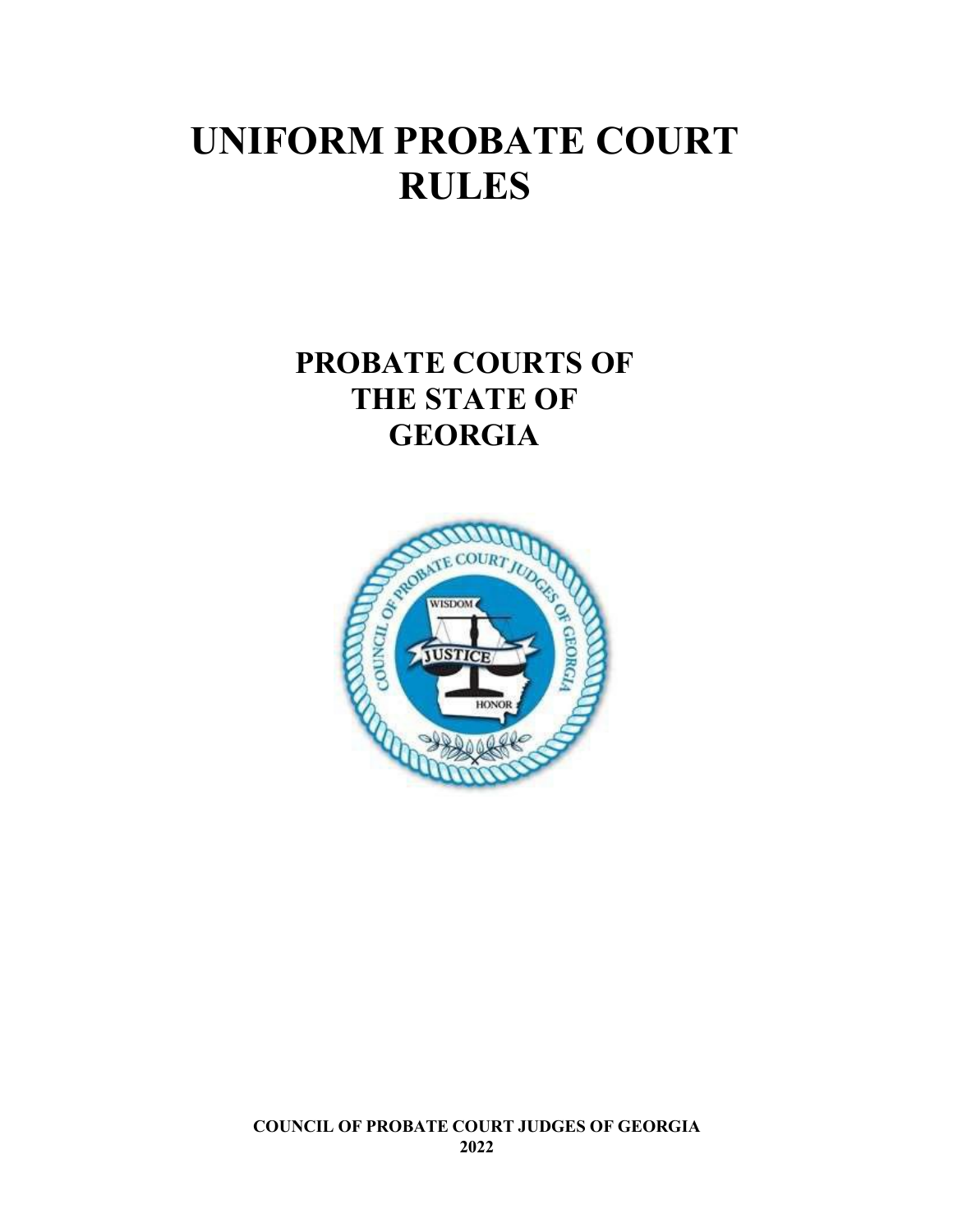# **UNIFORM PROBATE COURT RULES**

# **PROBATE COURTS OF THE STATE OF GEORGIA**



**COUNCIL OF PROBATE COURT JUDGES OF GEORGIA 2022**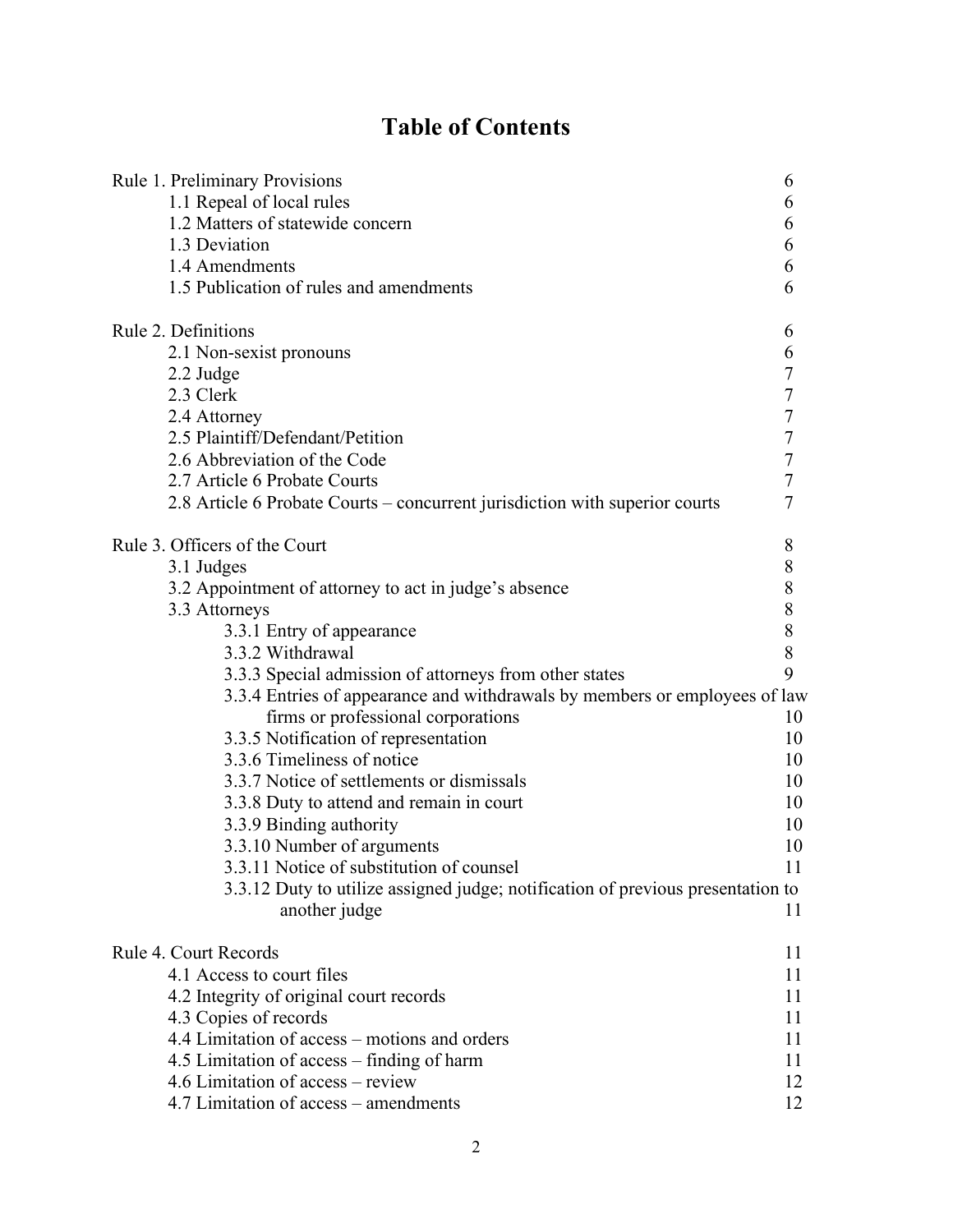# **Table of Contents**

| Rule 1. Preliminary Provisions                                                  | 6              |
|---------------------------------------------------------------------------------|----------------|
| 1.1 Repeal of local rules                                                       | 6              |
| 1.2 Matters of statewide concern                                                | 6              |
| 1.3 Deviation                                                                   | 6              |
| 1.4 Amendments                                                                  | 6              |
| 1.5 Publication of rules and amendments                                         | 6              |
| Rule 2. Definitions                                                             | 6              |
| 2.1 Non-sexist pronouns                                                         | 6              |
| 2.2 Judge                                                                       | $\overline{7}$ |
| 2.3 Clerk                                                                       | $\overline{7}$ |
| 2.4 Attorney                                                                    | $\overline{7}$ |
| 2.5 Plaintiff/Defendant/Petition                                                | $\overline{7}$ |
| 2.6 Abbreviation of the Code                                                    | $\overline{7}$ |
| 2.7 Article 6 Probate Courts                                                    | $\overline{7}$ |
| 2.8 Article 6 Probate Courts – concurrent jurisdiction with superior courts     | $\overline{7}$ |
| Rule 3. Officers of the Court                                                   | 8              |
| 3.1 Judges                                                                      | 8              |
| 3.2 Appointment of attorney to act in judge's absence                           | 8              |
| 3.3 Attorneys                                                                   | 8              |
| 3.3.1 Entry of appearance                                                       | 8              |
| 3.3.2 Withdrawal                                                                | 8              |
| 3.3.3 Special admission of attorneys from other states                          | 9              |
| 3.3.4 Entries of appearance and withdrawals by members or employees of law      |                |
| firms or professional corporations                                              | 10             |
| 3.3.5 Notification of representation                                            | 10             |
| 3.3.6 Timeliness of notice                                                      | 10             |
| 3.3.7 Notice of settlements or dismissals                                       | 10             |
| 3.3.8 Duty to attend and remain in court                                        | 10             |
| 3.3.9 Binding authority                                                         | 10             |
| 3.3.10 Number of arguments                                                      | 10             |
| 3.3.11 Notice of substitution of counsel                                        | 11             |
| 3.3.12 Duty to utilize assigned judge; notification of previous presentation to |                |
| another judge                                                                   | 11             |
| Rule 4. Court Records                                                           | 11             |
| 4.1 Access to court files                                                       | 11             |
| 4.2 Integrity of original court records                                         | 11             |
| 4.3 Copies of records                                                           | 11             |
| 4.4 Limitation of access – motions and orders                                   | 11             |
| 4.5 Limitation of access – finding of harm                                      | 11             |
| 4.6 Limitation of access – review                                               | 12             |
| 4.7 Limitation of access – amendments                                           | 12             |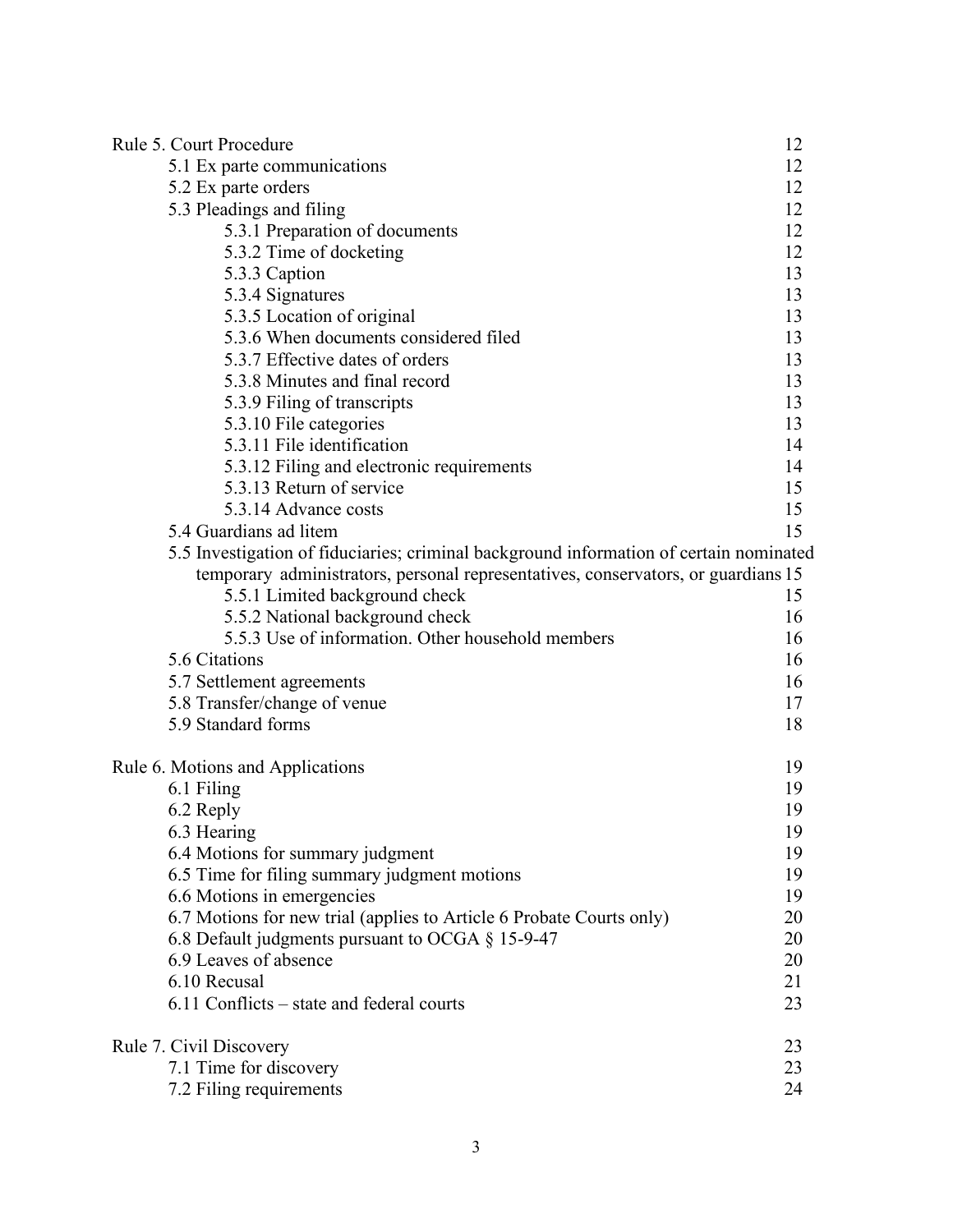| Rule 5. Court Procedure                                                                | 12 |  |  |  |  |
|----------------------------------------------------------------------------------------|----|--|--|--|--|
| 5.1 Ex parte communications                                                            |    |  |  |  |  |
| 5.2 Ex parte orders                                                                    | 12 |  |  |  |  |
| 5.3 Pleadings and filing                                                               | 12 |  |  |  |  |
| 5.3.1 Preparation of documents                                                         | 12 |  |  |  |  |
| 5.3.2 Time of docketing                                                                | 12 |  |  |  |  |
| 5.3.3 Caption                                                                          | 13 |  |  |  |  |
| 5.3.4 Signatures                                                                       | 13 |  |  |  |  |
| 5.3.5 Location of original                                                             | 13 |  |  |  |  |
| 5.3.6 When documents considered filed                                                  | 13 |  |  |  |  |
| 5.3.7 Effective dates of orders                                                        | 13 |  |  |  |  |
| 5.3.8 Minutes and final record                                                         | 13 |  |  |  |  |
| 5.3.9 Filing of transcripts                                                            | 13 |  |  |  |  |
| 5.3.10 File categories                                                                 | 13 |  |  |  |  |
| 5.3.11 File identification                                                             | 14 |  |  |  |  |
| 5.3.12 Filing and electronic requirements                                              | 14 |  |  |  |  |
| 5.3.13 Return of service                                                               | 15 |  |  |  |  |
| 5.3.14 Advance costs                                                                   | 15 |  |  |  |  |
| 5.4 Guardians ad litem                                                                 | 15 |  |  |  |  |
| 5.5 Investigation of fiduciaries; criminal background information of certain nominated |    |  |  |  |  |
| temporary administrators, personal representatives, conservators, or guardians 15      |    |  |  |  |  |
| 5.5.1 Limited background check                                                         | 15 |  |  |  |  |
| 5.5.2 National background check                                                        | 16 |  |  |  |  |
| 5.5.3 Use of information. Other household members                                      | 16 |  |  |  |  |
| 5.6 Citations                                                                          | 16 |  |  |  |  |
| 5.7 Settlement agreements                                                              | 16 |  |  |  |  |
| 5.8 Transfer/change of venue                                                           | 17 |  |  |  |  |
| 5.9 Standard forms                                                                     | 18 |  |  |  |  |
| Rule 6. Motions and Applications                                                       | 19 |  |  |  |  |
| 6.1 Filing                                                                             | 19 |  |  |  |  |
| 6.2 Reply                                                                              | 19 |  |  |  |  |
| 6.3 Hearing                                                                            | 19 |  |  |  |  |
| 6.4 Motions for summary judgment                                                       | 19 |  |  |  |  |
| 6.5 Time for filing summary judgment motions                                           | 19 |  |  |  |  |
| 6.6 Motions in emergencies                                                             | 19 |  |  |  |  |
| 6.7 Motions for new trial (applies to Article 6 Probate Courts only)                   | 20 |  |  |  |  |
| 6.8 Default judgments pursuant to OCGA § 15-9-47                                       | 20 |  |  |  |  |
| 6.9 Leaves of absence                                                                  | 20 |  |  |  |  |
| 6.10 Recusal                                                                           | 21 |  |  |  |  |
| 6.11 Conflicts – state and federal courts                                              | 23 |  |  |  |  |
| Rule 7. Civil Discovery                                                                | 23 |  |  |  |  |
| 7.1 Time for discovery                                                                 | 23 |  |  |  |  |
| 7.2 Filing requirements                                                                | 24 |  |  |  |  |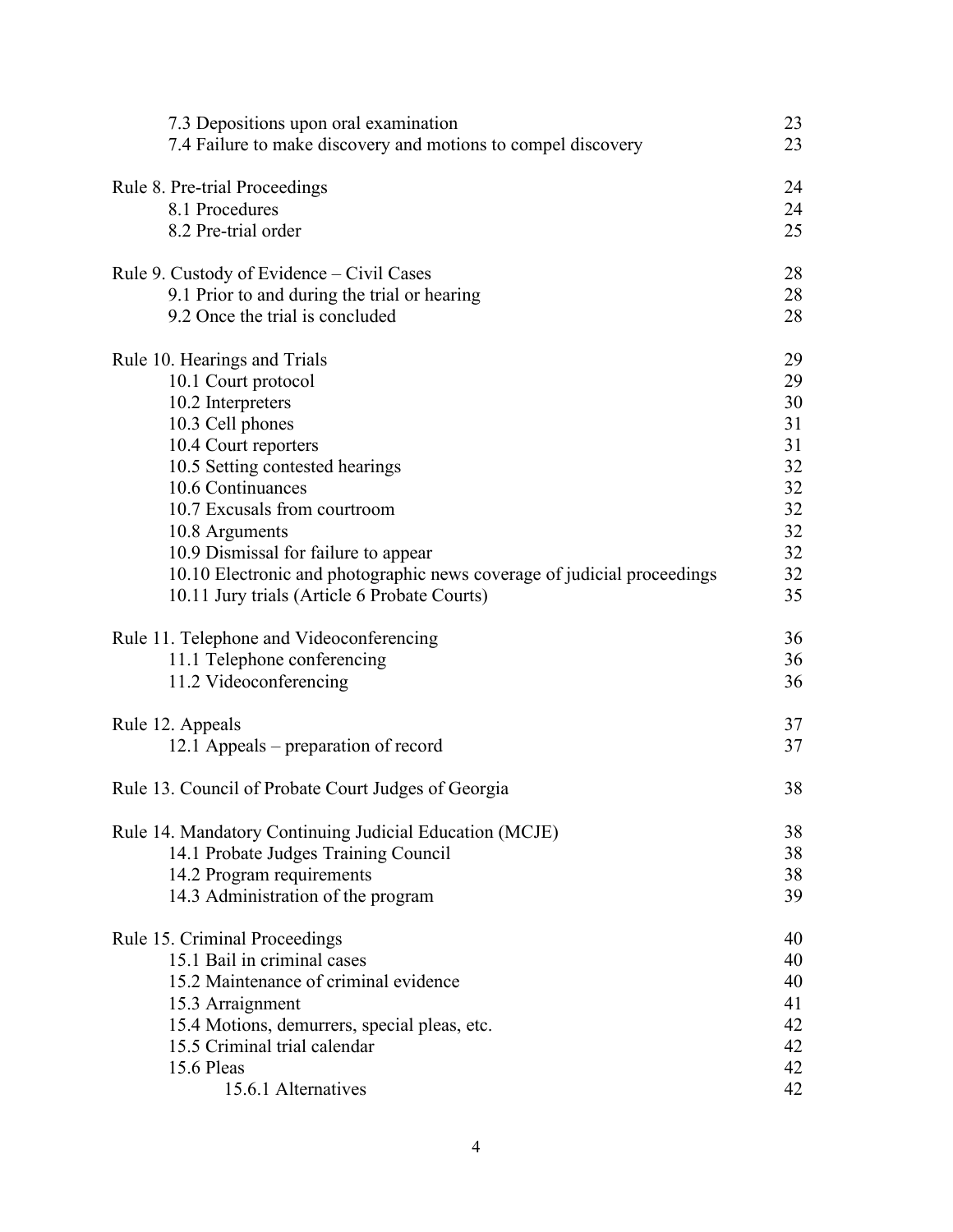| 7.3 Depositions upon oral examination<br>7.4 Failure to make discovery and motions to compel discovery | 23<br>23 |
|--------------------------------------------------------------------------------------------------------|----------|
| Rule 8. Pre-trial Proceedings                                                                          | 24       |
| 8.1 Procedures                                                                                         | 24       |
| 8.2 Pre-trial order                                                                                    | 25       |
| Rule 9. Custody of Evidence – Civil Cases                                                              | 28       |
| 9.1 Prior to and during the trial or hearing                                                           | 28       |
| 9.2 Once the trial is concluded                                                                        | 28       |
| Rule 10. Hearings and Trials                                                                           | 29       |
| 10.1 Court protocol                                                                                    | 29       |
| 10.2 Interpreters                                                                                      | 30       |
| 10.3 Cell phones                                                                                       | 31       |
| 10.4 Court reporters                                                                                   | 31       |
| 10.5 Setting contested hearings                                                                        | 32       |
| 10.6 Continuances                                                                                      | 32       |
| 10.7 Excusals from courtroom                                                                           | 32<br>32 |
| 10.8 Arguments<br>10.9 Dismissal for failure to appear                                                 | 32       |
| 10.10 Electronic and photographic news coverage of judicial proceedings                                | 32       |
| 10.11 Jury trials (Article 6 Probate Courts)                                                           | 35       |
| Rule 11. Telephone and Videoconferencing                                                               | 36       |
| 11.1 Telephone conferencing                                                                            | 36       |
| 11.2 Videoconferencing                                                                                 | 36       |
| Rule 12. Appeals                                                                                       | 37       |
| 12.1 Appeals – preparation of record                                                                   | 37       |
| Rule 13. Council of Probate Court Judges of Georgia                                                    | 38       |
| Rule 14. Mandatory Continuing Judicial Education (MCJE)                                                | 38       |
| 14.1 Probate Judges Training Council                                                                   | 38       |
| 14.2 Program requirements                                                                              | 38       |
| 14.3 Administration of the program                                                                     | 39       |
| Rule 15. Criminal Proceedings                                                                          | 40       |
| 15.1 Bail in criminal cases                                                                            | 40       |
| 15.2 Maintenance of criminal evidence                                                                  | 40       |
| 15.3 Arraignment                                                                                       | 41       |
| 15.4 Motions, demurrers, special pleas, etc.                                                           | 42       |
| 15.5 Criminal trial calendar<br>15.6 Pleas                                                             | 42       |
| 15.6.1 Alternatives                                                                                    | 42<br>42 |
|                                                                                                        |          |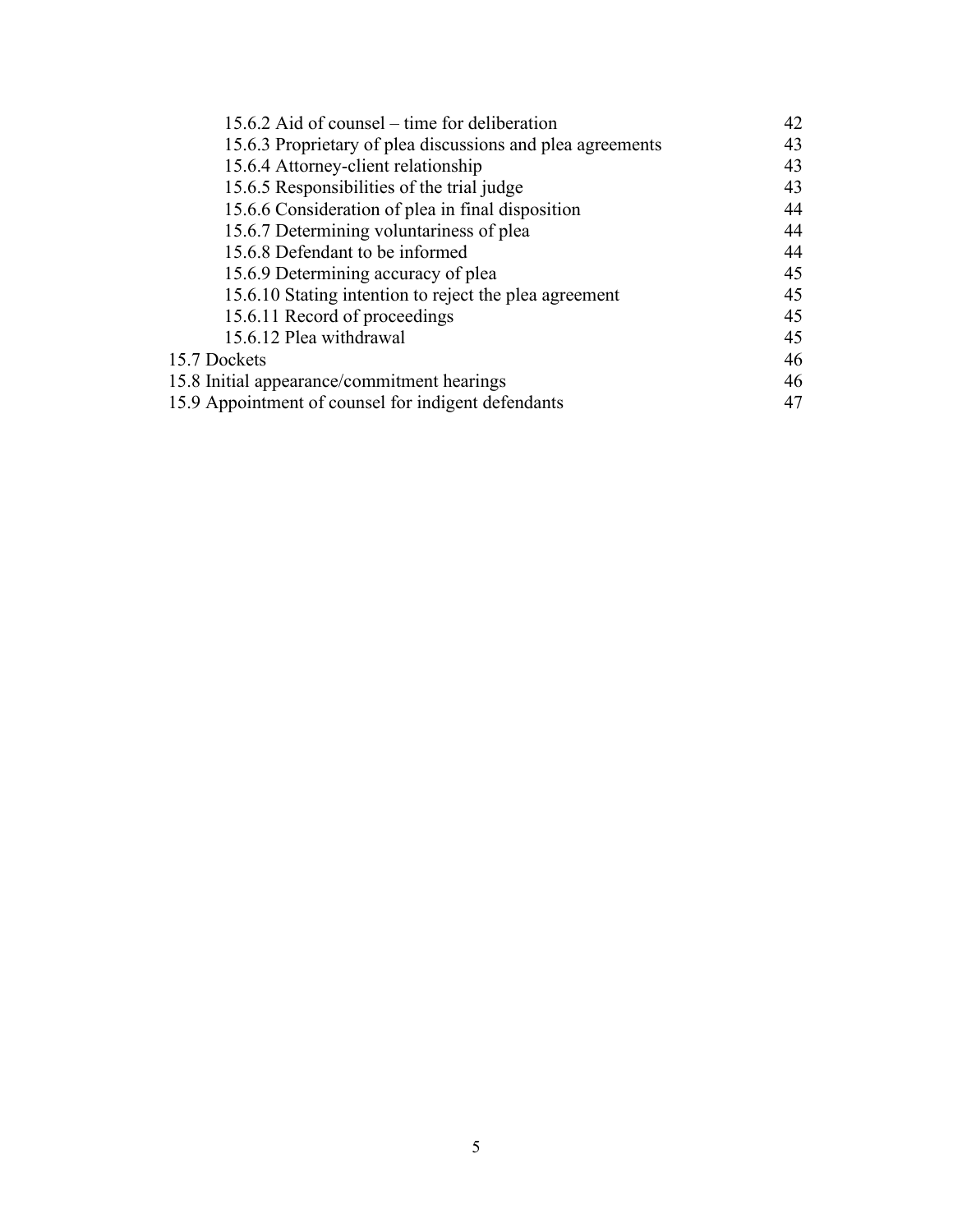| 15.6.2 Aid of counsel – time for deliberation              | 42 |
|------------------------------------------------------------|----|
| 15.6.3 Proprietary of plea discussions and plea agreements | 43 |
| 15.6.4 Attorney-client relationship                        | 43 |
| 15.6.5 Responsibilities of the trial judge                 | 43 |
| 15.6.6 Consideration of plea in final disposition          | 44 |
| 15.6.7 Determining voluntariness of plea                   | 44 |
| 15.6.8 Defendant to be informed                            | 44 |
| 15.6.9 Determining accuracy of plea                        | 45 |
| 15.6.10 Stating intention to reject the plea agreement     | 45 |
| 15.6.11 Record of proceedings                              | 45 |
| 15.6.12 Plea withdrawal                                    | 45 |
| 15.7 Dockets                                               | 46 |
| 15.8 Initial appearance/commitment hearings                | 46 |
| 15.9 Appointment of counsel for indigent defendants        | 47 |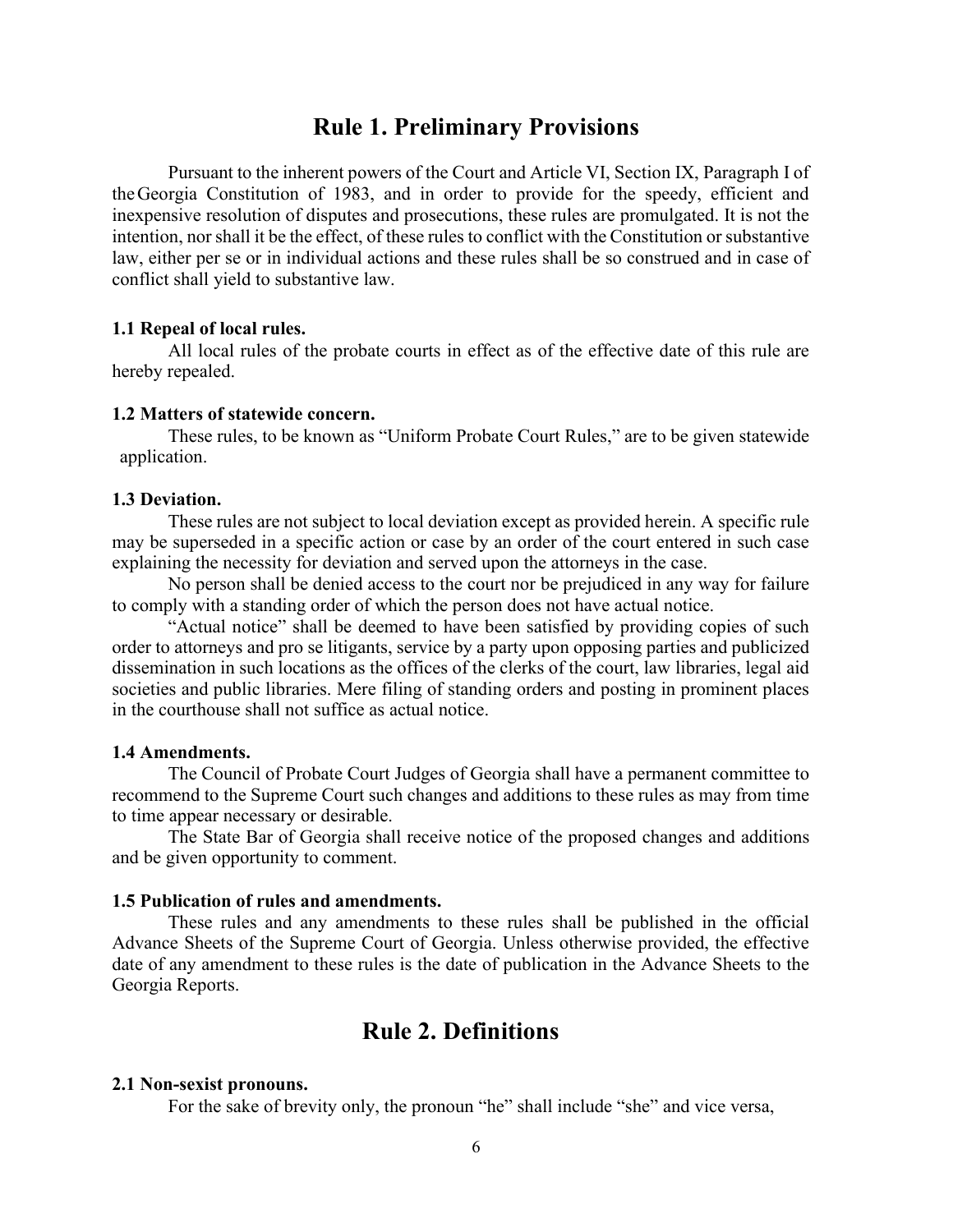# **Rule 1. Preliminary Provisions**

Pursuant to the inherent powers of the Court and Article VI, Section IX, Paragraph I of theGeorgia Constitution of 1983, and in order to provide for the speedy, efficient and inexpensive resolution of disputes and prosecutions, these rules are promulgated. It is not the intention, norshall it be the effect, of these rules to conflict with the Constitution or substantive law, either per se or in individual actions and these rules shall be so construed and in case of conflict shall yield to substantive law.

### **1.1 Repeal of local rules.**

All local rules of the probate courts in effect as of the effective date of this rule are hereby repealed.

### **1.2 Matters of statewide concern.**

These rules, to be known as "Uniform Probate Court Rules," are to be given statewide application.

### **1.3 Deviation.**

These rules are not subject to local deviation except as provided herein. A specific rule may be superseded in a specific action or case by an order of the court entered in such case explaining the necessity for deviation and served upon the attorneys in the case.

No person shall be denied access to the court nor be prejudiced in any way for failure to comply with a standing order of which the person does not have actual notice.

"Actual notice" shall be deemed to have been satisfied by providing copies of such order to attorneys and pro se litigants, service by a party upon opposing parties and publicized dissemination in such locations as the offices of the clerks of the court, law libraries, legal aid societies and public libraries. Mere filing of standing orders and posting in prominent places in the courthouse shall not suffice as actual notice.

### **1.4 Amendments.**

The Council of Probate Court Judges of Georgia shall have a permanent committee to recommend to the Supreme Court such changes and additions to these rules as may from time to time appear necessary or desirable.

The State Bar of Georgia shall receive notice of the proposed changes and additions and be given opportunity to comment.

### **1.5 Publication of rules and amendments.**

These rules and any amendments to these rules shall be published in the official Advance Sheets of the Supreme Court of Georgia. Unless otherwise provided, the effective date of any amendment to these rules is the date of publication in the Advance Sheets to the Georgia Reports.

# **Rule 2. Definitions**

### **2.1 Non-sexist pronouns.**

For the sake of brevity only, the pronoun "he" shall include "she" and vice versa,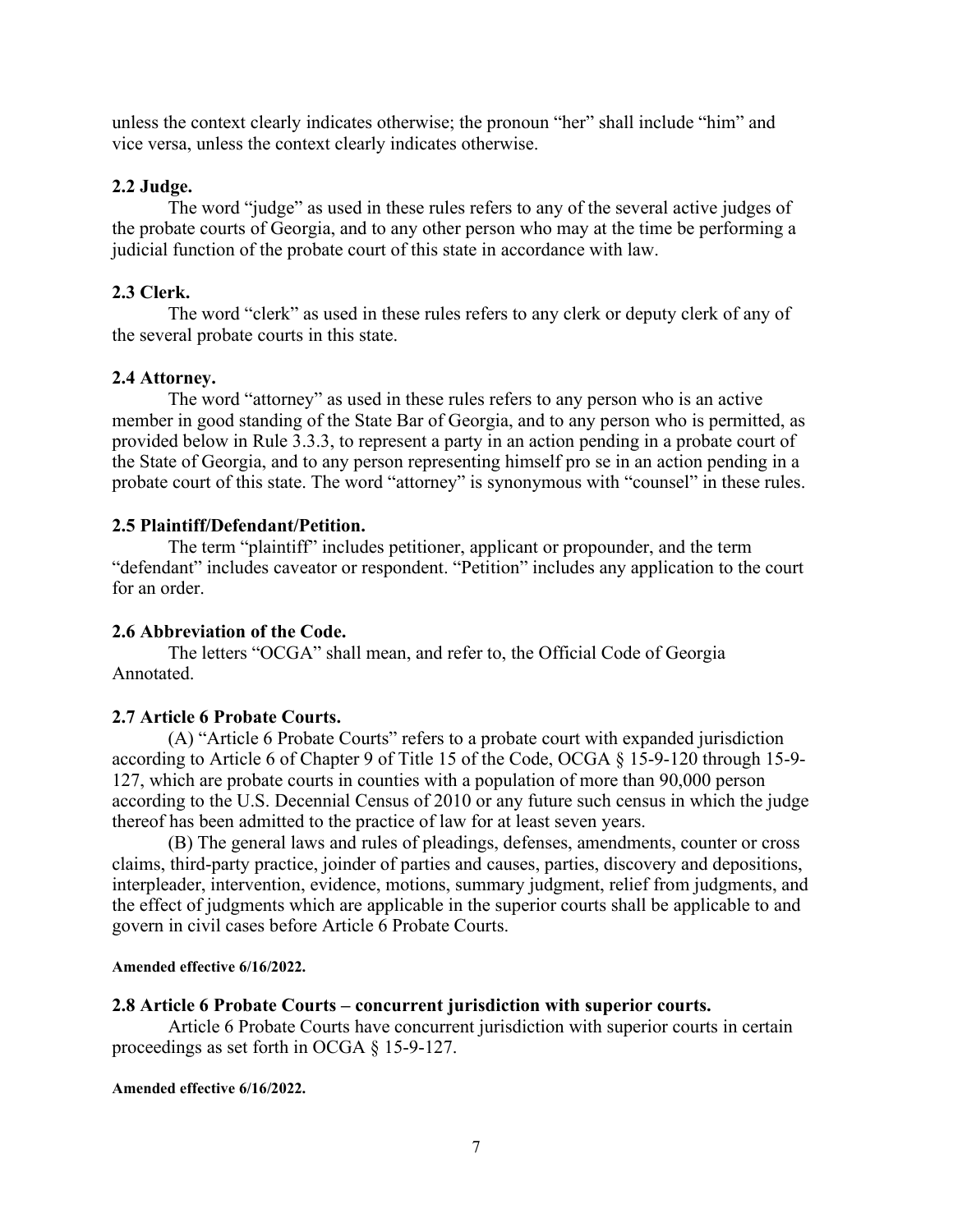unless the context clearly indicates otherwise; the pronoun "her" shall include "him" and vice versa, unless the context clearly indicates otherwise.

# **2.2 Judge.**

The word "judge" as used in these rules refers to any of the several active judges of the probate courts of Georgia, and to any other person who may at the time be performing a judicial function of the probate court of this state in accordance with law.

# **2.3 Clerk.**

The word "clerk" as used in these rules refers to any clerk or deputy clerk of any of the several probate courts in this state.

# **2.4 Attorney.**

The word "attorney" as used in these rules refers to any person who is an active member in good standing of the State Bar of Georgia, and to any person who is permitted, as provided below in Rule 3.3.3, to represent a party in an action pending in a probate court of the State of Georgia, and to any person representing himself pro se in an action pending in a probate court of this state. The word "attorney" is synonymous with "counsel" in these rules.

# **2.5 Plaintiff/Defendant/Petition.**

The term "plaintiff" includes petitioner, applicant or propounder, and the term "defendant" includes caveator or respondent. "Petition" includes any application to the court for an order.

# **2.6 Abbreviation of the Code.**

The letters "OCGA" shall mean, and refer to, the Official Code of Georgia Annotated.

# **2.7 Article 6 Probate Courts.**

(A) "Article 6 Probate Courts" refers to a probate court with expanded jurisdiction according to Article 6 of Chapter 9 of Title 15 of the Code, OCGA § 15-9-120 through 15-9- 127, which are probate courts in counties with a population of more than 90,000 person according to the U.S. Decennial Census of 2010 or any future such census in which the judge thereof has been admitted to the practice of law for at least seven years.

(B) The general laws and rules of pleadings, defenses, amendments, counter or cross claims, third-party practice, joinder of parties and causes, parties, discovery and depositions, interpleader, intervention, evidence, motions, summary judgment, relief from judgments, and the effect of judgments which are applicable in the superior courts shall be applicable to and govern in civil cases before Article 6 Probate Courts.

### **Amended effective 6/16/2022.**

### **2.8 Article 6 Probate Courts – concurrent jurisdiction with superior courts.**

Article 6 Probate Courts have concurrent jurisdiction with superior courts in certain proceedings as set forth in OCGA § 15-9-127.

### **Amended effective 6/16/2022.**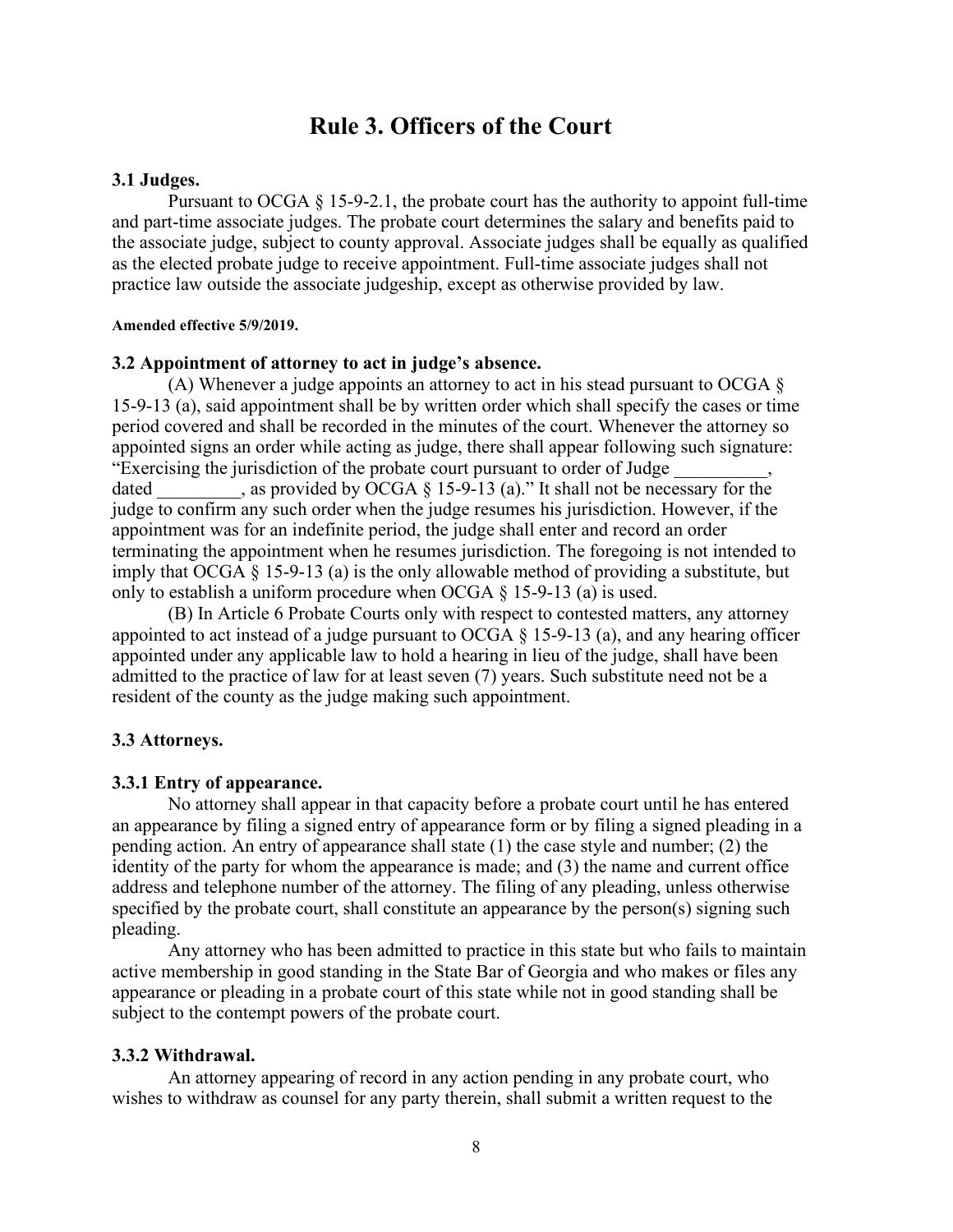# **Rule 3. Officers of the Court**

# **3.1 Judges.**

Pursuant to OCGA  $\S$  15-9-2.1, the probate court has the authority to appoint full-time and part-time associate judges. The probate court determines the salary and benefits paid to the associate judge, subject to county approval. Associate judges shall be equally as qualified as the elected probate judge to receive appointment. Full-time associate judges shall not practice law outside the associate judgeship, except as otherwise provided by law.

#### **Amended effective 5/9/2019.**

### **3.2 Appointment of attorney to act in judge's absence.**

(A) Whenever a judge appoints an attorney to act in his stead pursuant to OCGA § 15-9-13 (a), said appointment shall be by written order which shall specify the cases or time period covered and shall be recorded in the minutes of the court. Whenever the attorney so appointed signs an order while acting as judge, there shall appear following such signature: "Exercising the jurisdiction of the probate court pursuant to order of Judge \_\_\_\_\_\_\_\_\_\_, dated as provided by OCGA  $\S$  15-9-13 (a)." It shall not be necessary for the judge to confirm any such order when the judge resumes his jurisdiction. However, if the appointment was for an indefinite period, the judge shall enter and record an order terminating the appointment when he resumes jurisdiction. The foregoing is not intended to imply that OCGA § 15-9-13 (a) is the only allowable method of providing a substitute, but only to establish a uniform procedure when OCGA  $\S$  15-9-13 (a) is used.

(B) In Article 6 Probate Courts only with respect to contested matters, any attorney appointed to act instead of a judge pursuant to OCGA § 15-9-13 (a), and any hearing officer appointed under any applicable law to hold a hearing in lieu of the judge, shall have been admitted to the practice of law for at least seven (7) years. Such substitute need not be a resident of the county as the judge making such appointment.

### **3.3 Attorneys.**

### **3.3.1 Entry of appearance.**

No attorney shall appear in that capacity before a probate court until he has entered an appearance by filing a signed entry of appearance form or by filing a signed pleading in a pending action. An entry of appearance shall state (1) the case style and number; (2) the identity of the party for whom the appearance is made; and (3) the name and current office address and telephone number of the attorney. The filing of any pleading, unless otherwise specified by the probate court, shall constitute an appearance by the person(s) signing such pleading.

Any attorney who has been admitted to practice in this state but who fails to maintain active membership in good standing in the State Bar of Georgia and who makes or files any appearance or pleading in a probate court of this state while not in good standing shall be subject to the contempt powers of the probate court.

### **3.3.2 Withdrawal.**

An attorney appearing of record in any action pending in any probate court, who wishes to withdraw as counsel for any party therein, shall submit a written request to the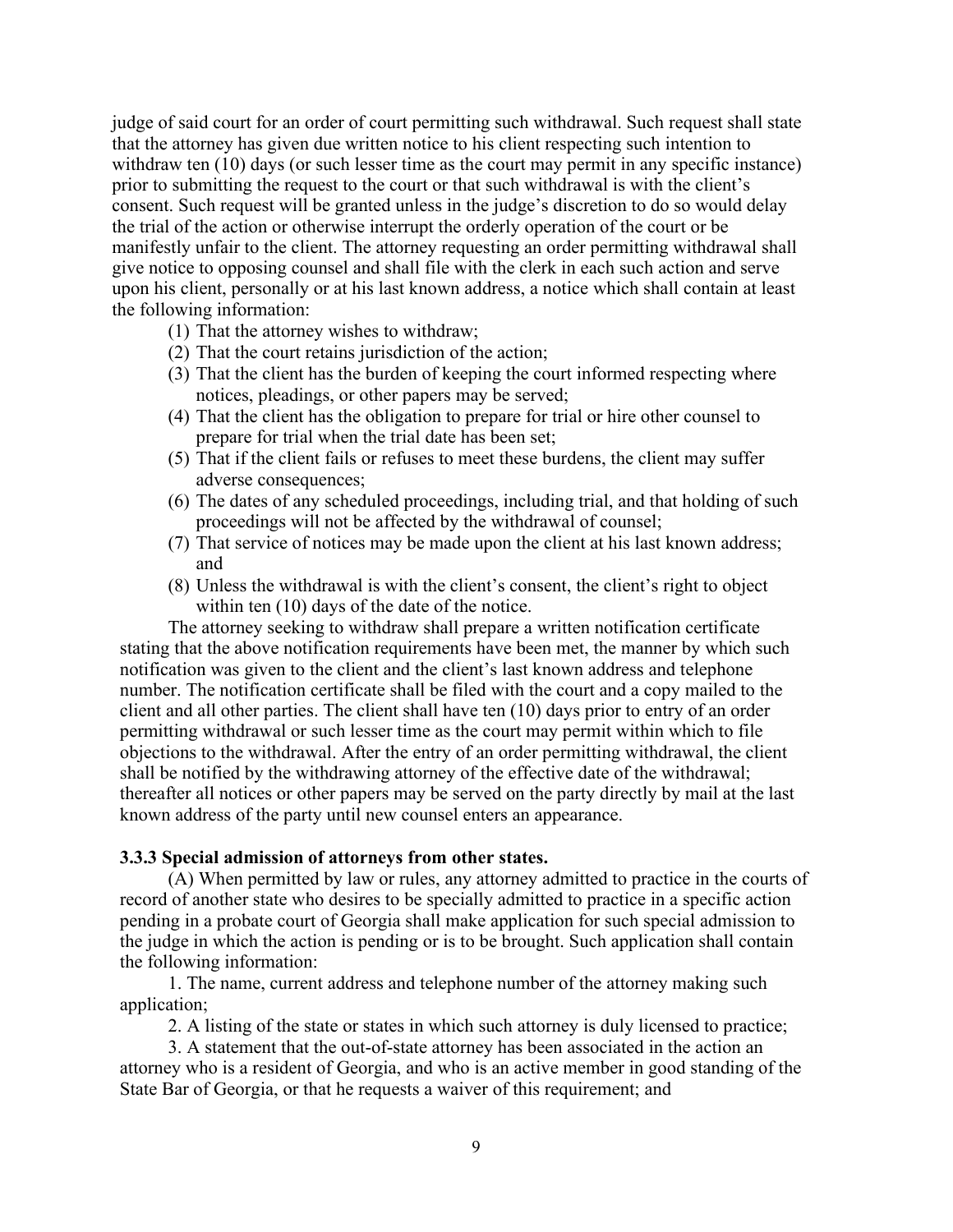judge of said court for an order of court permitting such withdrawal. Such request shall state that the attorney has given due written notice to his client respecting such intention to withdraw ten (10) days (or such lesser time as the court may permit in any specific instance) prior to submitting the request to the court or that such withdrawal is with the client's consent. Such request will be granted unless in the judge's discretion to do so would delay the trial of the action or otherwise interrupt the orderly operation of the court or be manifestly unfair to the client. The attorney requesting an order permitting withdrawal shall give notice to opposing counsel and shall file with the clerk in each such action and serve upon his client, personally or at his last known address, a notice which shall contain at least the following information:

- (1) That the attorney wishes to withdraw;
- (2) That the court retains jurisdiction of the action;
- (3) That the client has the burden of keeping the court informed respecting where notices, pleadings, or other papers may be served;
- (4) That the client has the obligation to prepare for trial or hire other counsel to prepare for trial when the trial date has been set;
- (5) That if the client fails or refuses to meet these burdens, the client may suffer adverse consequences;
- (6) The dates of any scheduled proceedings, including trial, and that holding of such proceedings will not be affected by the withdrawal of counsel;
- (7) That service of notices may be made upon the client at his last known address; and
- (8) Unless the withdrawal is with the client's consent, the client's right to object within ten  $(10)$  days of the date of the notice.

The attorney seeking to withdraw shall prepare a written notification certificate stating that the above notification requirements have been met, the manner by which such notification was given to the client and the client's last known address and telephone number. The notification certificate shall be filed with the court and a copy mailed to the client and all other parties. The client shall have ten (10) days prior to entry of an order permitting withdrawal or such lesser time as the court may permit within which to file objections to the withdrawal. After the entry of an order permitting withdrawal, the client shall be notified by the withdrawing attorney of the effective date of the withdrawal; thereafter all notices or other papers may be served on the party directly by mail at the last known address of the party until new counsel enters an appearance.

### **3.3.3 Special admission of attorneys from other states.**

(A) When permitted by law or rules, any attorney admitted to practice in the courts of record of another state who desires to be specially admitted to practice in a specific action pending in a probate court of Georgia shall make application for such special admission to the judge in which the action is pending or is to be brought. Such application shall contain the following information:

1. The name, current address and telephone number of the attorney making such application;

2. A listing of the state or states in which such attorney is duly licensed to practice;

3. A statement that the out-of-state attorney has been associated in the action an attorney who is a resident of Georgia, and who is an active member in good standing of the State Bar of Georgia, or that he requests a waiver of this requirement; and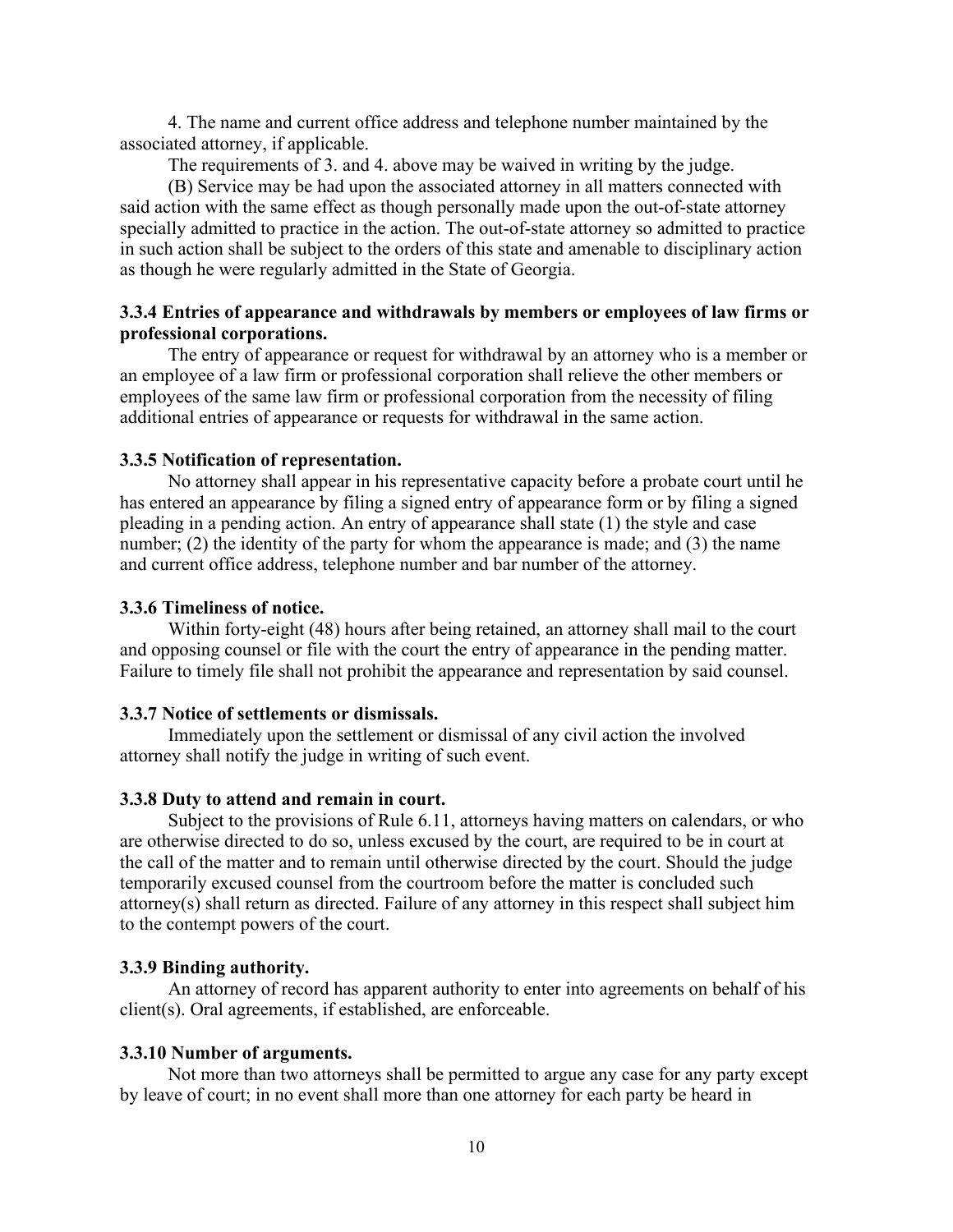4. The name and current office address and telephone number maintained by the associated attorney, if applicable.

The requirements of 3. and 4. above may be waived in writing by the judge.

(B) Service may be had upon the associated attorney in all matters connected with said action with the same effect as though personally made upon the out-of-state attorney specially admitted to practice in the action. The out-of-state attorney so admitted to practice in such action shall be subject to the orders of this state and amenable to disciplinary action as though he were regularly admitted in the State of Georgia.

# **3.3.4 Entries of appearance and withdrawals by members or employees of law firms or professional corporations.**

The entry of appearance or request for withdrawal by an attorney who is a member or an employee of a law firm or professional corporation shall relieve the other members or employees of the same law firm or professional corporation from the necessity of filing additional entries of appearance or requests for withdrawal in the same action.

### **3.3.5 Notification of representation.**

No attorney shall appear in his representative capacity before a probate court until he has entered an appearance by filing a signed entry of appearance form or by filing a signed pleading in a pending action. An entry of appearance shall state (1) the style and case number; (2) the identity of the party for whom the appearance is made; and (3) the name and current office address, telephone number and bar number of the attorney.

### **3.3.6 Timeliness of notice.**

Within forty-eight (48) hours after being retained, an attorney shall mail to the court and opposing counsel or file with the court the entry of appearance in the pending matter. Failure to timely file shall not prohibit the appearance and representation by said counsel.

### **3.3.7 Notice of settlements or dismissals.**

Immediately upon the settlement or dismissal of any civil action the involved attorney shall notify the judge in writing of such event.

### **3.3.8 Duty to attend and remain in court.**

Subject to the provisions of Rule 6.11, attorneys having matters on calendars, or who are otherwise directed to do so, unless excused by the court, are required to be in court at the call of the matter and to remain until otherwise directed by the court. Should the judge temporarily excused counsel from the courtroom before the matter is concluded such attorney(s) shall return as directed. Failure of any attorney in this respect shall subject him to the contempt powers of the court.

### **3.3.9 Binding authority.**

An attorney of record has apparent authority to enter into agreements on behalf of his client(s). Oral agreements, if established, are enforceable.

### **3.3.10 Number of arguments.**

Not more than two attorneys shall be permitted to argue any case for any party except by leave of court; in no event shall more than one attorney for each party be heard in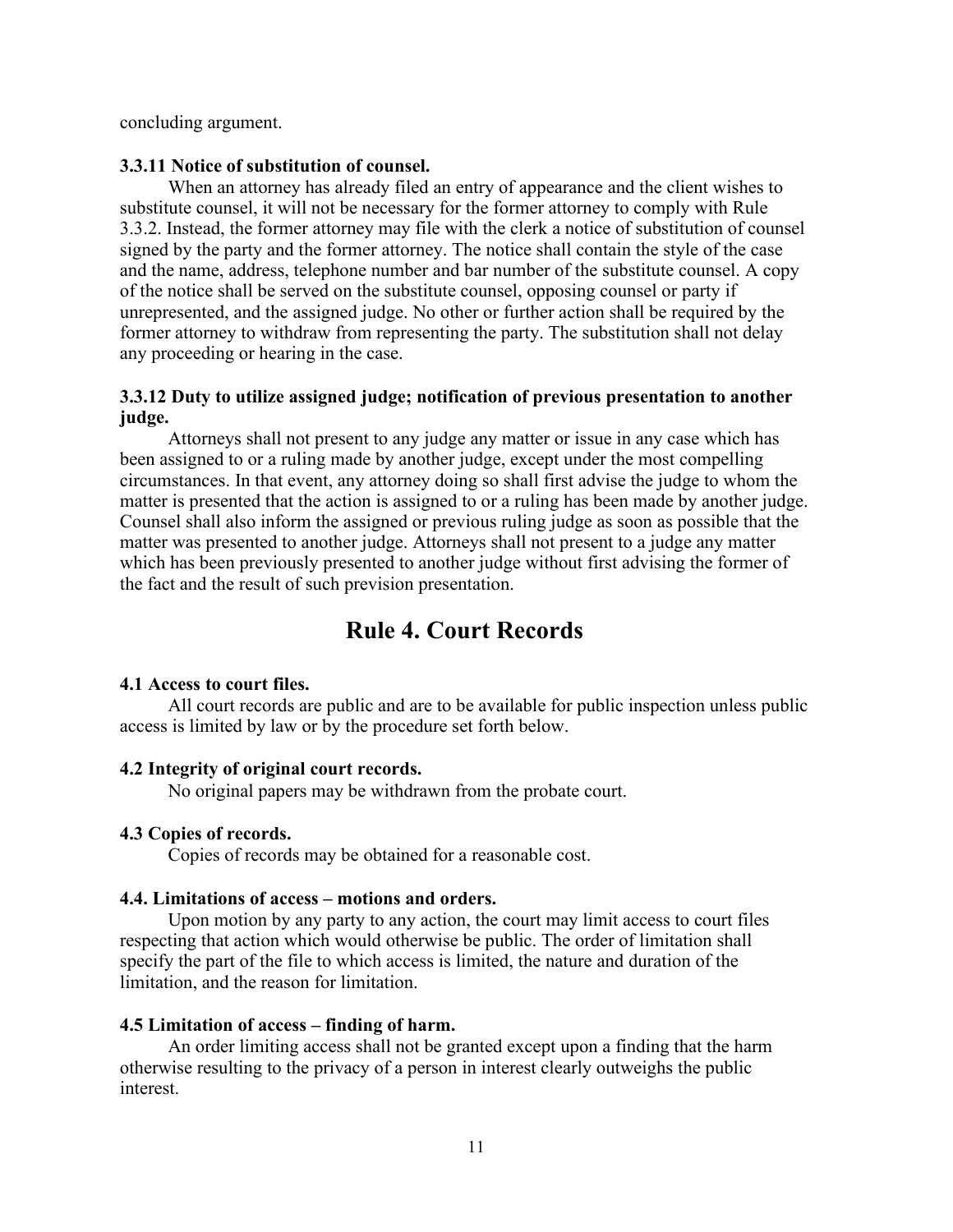concluding argument.

# **3.3.11 Notice of substitution of counsel.**

When an attorney has already filed an entry of appearance and the client wishes to substitute counsel, it will not be necessary for the former attorney to comply with Rule 3.3.2. Instead, the former attorney may file with the clerk a notice of substitution of counsel signed by the party and the former attorney. The notice shall contain the style of the case and the name, address, telephone number and bar number of the substitute counsel. A copy of the notice shall be served on the substitute counsel, opposing counsel or party if unrepresented, and the assigned judge. No other or further action shall be required by the former attorney to withdraw from representing the party. The substitution shall not delay any proceeding or hearing in the case.

# **3.3.12 Duty to utilize assigned judge; notification of previous presentation to another judge.**

Attorneys shall not present to any judge any matter or issue in any case which has been assigned to or a ruling made by another judge, except under the most compelling circumstances. In that event, any attorney doing so shall first advise the judge to whom the matter is presented that the action is assigned to or a ruling has been made by another judge. Counsel shall also inform the assigned or previous ruling judge as soon as possible that the matter was presented to another judge. Attorneys shall not present to a judge any matter which has been previously presented to another judge without first advising the former of the fact and the result of such prevision presentation.

# **Rule 4. Court Records**

### **4.1 Access to court files.**

All court records are public and are to be available for public inspection unless public access is limited by law or by the procedure set forth below.

# **4.2 Integrity of original court records.**

No original papers may be withdrawn from the probate court.

### **4.3 Copies of records.**

Copies of records may be obtained for a reasonable cost.

# **4.4. Limitations of access – motions and orders.**

Upon motion by any party to any action, the court may limit access to court files respecting that action which would otherwise be public. The order of limitation shall specify the part of the file to which access is limited, the nature and duration of the limitation, and the reason for limitation.

### **4.5 Limitation of access – finding of harm.**

An order limiting access shall not be granted except upon a finding that the harm otherwise resulting to the privacy of a person in interest clearly outweighs the public interest.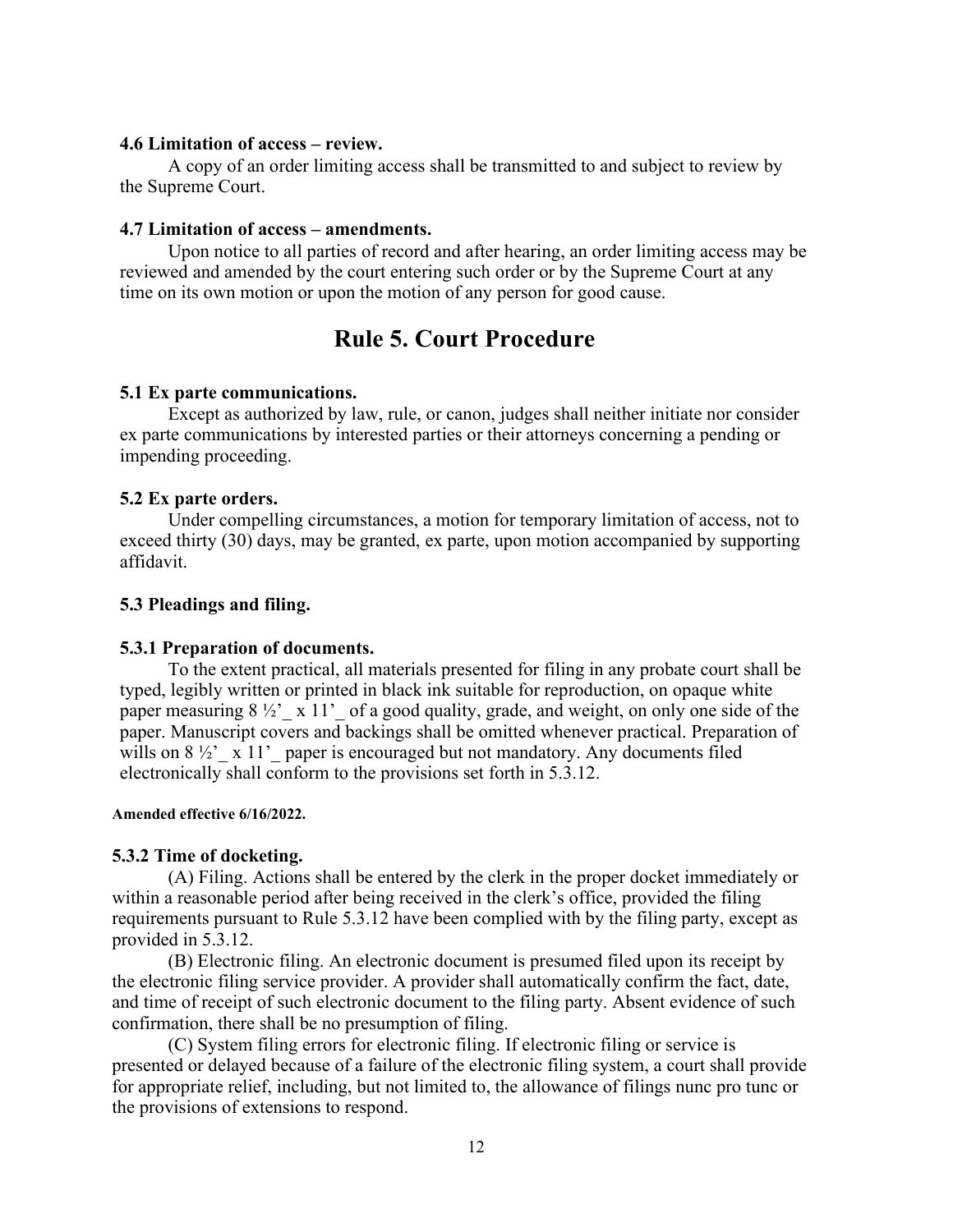### **4.6 Limitation of access – review.**

A copy of an order limiting access shall be transmitted to and subject to review by the Supreme Court.

### **4.7 Limitation of access – amendments.**

Upon notice to all parties of record and after hearing, an order limiting access may be reviewed and amended by the court entering such order or by the Supreme Court at any time on its own motion or upon the motion of any person for good cause.

# **Rule 5. Court Procedure**

### **5.1 Ex parte communications.**

Except as authorized by law, rule, or canon, judges shall neither initiate nor consider ex parte communications by interested parties or their attorneys concerning a pending or impending proceeding.

### **5.2 Ex parte orders.**

Under compelling circumstances, a motion for temporary limitation of access, not to exceed thirty (30) days, may be granted, ex parte, upon motion accompanied by supporting affidavit.

### **5.3 Pleadings and filing.**

### **5.3.1 Preparation of documents.**

To the extent practical, all materials presented for filing in any probate court shall be typed, legibly written or printed in black ink suitable for reproduction, on opaque white paper measuring  $8\frac{1}{2}$  x 11' of a good quality, grade, and weight, on only one side of the paper. Manuscript covers and backings shall be omitted whenever practical. Preparation of wills on  $8\frac{1}{2}$  x 11' paper is encouraged but not mandatory. Any documents filed electronically shall conform to the provisions set forth in 5.3.12.

### **Amended effective 6/16/2022.**

### **5.3.2 Time of docketing.**

(A) Filing. Actions shall be entered by the clerk in the proper docket immediately or within a reasonable period after being received in the clerk's office, provided the filing requirements pursuant to Rule 5.3.12 have been complied with by the filing party, except as provided in 5.3.12.

(B) Electronic filing. An electronic document is presumed filed upon its receipt by the electronic filing service provider. A provider shall automatically confirm the fact, date, and time of receipt of such electronic document to the filing party. Absent evidence of such confirmation, there shall be no presumption of filing.

(C) System filing errors for electronic filing. If electronic filing or service is presented or delayed because of a failure of the electronic filing system, a court shall provide for appropriate relief, including, but not limited to, the allowance of filings nunc pro tunc or the provisions of extensions to respond.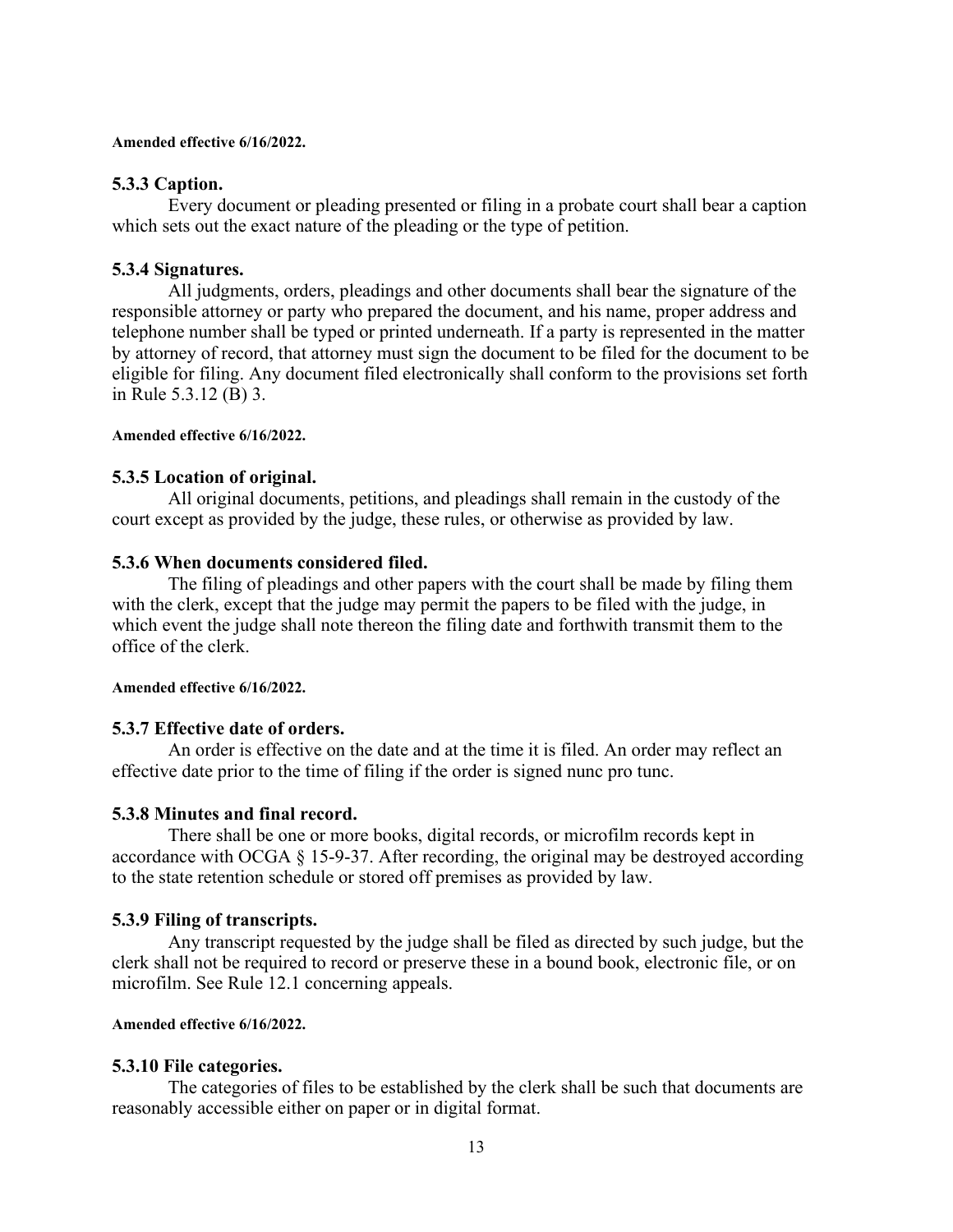### **Amended effective 6/16/2022.**

# **5.3.3 Caption.**

Every document or pleading presented or filing in a probate court shall bear a caption which sets out the exact nature of the pleading or the type of petition.

# **5.3.4 Signatures.**

All judgments, orders, pleadings and other documents shall bear the signature of the responsible attorney or party who prepared the document, and his name, proper address and telephone number shall be typed or printed underneath. If a party is represented in the matter by attorney of record, that attorney must sign the document to be filed for the document to be eligible for filing. Any document filed electronically shall conform to the provisions set forth in Rule 5.3.12 (B) 3.

# **Amended effective 6/16/2022.**

# **5.3.5 Location of original.**

All original documents, petitions, and pleadings shall remain in the custody of the court except as provided by the judge, these rules, or otherwise as provided by law.

# **5.3.6 When documents considered filed.**

The filing of pleadings and other papers with the court shall be made by filing them with the clerk, except that the judge may permit the papers to be filed with the judge, in which event the judge shall note thereon the filing date and forthwith transmit them to the office of the clerk.

### **Amended effective 6/16/2022.**

# **5.3.7 Effective date of orders.**

An order is effective on the date and at the time it is filed. An order may reflect an effective date prior to the time of filing if the order is signed nunc pro tunc.

# **5.3.8 Minutes and final record.**

There shall be one or more books, digital records, or microfilm records kept in accordance with OCGA § 15-9-37. After recording, the original may be destroyed according to the state retention schedule or stored off premises as provided by law.

# **5.3.9 Filing of transcripts.**

Any transcript requested by the judge shall be filed as directed by such judge, but the clerk shall not be required to record or preserve these in a bound book, electronic file, or on microfilm. See Rule 12.1 concerning appeals.

# **Amended effective 6/16/2022.**

# **5.3.10 File categories.**

The categories of files to be established by the clerk shall be such that documents are reasonably accessible either on paper or in digital format.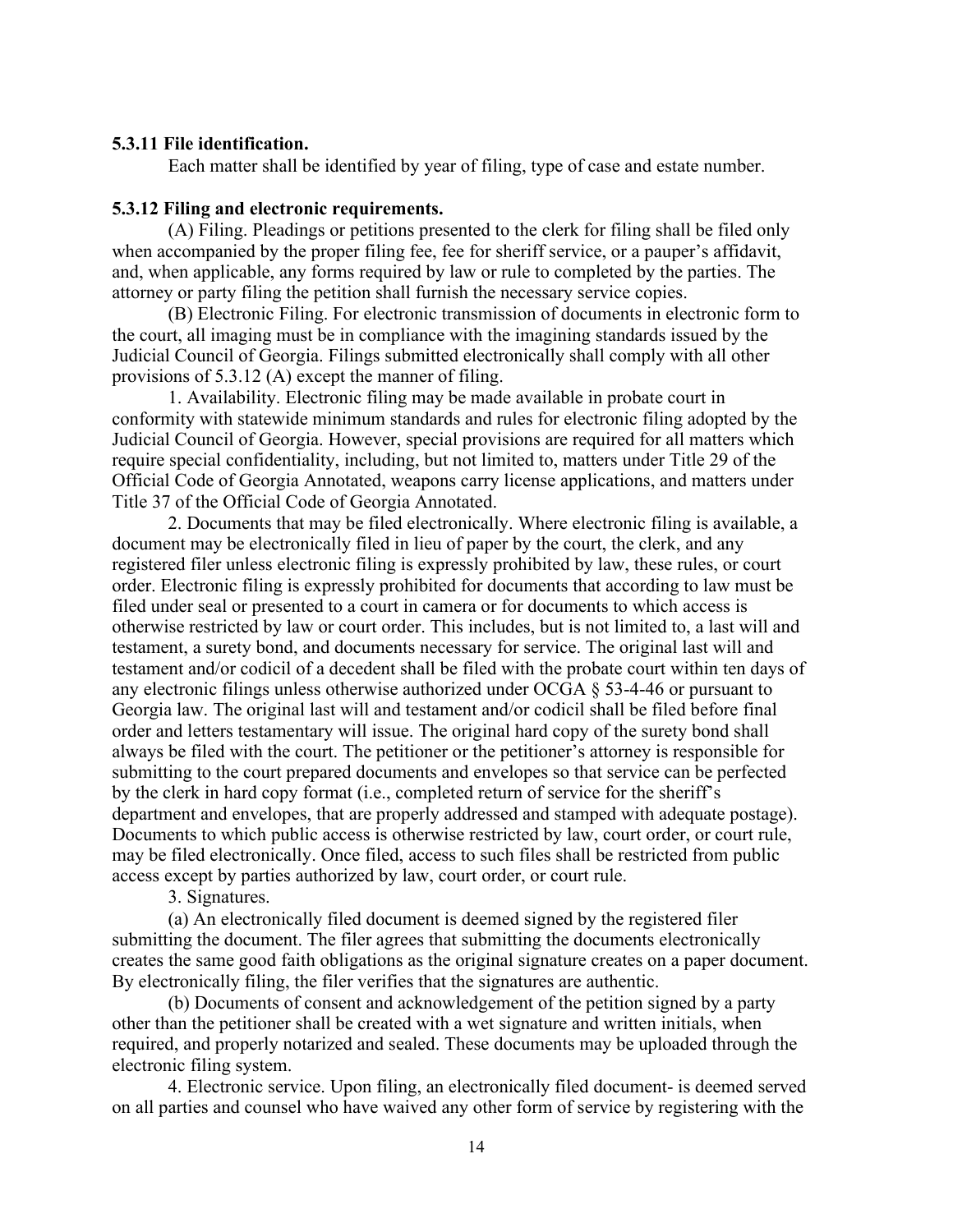### **5.3.11 File identification.**

Each matter shall be identified by year of filing, type of case and estate number.

## **5.3.12 Filing and electronic requirements.**

(A) Filing. Pleadings or petitions presented to the clerk for filing shall be filed only when accompanied by the proper filing fee, fee for sheriff service, or a pauper's affidavit, and, when applicable, any forms required by law or rule to completed by the parties. The attorney or party filing the petition shall furnish the necessary service copies.

(B) Electronic Filing. For electronic transmission of documents in electronic form to the court, all imaging must be in compliance with the imagining standards issued by the Judicial Council of Georgia. Filings submitted electronically shall comply with all other provisions of 5.3.12 (A) except the manner of filing.

1. Availability. Electronic filing may be made available in probate court in conformity with statewide minimum standards and rules for electronic filing adopted by the Judicial Council of Georgia. However, special provisions are required for all matters which require special confidentiality, including, but not limited to, matters under Title 29 of the Official Code of Georgia Annotated, weapons carry license applications, and matters under Title 37 of the Official Code of Georgia Annotated.

2. Documents that may be filed electronically. Where electronic filing is available, a document may be electronically filed in lieu of paper by the court, the clerk, and any registered filer unless electronic filing is expressly prohibited by law, these rules, or court order. Electronic filing is expressly prohibited for documents that according to law must be filed under seal or presented to a court in camera or for documents to which access is otherwise restricted by law or court order. This includes, but is not limited to, a last will and testament, a surety bond, and documents necessary for service. The original last will and testament and/or codicil of a decedent shall be filed with the probate court within ten days of any electronic filings unless otherwise authorized under OCGA § 53-4-46 or pursuant to Georgia law. The original last will and testament and/or codicil shall be filed before final order and letters testamentary will issue. The original hard copy of the surety bond shall always be filed with the court. The petitioner or the petitioner's attorney is responsible for submitting to the court prepared documents and envelopes so that service can be perfected by the clerk in hard copy format (i.e., completed return of service for the sheriff's department and envelopes, that are properly addressed and stamped with adequate postage). Documents to which public access is otherwise restricted by law, court order, or court rule, may be filed electronically. Once filed, access to such files shall be restricted from public access except by parties authorized by law, court order, or court rule.

3. Signatures.

(a) An electronically filed document is deemed signed by the registered filer submitting the document. The filer agrees that submitting the documents electronically creates the same good faith obligations as the original signature creates on a paper document. By electronically filing, the filer verifies that the signatures are authentic.

(b) Documents of consent and acknowledgement of the petition signed by a party other than the petitioner shall be created with a wet signature and written initials, when required, and properly notarized and sealed. These documents may be uploaded through the electronic filing system.

4. Electronic service. Upon filing, an electronically filed document- is deemed served on all parties and counsel who have waived any other form of service by registering with the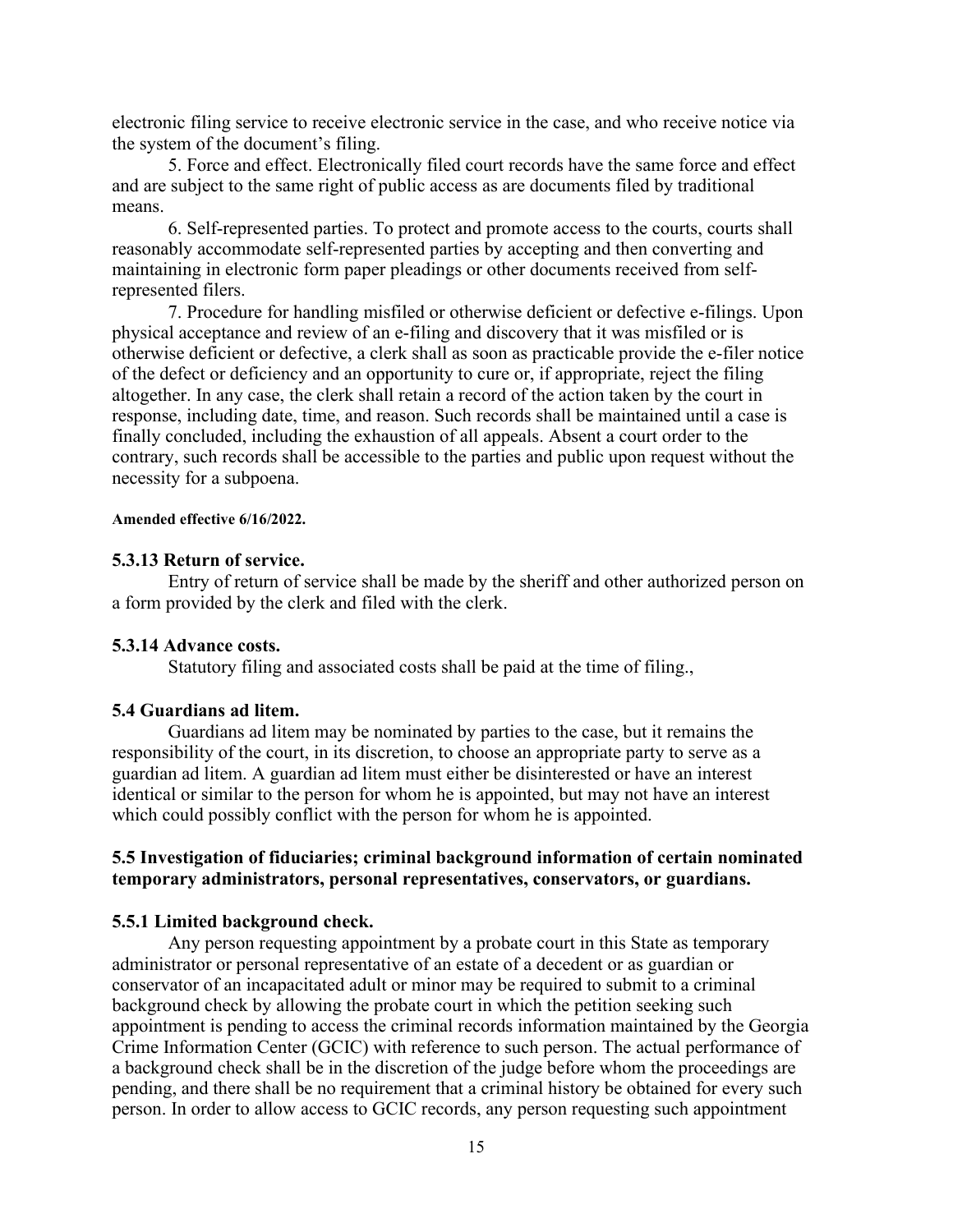electronic filing service to receive electronic service in the case, and who receive notice via the system of the document's filing.

5. Force and effect. Electronically filed court records have the same force and effect and are subject to the same right of public access as are documents filed by traditional means.

6. Self-represented parties. To protect and promote access to the courts, courts shall reasonably accommodate self-represented parties by accepting and then converting and maintaining in electronic form paper pleadings or other documents received from selfrepresented filers.

7. Procedure for handling misfiled or otherwise deficient or defective e-filings. Upon physical acceptance and review of an e-filing and discovery that it was misfiled or is otherwise deficient or defective, a clerk shall as soon as practicable provide the e-filer notice of the defect or deficiency and an opportunity to cure or, if appropriate, reject the filing altogether. In any case, the clerk shall retain a record of the action taken by the court in response, including date, time, and reason. Such records shall be maintained until a case is finally concluded, including the exhaustion of all appeals. Absent a court order to the contrary, such records shall be accessible to the parties and public upon request without the necessity for a subpoena.

### **Amended effective 6/16/2022.**

### **5.3.13 Return of service.**

Entry of return of service shall be made by the sheriff and other authorized person on a form provided by the clerk and filed with the clerk.

### **5.3.14 Advance costs.**

Statutory filing and associated costs shall be paid at the time of filing.,

# **5.4 Guardians ad litem.**

Guardians ad litem may be nominated by parties to the case, but it remains the responsibility of the court, in its discretion, to choose an appropriate party to serve as a guardian ad litem. A guardian ad litem must either be disinterested or have an interest identical or similar to the person for whom he is appointed, but may not have an interest which could possibly conflict with the person for whom he is appointed.

# **5.5 Investigation of fiduciaries; criminal background information of certain nominated temporary administrators, personal representatives, conservators, or guardians.**

### **5.5.1 Limited background check.**

Any person requesting appointment by a probate court in this State as temporary administrator or personal representative of an estate of a decedent or as guardian or conservator of an incapacitated adult or minor may be required to submit to a criminal background check by allowing the probate court in which the petition seeking such appointment is pending to access the criminal records information maintained by the Georgia Crime Information Center (GCIC) with reference to such person. The actual performance of a background check shall be in the discretion of the judge before whom the proceedings are pending, and there shall be no requirement that a criminal history be obtained for every such person. In order to allow access to GCIC records, any person requesting such appointment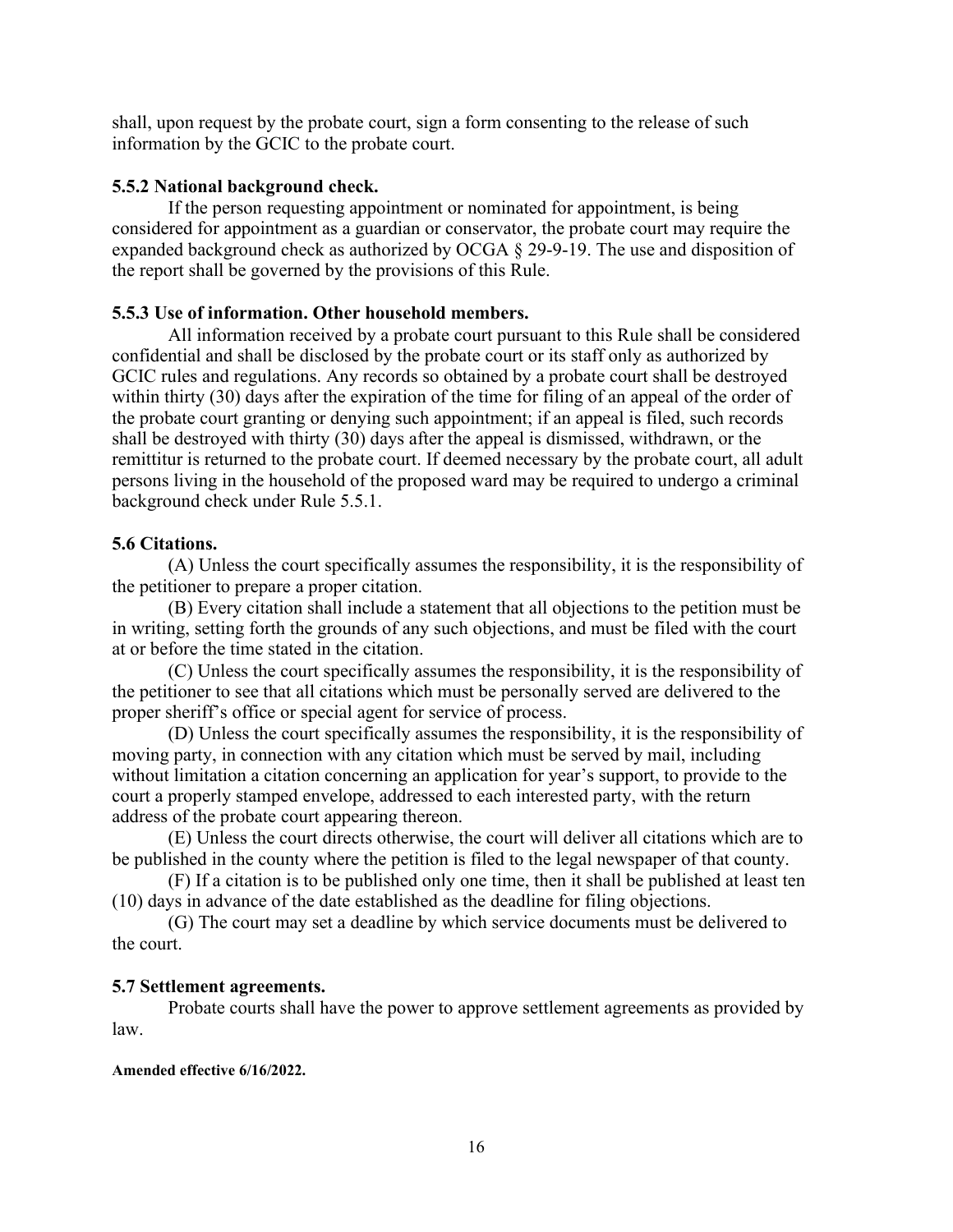shall, upon request by the probate court, sign a form consenting to the release of such information by the GCIC to the probate court.

# **5.5.2 National background check.**

If the person requesting appointment or nominated for appointment, is being considered for appointment as a guardian or conservator, the probate court may require the expanded background check as authorized by OCGA § 29-9-19. The use and disposition of the report shall be governed by the provisions of this Rule.

# **5.5.3 Use of information. Other household members.**

All information received by a probate court pursuant to this Rule shall be considered confidential and shall be disclosed by the probate court or its staff only as authorized by GCIC rules and regulations. Any records so obtained by a probate court shall be destroyed within thirty (30) days after the expiration of the time for filing of an appeal of the order of the probate court granting or denying such appointment; if an appeal is filed, such records shall be destroyed with thirty (30) days after the appeal is dismissed, withdrawn, or the remittitur is returned to the probate court. If deemed necessary by the probate court, all adult persons living in the household of the proposed ward may be required to undergo a criminal background check under Rule 5.5.1.

# **5.6 Citations.**

(A) Unless the court specifically assumes the responsibility, it is the responsibility of the petitioner to prepare a proper citation.

(B) Every citation shall include a statement that all objections to the petition must be in writing, setting forth the grounds of any such objections, and must be filed with the court at or before the time stated in the citation.

(C) Unless the court specifically assumes the responsibility, it is the responsibility of the petitioner to see that all citations which must be personally served are delivered to the proper sheriff's office or special agent for service of process.

(D) Unless the court specifically assumes the responsibility, it is the responsibility of moving party, in connection with any citation which must be served by mail, including without limitation a citation concerning an application for year's support, to provide to the court a properly stamped envelope, addressed to each interested party, with the return address of the probate court appearing thereon.

(E) Unless the court directs otherwise, the court will deliver all citations which are to be published in the county where the petition is filed to the legal newspaper of that county.

(F) If a citation is to be published only one time, then it shall be published at least ten (10) days in advance of the date established as the deadline for filing objections.

(G) The court may set a deadline by which service documents must be delivered to the court.

# **5.7 Settlement agreements.**

Probate courts shall have the power to approve settlement agreements as provided by law.

### **Amended effective 6/16/2022.**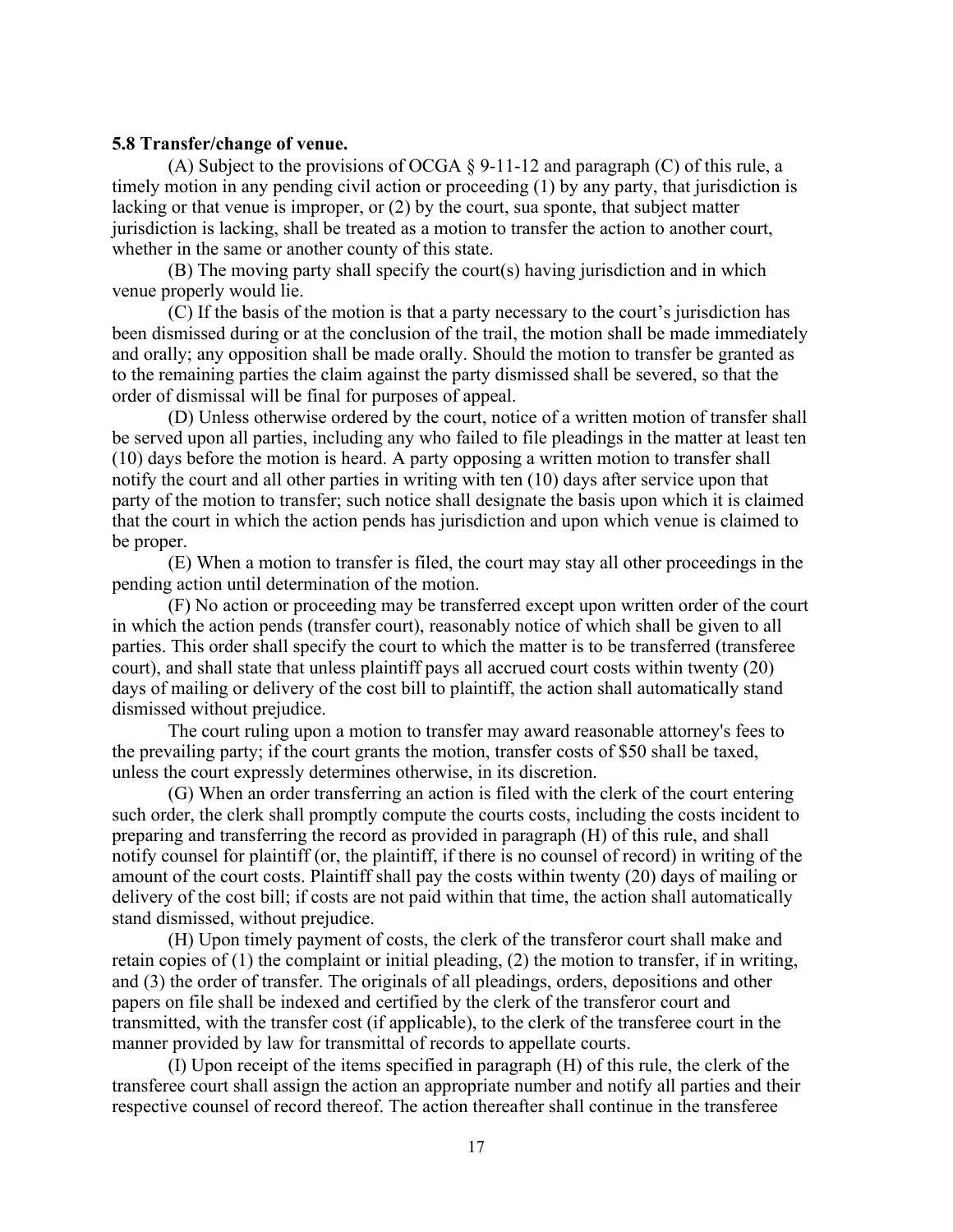### **5.8 Transfer/change of venue.**

(A) Subject to the provisions of OCGA  $\S$  9-11-12 and paragraph (C) of this rule, a timely motion in any pending civil action or proceeding (1) by any party, that jurisdiction is lacking or that venue is improper, or (2) by the court, sua sponte, that subject matter jurisdiction is lacking, shall be treated as a motion to transfer the action to another court, whether in the same or another county of this state.

(B) The moving party shall specify the court(s) having jurisdiction and in which venue properly would lie.

(C) If the basis of the motion is that a party necessary to the court's jurisdiction has been dismissed during or at the conclusion of the trail, the motion shall be made immediately and orally; any opposition shall be made orally. Should the motion to transfer be granted as to the remaining parties the claim against the party dismissed shall be severed, so that the order of dismissal will be final for purposes of appeal.

(D) Unless otherwise ordered by the court, notice of a written motion of transfer shall be served upon all parties, including any who failed to file pleadings in the matter at least ten (10) days before the motion is heard. A party opposing a written motion to transfer shall notify the court and all other parties in writing with ten (10) days after service upon that party of the motion to transfer; such notice shall designate the basis upon which it is claimed that the court in which the action pends has jurisdiction and upon which venue is claimed to be proper.

(E) When a motion to transfer is filed, the court may stay all other proceedings in the pending action until determination of the motion.

(F) No action or proceeding may be transferred except upon written order of the court in which the action pends (transfer court), reasonably notice of which shall be given to all parties. This order shall specify the court to which the matter is to be transferred (transferee court), and shall state that unless plaintiff pays all accrued court costs within twenty (20) days of mailing or delivery of the cost bill to plaintiff, the action shall automatically stand dismissed without prejudice.

The court ruling upon a motion to transfer may award reasonable attorney's fees to the prevailing party; if the court grants the motion, transfer costs of \$50 shall be taxed, unless the court expressly determines otherwise, in its discretion.

(G) When an order transferring an action is filed with the clerk of the court entering such order, the clerk shall promptly compute the courts costs, including the costs incident to preparing and transferring the record as provided in paragraph (H) of this rule, and shall notify counsel for plaintiff (or, the plaintiff, if there is no counsel of record) in writing of the amount of the court costs. Plaintiff shall pay the costs within twenty (20) days of mailing or delivery of the cost bill; if costs are not paid within that time, the action shall automatically stand dismissed, without prejudice.

(H) Upon timely payment of costs, the clerk of the transferor court shall make and retain copies of (1) the complaint or initial pleading, (2) the motion to transfer, if in writing, and (3) the order of transfer. The originals of all pleadings, orders, depositions and other papers on file shall be indexed and certified by the clerk of the transferor court and transmitted, with the transfer cost (if applicable), to the clerk of the transferee court in the manner provided by law for transmittal of records to appellate courts.

(I) Upon receipt of the items specified in paragraph (H) of this rule, the clerk of the transferee court shall assign the action an appropriate number and notify all parties and their respective counsel of record thereof. The action thereafter shall continue in the transferee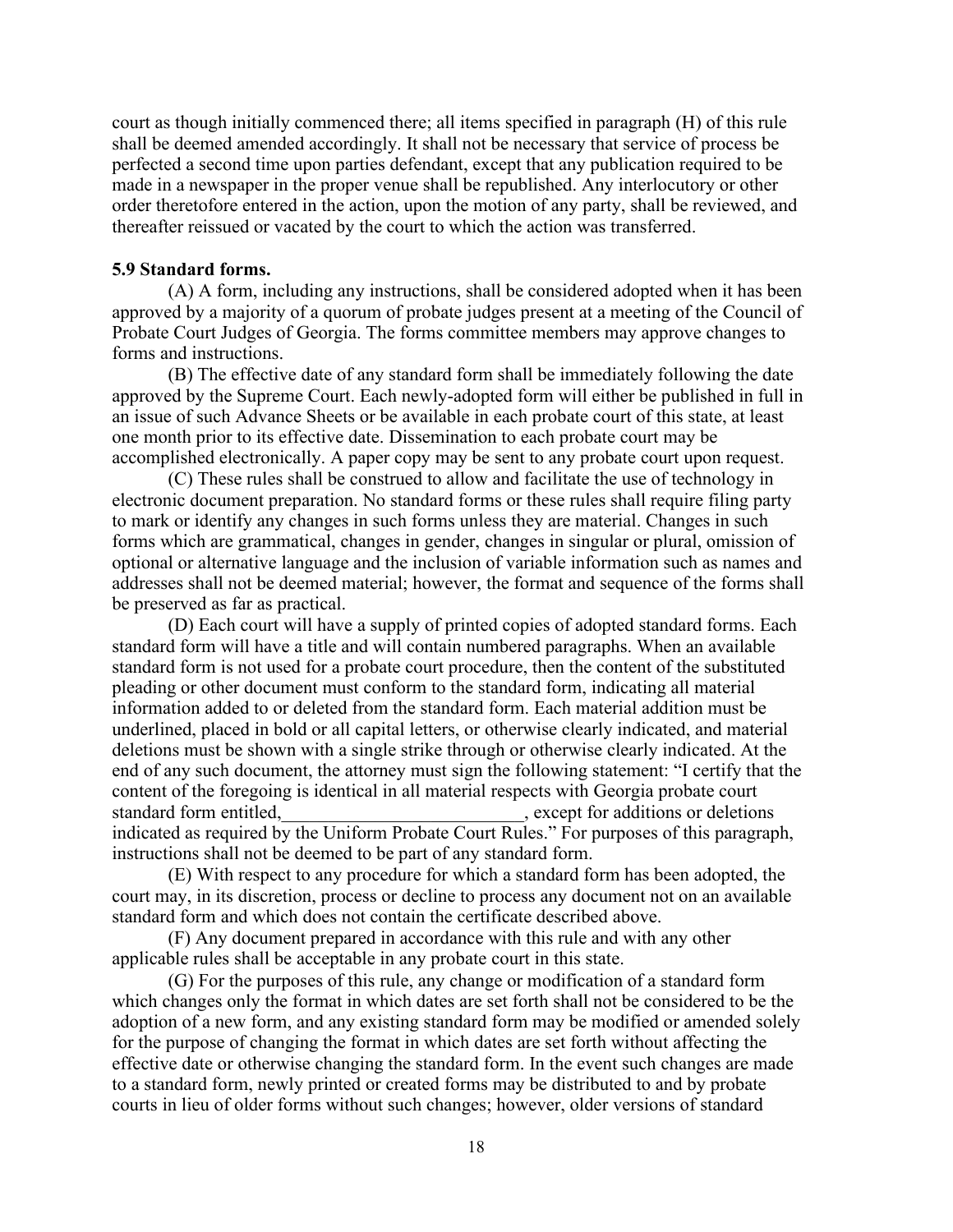court as though initially commenced there; all items specified in paragraph (H) of this rule shall be deemed amended accordingly. It shall not be necessary that service of process be perfected a second time upon parties defendant, except that any publication required to be made in a newspaper in the proper venue shall be republished. Any interlocutory or other order theretofore entered in the action, upon the motion of any party, shall be reviewed, and thereafter reissued or vacated by the court to which the action was transferred.

### **5.9 Standard forms.**

(A) A form, including any instructions, shall be considered adopted when it has been approved by a majority of a quorum of probate judges present at a meeting of the Council of Probate Court Judges of Georgia. The forms committee members may approve changes to forms and instructions.

(B) The effective date of any standard form shall be immediately following the date approved by the Supreme Court. Each newly-adopted form will either be published in full in an issue of such Advance Sheets or be available in each probate court of this state, at least one month prior to its effective date. Dissemination to each probate court may be accomplished electronically. A paper copy may be sent to any probate court upon request.

(C) These rules shall be construed to allow and facilitate the use of technology in electronic document preparation. No standard forms or these rules shall require filing party to mark or identify any changes in such forms unless they are material. Changes in such forms which are grammatical, changes in gender, changes in singular or plural, omission of optional or alternative language and the inclusion of variable information such as names and addresses shall not be deemed material; however, the format and sequence of the forms shall be preserved as far as practical.

(D) Each court will have a supply of printed copies of adopted standard forms. Each standard form will have a title and will contain numbered paragraphs. When an available standard form is not used for a probate court procedure, then the content of the substituted pleading or other document must conform to the standard form, indicating all material information added to or deleted from the standard form. Each material addition must be underlined, placed in bold or all capital letters, or otherwise clearly indicated, and material deletions must be shown with a single strike through or otherwise clearly indicated. At the end of any such document, the attorney must sign the following statement: "I certify that the content of the foregoing is identical in all material respects with Georgia probate court standard form entitled, standard form entitled, indicated as required by the Uniform Probate Court Rules." For purposes of this paragraph, instructions shall not be deemed to be part of any standard form.

(E) With respect to any procedure for which a standard form has been adopted, the court may, in its discretion, process or decline to process any document not on an available standard form and which does not contain the certificate described above.

(F) Any document prepared in accordance with this rule and with any other applicable rules shall be acceptable in any probate court in this state.

(G) For the purposes of this rule, any change or modification of a standard form which changes only the format in which dates are set forth shall not be considered to be the adoption of a new form, and any existing standard form may be modified or amended solely for the purpose of changing the format in which dates are set forth without affecting the effective date or otherwise changing the standard form. In the event such changes are made to a standard form, newly printed or created forms may be distributed to and by probate courts in lieu of older forms without such changes; however, older versions of standard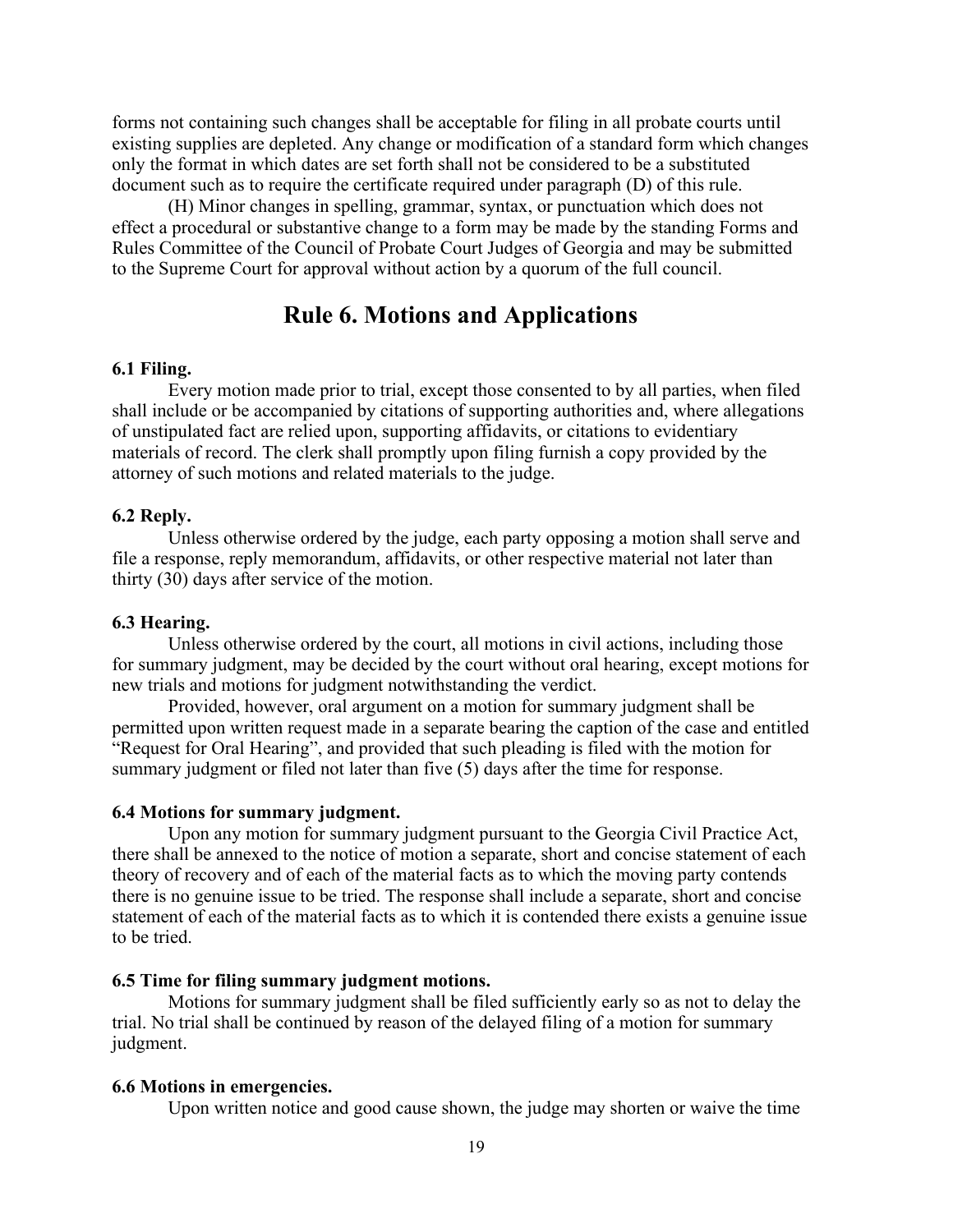forms not containing such changes shall be acceptable for filing in all probate courts until existing supplies are depleted. Any change or modification of a standard form which changes only the format in which dates are set forth shall not be considered to be a substituted document such as to require the certificate required under paragraph (D) of this rule.

(H) Minor changes in spelling, grammar, syntax, or punctuation which does not effect a procedural or substantive change to a form may be made by the standing Forms and Rules Committee of the Council of Probate Court Judges of Georgia and may be submitted to the Supreme Court for approval without action by a quorum of the full council.

# **Rule 6. Motions and Applications**

### **6.1 Filing.**

Every motion made prior to trial, except those consented to by all parties, when filed shall include or be accompanied by citations of supporting authorities and, where allegations of unstipulated fact are relied upon, supporting affidavits, or citations to evidentiary materials of record. The clerk shall promptly upon filing furnish a copy provided by the attorney of such motions and related materials to the judge.

# **6.2 Reply.**

Unless otherwise ordered by the judge, each party opposing a motion shall serve and file a response, reply memorandum, affidavits, or other respective material not later than thirty (30) days after service of the motion.

### **6.3 Hearing.**

Unless otherwise ordered by the court, all motions in civil actions, including those for summary judgment, may be decided by the court without oral hearing, except motions for new trials and motions for judgment notwithstanding the verdict.

Provided, however, oral argument on a motion for summary judgment shall be permitted upon written request made in a separate bearing the caption of the case and entitled "Request for Oral Hearing", and provided that such pleading is filed with the motion for summary judgment or filed not later than five (5) days after the time for response.

### **6.4 Motions for summary judgment.**

Upon any motion for summary judgment pursuant to the Georgia Civil Practice Act, there shall be annexed to the notice of motion a separate, short and concise statement of each theory of recovery and of each of the material facts as to which the moving party contends there is no genuine issue to be tried. The response shall include a separate, short and concise statement of each of the material facts as to which it is contended there exists a genuine issue to be tried.

#### **6.5 Time for filing summary judgment motions.**

Motions for summary judgment shall be filed sufficiently early so as not to delay the trial. No trial shall be continued by reason of the delayed filing of a motion for summary judgment.

### **6.6 Motions in emergencies.**

Upon written notice and good cause shown, the judge may shorten or waive the time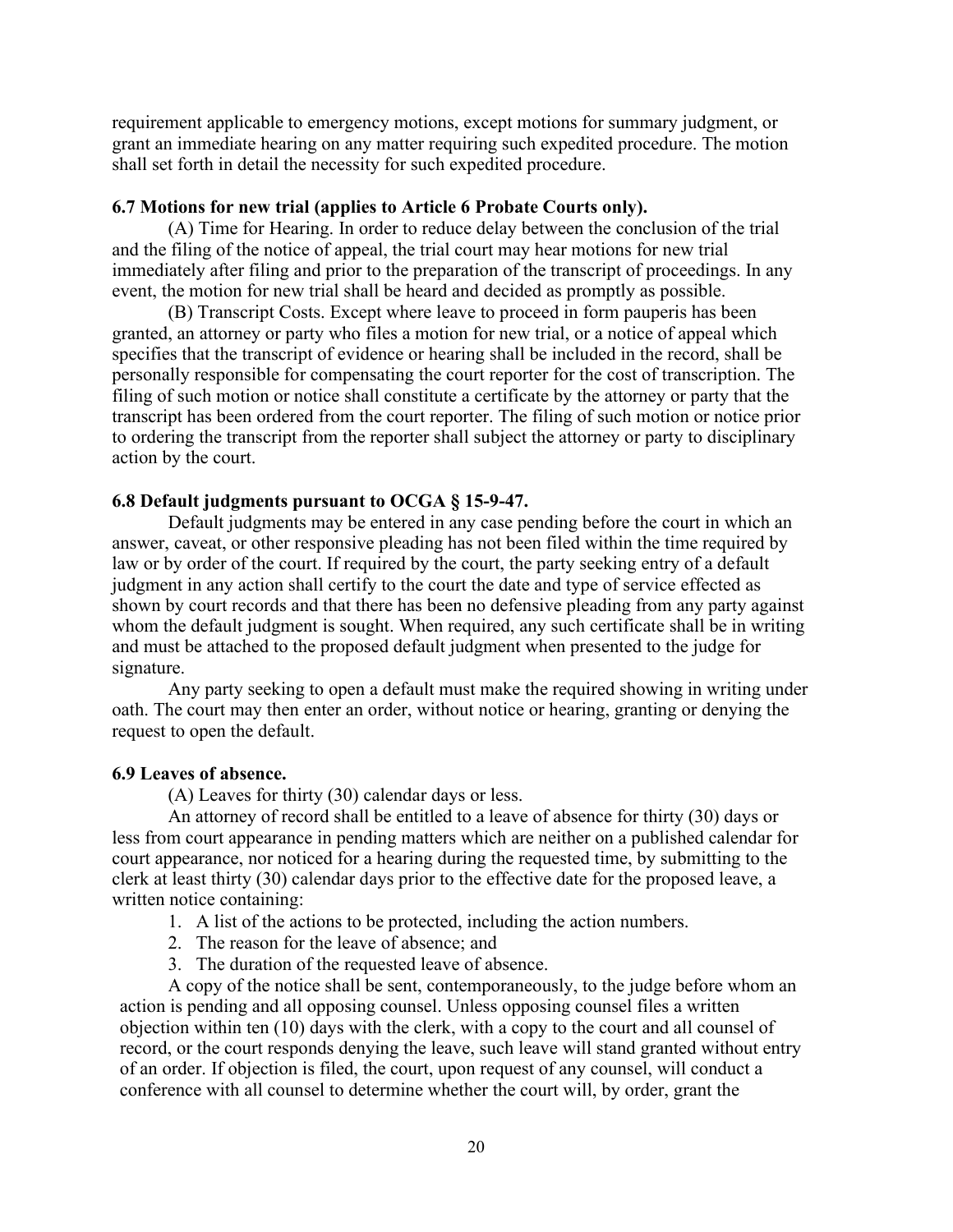requirement applicable to emergency motions, except motions for summary judgment, or grant an immediate hearing on any matter requiring such expedited procedure. The motion shall set forth in detail the necessity for such expedited procedure.

### **6.7 Motions for new trial (applies to Article 6 Probate Courts only).**

(A) Time for Hearing. In order to reduce delay between the conclusion of the trial and the filing of the notice of appeal, the trial court may hear motions for new trial immediately after filing and prior to the preparation of the transcript of proceedings. In any event, the motion for new trial shall be heard and decided as promptly as possible.

(B) Transcript Costs. Except where leave to proceed in form pauperis has been granted, an attorney or party who files a motion for new trial, or a notice of appeal which specifies that the transcript of evidence or hearing shall be included in the record, shall be personally responsible for compensating the court reporter for the cost of transcription. The filing of such motion or notice shall constitute a certificate by the attorney or party that the transcript has been ordered from the court reporter. The filing of such motion or notice prior to ordering the transcript from the reporter shall subject the attorney or party to disciplinary action by the court.

# **6.8 Default judgments pursuant to OCGA § 15-9-47.**

Default judgments may be entered in any case pending before the court in which an answer, caveat, or other responsive pleading has not been filed within the time required by law or by order of the court. If required by the court, the party seeking entry of a default judgment in any action shall certify to the court the date and type of service effected as shown by court records and that there has been no defensive pleading from any party against whom the default judgment is sought. When required, any such certificate shall be in writing and must be attached to the proposed default judgment when presented to the judge for signature.

Any party seeking to open a default must make the required showing in writing under oath. The court may then enter an order, without notice or hearing, granting or denying the request to open the default.

# **6.9 Leaves of absence.**

(A) Leaves for thirty (30) calendar days or less.

An attorney of record shall be entitled to a leave of absence for thirty (30) days or less from court appearance in pending matters which are neither on a published calendar for court appearance, nor noticed for a hearing during the requested time, by submitting to the clerk at least thirty (30) calendar days prior to the effective date for the proposed leave, a written notice containing:

- 1. A list of the actions to be protected, including the action numbers.
- 2. The reason for the leave of absence; and
- 3. The duration of the requested leave of absence.

A copy of the notice shall be sent, contemporaneously, to the judge before whom an action is pending and all opposing counsel. Unless opposing counsel files a written objection within ten (10) days with the clerk, with a copy to the court and all counsel of record, or the court responds denying the leave, such leave will stand granted without entry of an order. If objection is filed, the court, upon request of any counsel, will conduct a conference with all counsel to determine whether the court will, by order, grant the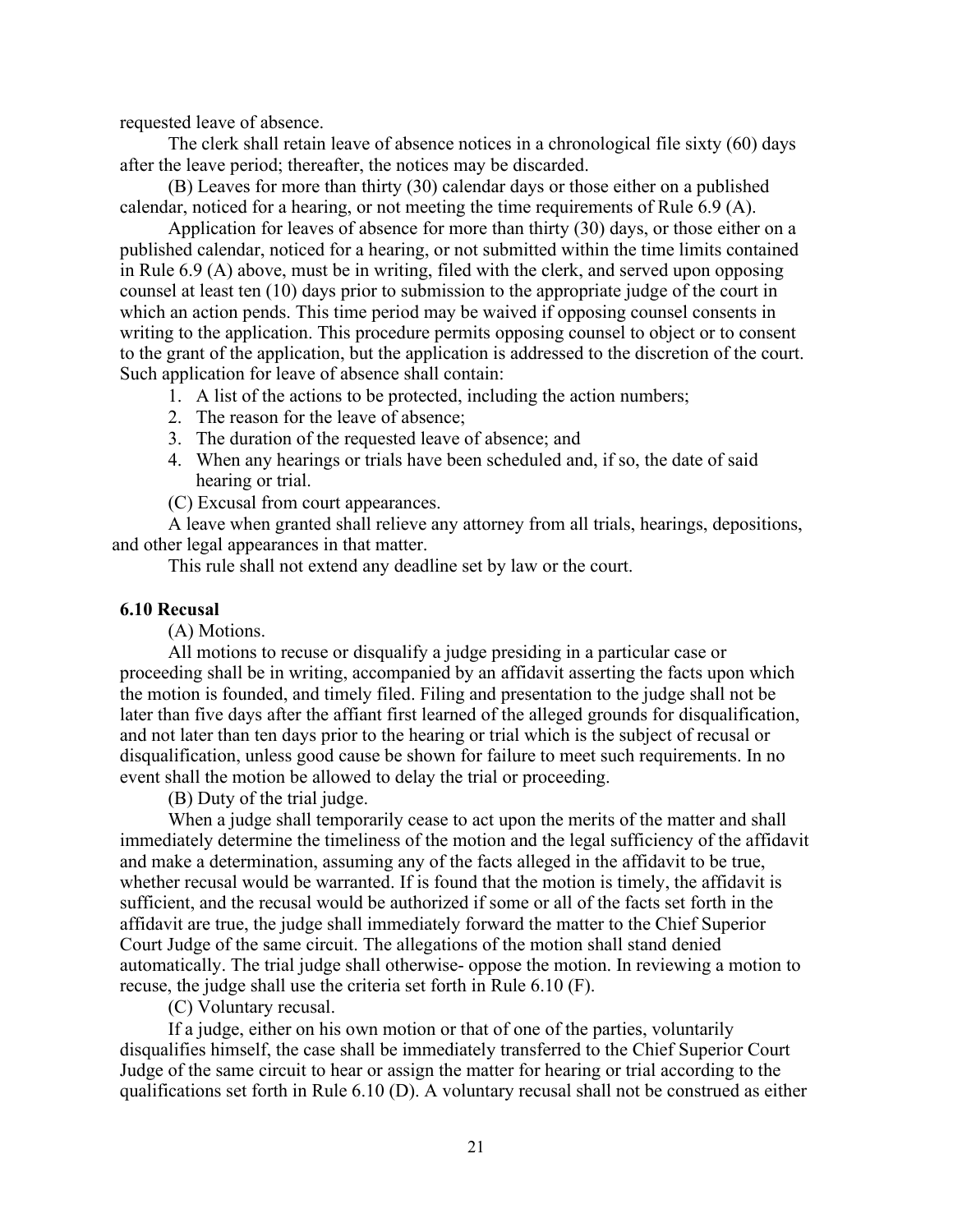requested leave of absence.

The clerk shall retain leave of absence notices in a chronological file sixty (60) days after the leave period; thereafter, the notices may be discarded.

(B) Leaves for more than thirty (30) calendar days or those either on a published calendar, noticed for a hearing, or not meeting the time requirements of Rule 6.9 (A).

Application for leaves of absence for more than thirty (30) days, or those either on a published calendar, noticed for a hearing, or not submitted within the time limits contained in Rule 6.9 (A) above, must be in writing, filed with the clerk, and served upon opposing counsel at least ten (10) days prior to submission to the appropriate judge of the court in which an action pends. This time period may be waived if opposing counsel consents in writing to the application. This procedure permits opposing counsel to object or to consent to the grant of the application, but the application is addressed to the discretion of the court. Such application for leave of absence shall contain:

1. A list of the actions to be protected, including the action numbers;

- 2. The reason for the leave of absence;
- 3. The duration of the requested leave of absence; and
- 4. When any hearings or trials have been scheduled and, if so, the date of said hearing or trial.

(C) Excusal from court appearances.

A leave when granted shall relieve any attorney from all trials, hearings, depositions, and other legal appearances in that matter.

This rule shall not extend any deadline set by law or the court.

### **6.10 Recusal**

(A) Motions.

All motions to recuse or disqualify a judge presiding in a particular case or proceeding shall be in writing, accompanied by an affidavit asserting the facts upon which the motion is founded, and timely filed. Filing and presentation to the judge shall not be later than five days after the affiant first learned of the alleged grounds for disqualification, and not later than ten days prior to the hearing or trial which is the subject of recusal or disqualification, unless good cause be shown for failure to meet such requirements. In no event shall the motion be allowed to delay the trial or proceeding.

(B) Duty of the trial judge.

When a judge shall temporarily cease to act upon the merits of the matter and shall immediately determine the timeliness of the motion and the legal sufficiency of the affidavit and make a determination, assuming any of the facts alleged in the affidavit to be true, whether recusal would be warranted. If is found that the motion is timely, the affidavit is sufficient, and the recusal would be authorized if some or all of the facts set forth in the affidavit are true, the judge shall immediately forward the matter to the Chief Superior Court Judge of the same circuit. The allegations of the motion shall stand denied automatically. The trial judge shall otherwise- oppose the motion. In reviewing a motion to recuse, the judge shall use the criteria set forth in Rule 6.10 (F).

(C) Voluntary recusal.

If a judge, either on his own motion or that of one of the parties, voluntarily disqualifies himself, the case shall be immediately transferred to the Chief Superior Court Judge of the same circuit to hear or assign the matter for hearing or trial according to the qualifications set forth in Rule 6.10 (D). A voluntary recusal shall not be construed as either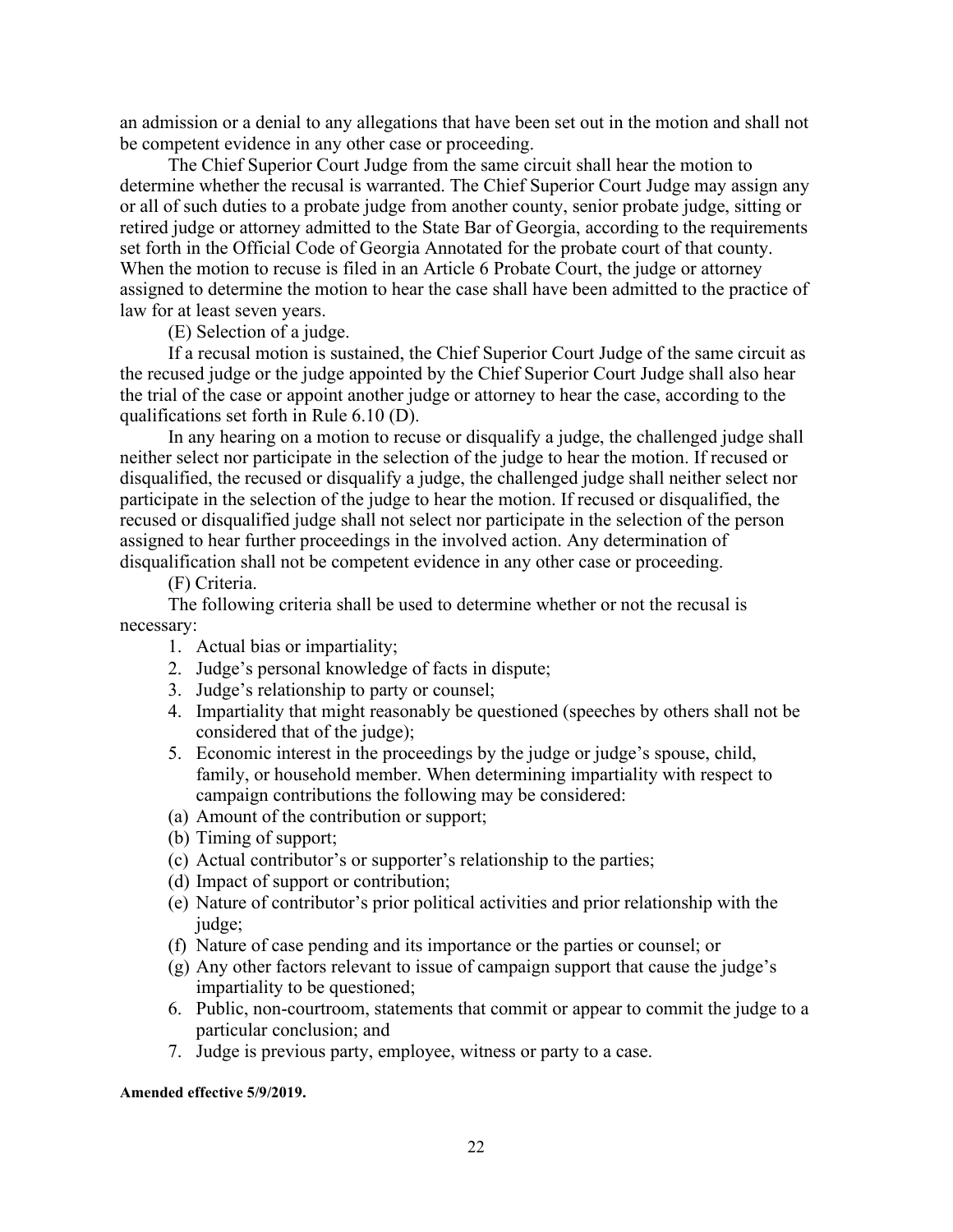an admission or a denial to any allegations that have been set out in the motion and shall not be competent evidence in any other case or proceeding.

The Chief Superior Court Judge from the same circuit shall hear the motion to determine whether the recusal is warranted. The Chief Superior Court Judge may assign any or all of such duties to a probate judge from another county, senior probate judge, sitting or retired judge or attorney admitted to the State Bar of Georgia, according to the requirements set forth in the Official Code of Georgia Annotated for the probate court of that county. When the motion to recuse is filed in an Article 6 Probate Court, the judge or attorney assigned to determine the motion to hear the case shall have been admitted to the practice of law for at least seven years.

(E) Selection of a judge.

If a recusal motion is sustained, the Chief Superior Court Judge of the same circuit as the recused judge or the judge appointed by the Chief Superior Court Judge shall also hear the trial of the case or appoint another judge or attorney to hear the case, according to the qualifications set forth in Rule 6.10 (D).

In any hearing on a motion to recuse or disqualify a judge, the challenged judge shall neither select nor participate in the selection of the judge to hear the motion. If recused or disqualified, the recused or disqualify a judge, the challenged judge shall neither select nor participate in the selection of the judge to hear the motion. If recused or disqualified, the recused or disqualified judge shall not select nor participate in the selection of the person assigned to hear further proceedings in the involved action. Any determination of disqualification shall not be competent evidence in any other case or proceeding.

(F) Criteria.

The following criteria shall be used to determine whether or not the recusal is necessary:

- 1. Actual bias or impartiality;
- 2. Judge's personal knowledge of facts in dispute;
- 3. Judge's relationship to party or counsel;
- 4. Impartiality that might reasonably be questioned (speeches by others shall not be considered that of the judge);
- 5. Economic interest in the proceedings by the judge or judge's spouse, child, family, or household member. When determining impartiality with respect to campaign contributions the following may be considered:
- (a) Amount of the contribution or support;
- (b) Timing of support;
- (c) Actual contributor's or supporter's relationship to the parties;
- (d) Impact of support or contribution;
- (e) Nature of contributor's prior political activities and prior relationship with the judge;
- (f) Nature of case pending and its importance or the parties or counsel; or
- (g) Any other factors relevant to issue of campaign support that cause the judge's impartiality to be questioned;
- 6. Public, non-courtroom, statements that commit or appear to commit the judge to a particular conclusion; and
- 7. Judge is previous party, employee, witness or party to a case.

### **Amended effective 5/9/2019.**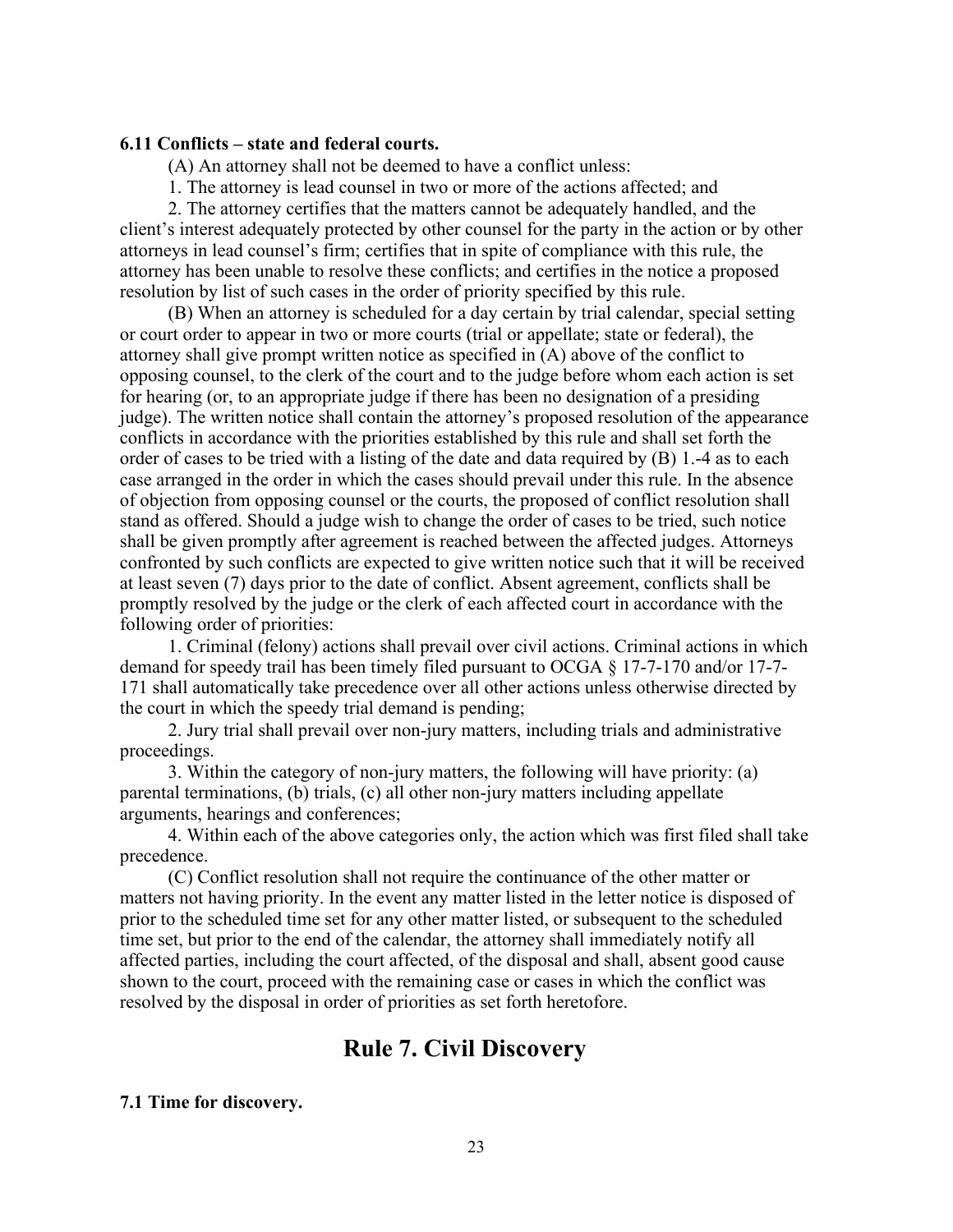### **6.11 Conflicts – state and federal courts.**

(A) An attorney shall not be deemed to have a conflict unless:

1. The attorney is lead counsel in two or more of the actions affected; and

2. The attorney certifies that the matters cannot be adequately handled, and the client's interest adequately protected by other counsel for the party in the action or by other attorneys in lead counsel's firm; certifies that in spite of compliance with this rule, the attorney has been unable to resolve these conflicts; and certifies in the notice a proposed resolution by list of such cases in the order of priority specified by this rule.

(B) When an attorney is scheduled for a day certain by trial calendar, special setting or court order to appear in two or more courts (trial or appellate; state or federal), the attorney shall give prompt written notice as specified in (A) above of the conflict to opposing counsel, to the clerk of the court and to the judge before whom each action is set for hearing (or, to an appropriate judge if there has been no designation of a presiding judge). The written notice shall contain the attorney's proposed resolution of the appearance conflicts in accordance with the priorities established by this rule and shall set forth the order of cases to be tried with a listing of the date and data required by (B) 1.-4 as to each case arranged in the order in which the cases should prevail under this rule. In the absence of objection from opposing counsel or the courts, the proposed of conflict resolution shall stand as offered. Should a judge wish to change the order of cases to be tried, such notice shall be given promptly after agreement is reached between the affected judges. Attorneys confronted by such conflicts are expected to give written notice such that it will be received at least seven (7) days prior to the date of conflict. Absent agreement, conflicts shall be promptly resolved by the judge or the clerk of each affected court in accordance with the following order of priorities:

1. Criminal (felony) actions shall prevail over civil actions. Criminal actions in which demand for speedy trail has been timely filed pursuant to OCGA § 17-7-170 and/or 17-7- 171 shall automatically take precedence over all other actions unless otherwise directed by the court in which the speedy trial demand is pending;

2. Jury trial shall prevail over non-jury matters, including trials and administrative proceedings.

3. Within the category of non-jury matters, the following will have priority: (a) parental terminations, (b) trials, (c) all other non-jury matters including appellate arguments, hearings and conferences;

4. Within each of the above categories only, the action which was first filed shall take precedence.

(C) Conflict resolution shall not require the continuance of the other matter or matters not having priority. In the event any matter listed in the letter notice is disposed of prior to the scheduled time set for any other matter listed, or subsequent to the scheduled time set, but prior to the end of the calendar, the attorney shall immediately notify all affected parties, including the court affected, of the disposal and shall, absent good cause shown to the court, proceed with the remaining case or cases in which the conflict was resolved by the disposal in order of priorities as set forth heretofore.

# **Rule 7. Civil Discovery**

# **7.1 Time for discovery.**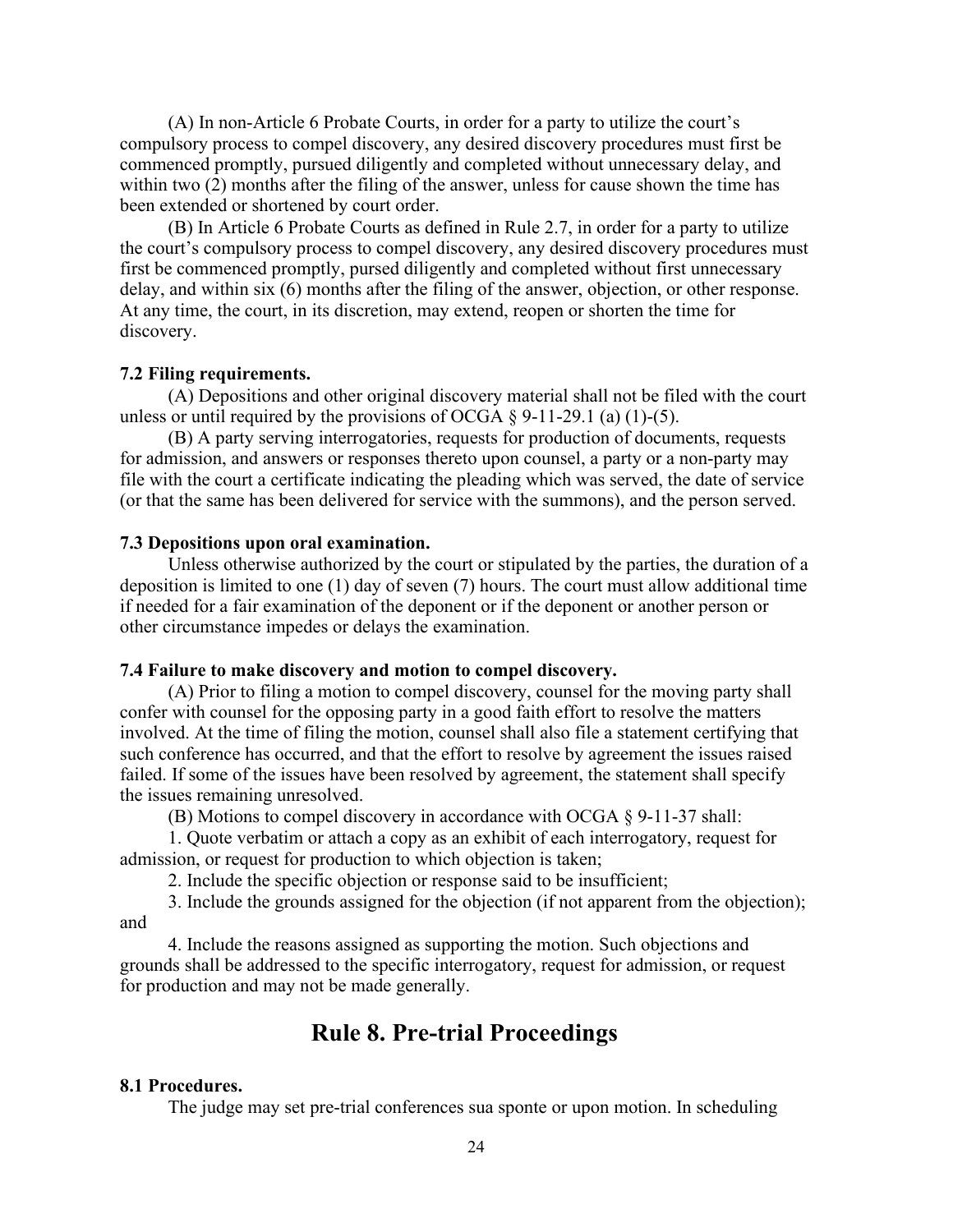(A) In non-Article 6 Probate Courts, in order for a party to utilize the court's compulsory process to compel discovery, any desired discovery procedures must first be commenced promptly, pursued diligently and completed without unnecessary delay, and within two (2) months after the filing of the answer, unless for cause shown the time has been extended or shortened by court order.

(B) In Article 6 Probate Courts as defined in Rule 2.7, in order for a party to utilize the court's compulsory process to compel discovery, any desired discovery procedures must first be commenced promptly, pursed diligently and completed without first unnecessary delay, and within six (6) months after the filing of the answer, objection, or other response. At any time, the court, in its discretion, may extend, reopen or shorten the time for discovery.

### **7.2 Filing requirements.**

(A) Depositions and other original discovery material shall not be filed with the court unless or until required by the provisions of OCGA  $\S$  9-11-29.1 (a) (1)-(5).

(B) A party serving interrogatories, requests for production of documents, requests for admission, and answers or responses thereto upon counsel, a party or a non-party may file with the court a certificate indicating the pleading which was served, the date of service (or that the same has been delivered for service with the summons), and the person served.

#### **7.3 Depositions upon oral examination.**

Unless otherwise authorized by the court or stipulated by the parties, the duration of a deposition is limited to one (1) day of seven (7) hours. The court must allow additional time if needed for a fair examination of the deponent or if the deponent or another person or other circumstance impedes or delays the examination.

### **7.4 Failure to make discovery and motion to compel discovery.**

(A) Prior to filing a motion to compel discovery, counsel for the moving party shall confer with counsel for the opposing party in a good faith effort to resolve the matters involved. At the time of filing the motion, counsel shall also file a statement certifying that such conference has occurred, and that the effort to resolve by agreement the issues raised failed. If some of the issues have been resolved by agreement, the statement shall specify the issues remaining unresolved.

(B) Motions to compel discovery in accordance with OCGA § 9-11-37 shall:

1. Quote verbatim or attach a copy as an exhibit of each interrogatory, request for admission, or request for production to which objection is taken;

2. Include the specific objection or response said to be insufficient;

3. Include the grounds assigned for the objection (if not apparent from the objection); and

4. Include the reasons assigned as supporting the motion. Such objections and grounds shall be addressed to the specific interrogatory, request for admission, or request for production and may not be made generally.

# **Rule 8. Pre-trial Proceedings**

### **8.1 Procedures.**

The judge may set pre-trial conferences sua sponte or upon motion. In scheduling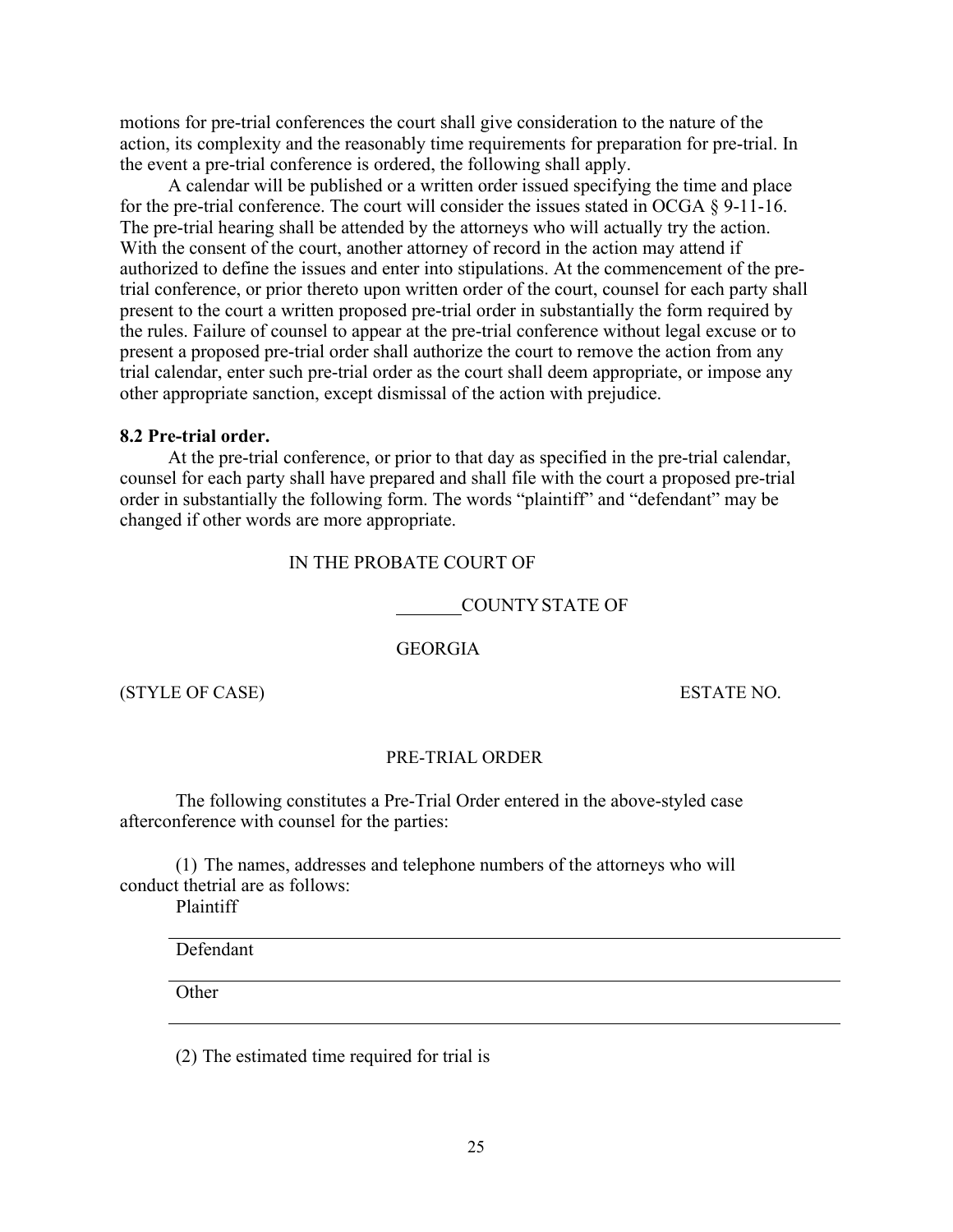motions for pre-trial conferences the court shall give consideration to the nature of the action, its complexity and the reasonably time requirements for preparation for pre-trial. In the event a pre-trial conference is ordered, the following shall apply.

A calendar will be published or a written order issued specifying the time and place for the pre-trial conference. The court will consider the issues stated in OCGA  $\S$  9-11-16. The pre-trial hearing shall be attended by the attorneys who will actually try the action. With the consent of the court, another attorney of record in the action may attend if authorized to define the issues and enter into stipulations. At the commencement of the pretrial conference, or prior thereto upon written order of the court, counsel for each party shall present to the court a written proposed pre-trial order in substantially the form required by the rules. Failure of counsel to appear at the pre-trial conference without legal excuse or to present a proposed pre-trial order shall authorize the court to remove the action from any trial calendar, enter such pre-trial order as the court shall deem appropriate, or impose any other appropriate sanction, except dismissal of the action with prejudice.

### **8.2 Pre-trial order.**

At the pre-trial conference, or prior to that day as specified in the pre-trial calendar, counsel for each party shall have prepared and shall file with the court a proposed pre-trial order in substantially the following form. The words "plaintiff" and "defendant" may be changed if other words are more appropriate.

### IN THE PROBATE COURT OF

#### \_\_\_\_\_\_\_COUNTY STATE OF

### GEORGIA

(STYLE OF CASE) ESTATE NO.

### PRE-TRIAL ORDER

The following constitutes a Pre-Trial Order entered in the above-styled case afterconference with counsel for the parties:

(1) The names, addresses and telephone numbers of the attorneys who will conduct thetrial are as follows:

Plaintiff

# Defendant

**Other** 

(2) The estimated time required for trial is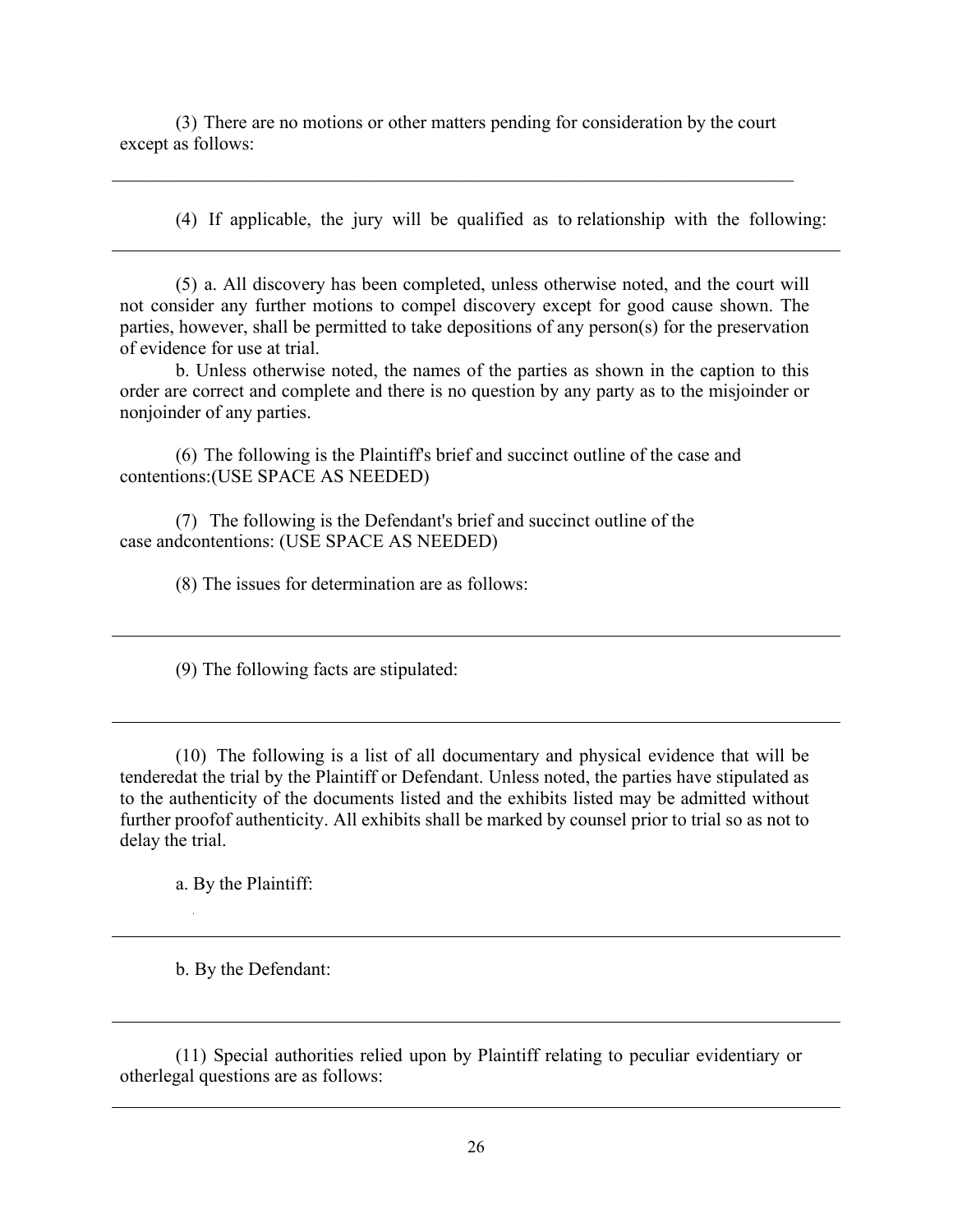(3) There are no motions or other matters pending for consideration by the court except as follows:

 $\_$  , and the set of the set of the set of the set of the set of the set of the set of the set of the set of the set of the set of the set of the set of the set of the set of the set of the set of the set of the set of th

(4) If applicable, the jury will be qualified as to relationship with the following:

(5) a. All discovery has been completed, unless otherwise noted, and the court will not consider any further motions to compel discovery except for good cause shown. The parties, however, shall be permitted to take depositions of any person(s) for the preservation of evidence for use at trial.

b. Unless otherwise noted, the names of the parties as shown in the caption to this order are correct and complete and there is no question by any party as to the misjoinder or nonjoinder of any parties.

(6) The following is the Plaintiff's brief and succinct outline of the case and contentions:(USE SPACE AS NEEDED)

(7) The following is the Defendant's brief and succinct outline of the case andcontentions: (USE SPACE AS NEEDED)

(8) The issues for determination are as follows:

(9) The following facts are stipulated:

(10) The following is a list of all documentary and physical evidence that will be tenderedat the trial by the Plaintiff or Defendant. Unless noted, the parties have stipulated as to the authenticity of the documents listed and the exhibits listed may be admitted without further proofof authenticity. All exhibits shall be marked by counsel prior to trial so as not to delay the trial.

a. By the Plaintiff:

b. By the Defendant:

(11) Special authorities relied upon by Plaintiff relating to peculiar evidentiary or otherlegal questions are as follows: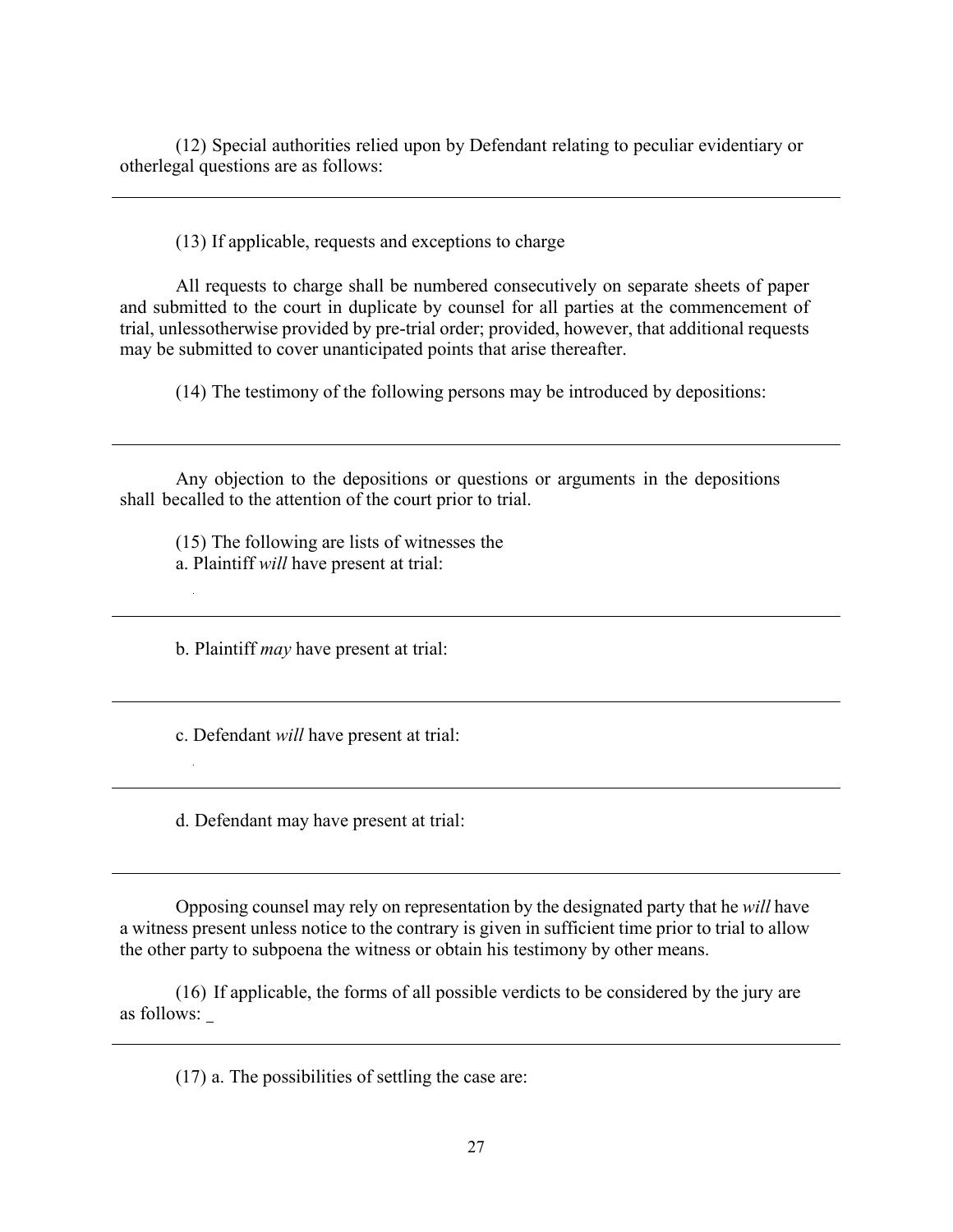(12) Special authorities relied upon by Defendant relating to peculiar evidentiary or otherlegal questions are as follows:

(13) If applicable, requests and exceptions to charge

All requests to charge shall be numbered consecutively on separate sheets of paper and submitted to the court in duplicate by counsel for all parties at the commencement of trial, unlessotherwise provided by pre-trial order; provided, however, that additional requests may be submitted to cover unanticipated points that arise thereafter.

(14) The testimony of the following persons may be introduced by depositions:

Any objection to the depositions or questions or arguments in the depositions shall becalled to the attention of the court prior to trial.

(15) The following are lists of witnesses the a. Plaintiff *will* have present at trial:

b. Plaintiff *may* have present at trial:

c. Defendant *will* have present at trial:

d. Defendant may have present at trial:

Opposing counsel may rely on representation by the designated party that he *will* have a witness present unless notice to the contrary is given in sufficient time prior to trial to allow the other party to subpoena the witness or obtain his testimony by other means.

(16) If applicable, the forms of all possible verdicts to be considered by the jury are as follows:

(17) a. The possibilities of settling the case are: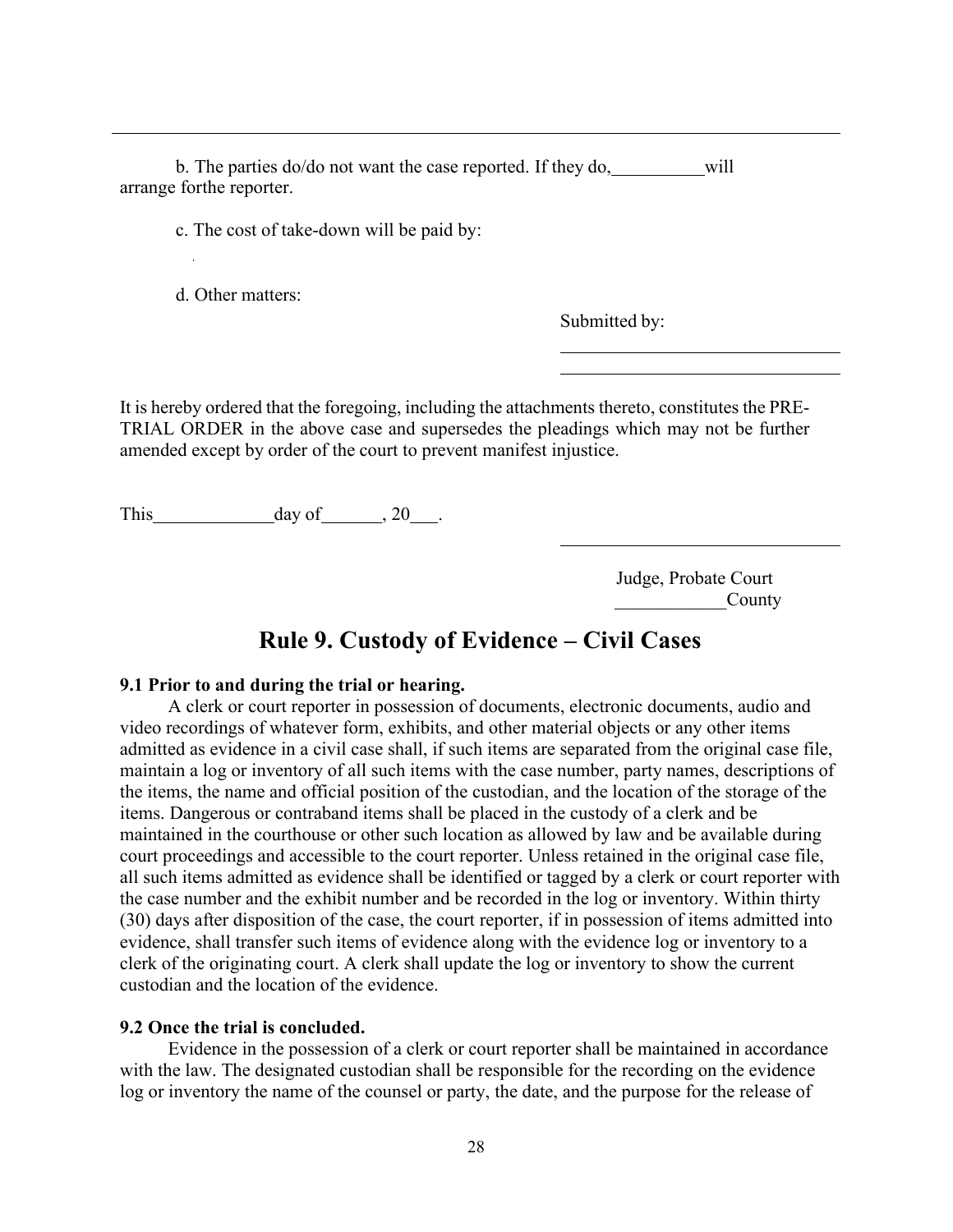b. The parties do/do not want the case reported. If they do, will arrange forthe reporter.

c. The cost of take-down will be paid by:

d. Other matters:

Submitted by:

It is hereby ordered that the foregoing, including the attachments thereto, constitutes the PRE-TRIAL ORDER in the above case and supersedes the pleadings which may not be further amended except by order of the court to prevent manifest injustice.

This  $\qquad \qquad \text{day of} \qquad 20$ .

Judge, Probate Court \_\_\_\_\_\_\_\_\_\_\_\_County

# **Rule 9. Custody of Evidence – Civil Cases**

# **9.1 Prior to and during the trial or hearing.**

A clerk or court reporter in possession of documents, electronic documents, audio and video recordings of whatever form, exhibits, and other material objects or any other items admitted as evidence in a civil case shall, if such items are separated from the original case file, maintain a log or inventory of all such items with the case number, party names, descriptions of the items, the name and official position of the custodian, and the location of the storage of the items. Dangerous or contraband items shall be placed in the custody of a clerk and be maintained in the courthouse or other such location as allowed by law and be available during court proceedings and accessible to the court reporter. Unless retained in the original case file, all such items admitted as evidence shall be identified or tagged by a clerk or court reporter with the case number and the exhibit number and be recorded in the log or inventory. Within thirty (30) days after disposition of the case, the court reporter, if in possession of items admitted into evidence, shall transfer such items of evidence along with the evidence log or inventory to a clerk of the originating court. A clerk shall update the log or inventory to show the current custodian and the location of the evidence.

# **9.2 Once the trial is concluded.**

Evidence in the possession of a clerk or court reporter shall be maintained in accordance with the law. The designated custodian shall be responsible for the recording on the evidence log or inventory the name of the counsel or party, the date, and the purpose for the release of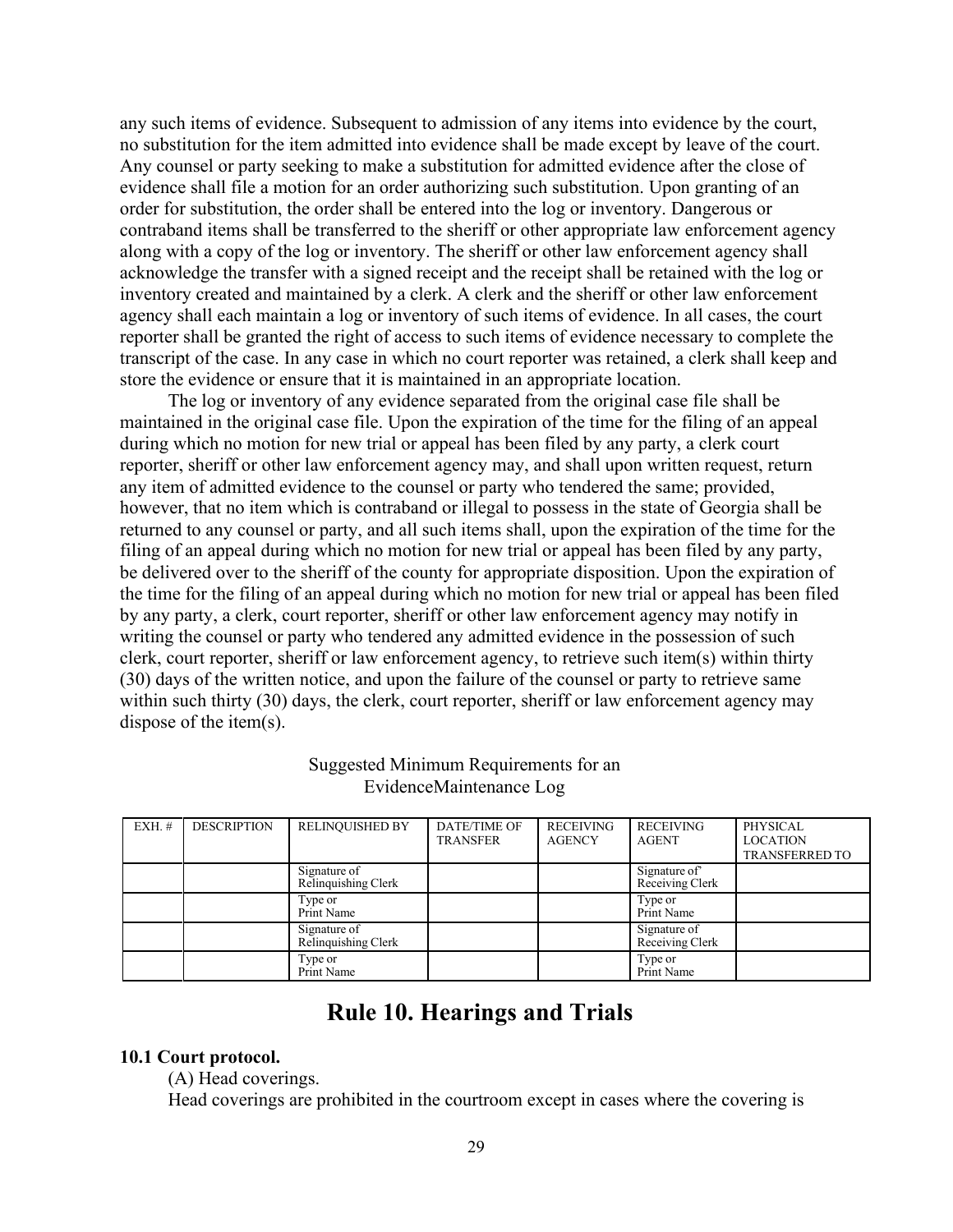any such items of evidence. Subsequent to admission of any items into evidence by the court, no substitution for the item admitted into evidence shall be made except by leave of the court. Any counsel or party seeking to make a substitution for admitted evidence after the close of evidence shall file a motion for an order authorizing such substitution. Upon granting of an order for substitution, the order shall be entered into the log or inventory. Dangerous or contraband items shall be transferred to the sheriff or other appropriate law enforcement agency along with a copy of the log or inventory. The sheriff or other law enforcement agency shall acknowledge the transfer with a signed receipt and the receipt shall be retained with the log or inventory created and maintained by a clerk. A clerk and the sheriff or other law enforcement agency shall each maintain a log or inventory of such items of evidence. In all cases, the court reporter shall be granted the right of access to such items of evidence necessary to complete the transcript of the case. In any case in which no court reporter was retained, a clerk shall keep and store the evidence or ensure that it is maintained in an appropriate location.

The log or inventory of any evidence separated from the original case file shall be maintained in the original case file. Upon the expiration of the time for the filing of an appeal during which no motion for new trial or appeal has been filed by any party, a clerk court reporter, sheriff or other law enforcement agency may, and shall upon written request, return any item of admitted evidence to the counsel or party who tendered the same; provided, however, that no item which is contraband or illegal to possess in the state of Georgia shall be returned to any counsel or party, and all such items shall, upon the expiration of the time for the filing of an appeal during which no motion for new trial or appeal has been filed by any party, be delivered over to the sheriff of the county for appropriate disposition. Upon the expiration of the time for the filing of an appeal during which no motion for new trial or appeal has been filed by any party, a clerk, court reporter, sheriff or other law enforcement agency may notify in writing the counsel or party who tendered any admitted evidence in the possession of such clerk, court reporter, sheriff or law enforcement agency, to retrieve such item(s) within thirty (30) days of the written notice, and upon the failure of the counsel or party to retrieve same within such thirty (30) days, the clerk, court reporter, sheriff or law enforcement agency may dispose of the item(s).

| $EXH. \#$ | <b>DESCRIPTION</b> | <b>RELINQUISHED BY</b>              | <b>DATE/TIME OF</b><br><b>TRANSFER</b> | <b>RECEIVING</b><br><b>AGENCY</b> | <b>RECEIVING</b><br><b>AGENT</b> | PHYSICAL<br><b>LOCATION</b><br><b>TRANSFERRED TO</b> |
|-----------|--------------------|-------------------------------------|----------------------------------------|-----------------------------------|----------------------------------|------------------------------------------------------|
|           |                    | Signature of<br>Relinquishing Clerk |                                        |                                   | Signature of<br>Receiving Clerk  |                                                      |
|           |                    | Type or<br>Print Name               |                                        |                                   | Type or<br>Print Name            |                                                      |
|           |                    | Signature of<br>Relinquishing Clerk |                                        |                                   | Signature of<br>Receiving Clerk  |                                                      |
|           |                    | Type or<br>Print Name               |                                        |                                   | Type or<br>Print Name            |                                                      |

# Suggested Minimum Requirements for an EvidenceMaintenance Log

# **Rule 10. Hearings and Trials**

# **10.1 Court protocol.**

(A) Head coverings.

Head coverings are prohibited in the courtroom except in cases where the covering is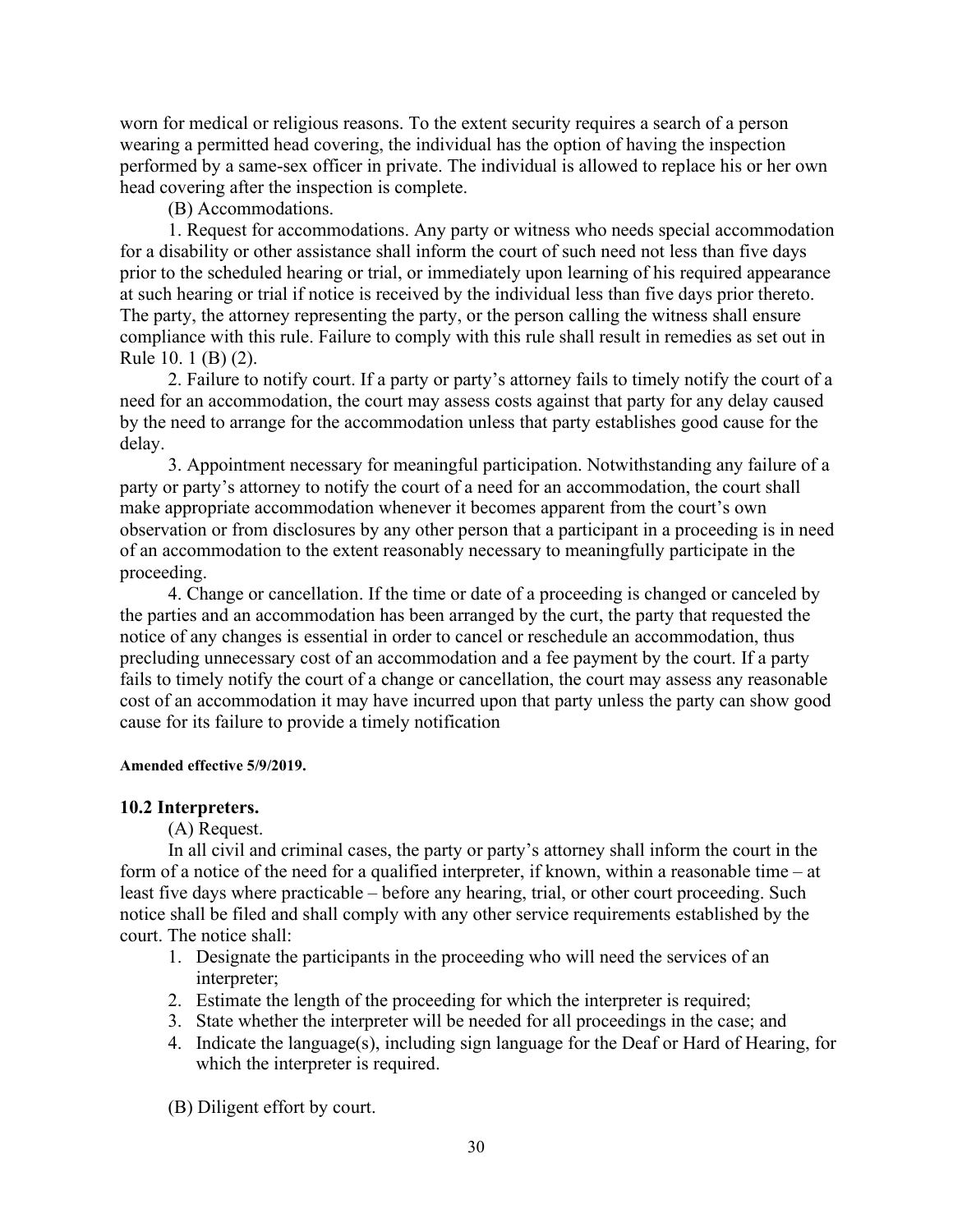worn for medical or religious reasons. To the extent security requires a search of a person wearing a permitted head covering, the individual has the option of having the inspection performed by a same-sex officer in private. The individual is allowed to replace his or her own head covering after the inspection is complete.

(B) Accommodations.

1. Request for accommodations. Any party or witness who needs special accommodation for a disability or other assistance shall inform the court of such need not less than five days prior to the scheduled hearing or trial, or immediately upon learning of his required appearance at such hearing or trial if notice is received by the individual less than five days prior thereto. The party, the attorney representing the party, or the person calling the witness shall ensure compliance with this rule. Failure to comply with this rule shall result in remedies as set out in Rule 10. 1 (B) (2).

2. Failure to notify court. If a party or party's attorney fails to timely notify the court of a need for an accommodation, the court may assess costs against that party for any delay caused by the need to arrange for the accommodation unless that party establishes good cause for the delay.

3. Appointment necessary for meaningful participation. Notwithstanding any failure of a party or party's attorney to notify the court of a need for an accommodation, the court shall make appropriate accommodation whenever it becomes apparent from the court's own observation or from disclosures by any other person that a participant in a proceeding is in need of an accommodation to the extent reasonably necessary to meaningfully participate in the proceeding.

4. Change or cancellation. If the time or date of a proceeding is changed or canceled by the parties and an accommodation has been arranged by the curt, the party that requested the notice of any changes is essential in order to cancel or reschedule an accommodation, thus precluding unnecessary cost of an accommodation and a fee payment by the court. If a party fails to timely notify the court of a change or cancellation, the court may assess any reasonable cost of an accommodation it may have incurred upon that party unless the party can show good cause for its failure to provide a timely notification

### **Amended effective 5/9/2019.**

### **10.2 Interpreters.**

(A) Request.

In all civil and criminal cases, the party or party's attorney shall inform the court in the form of a notice of the need for a qualified interpreter, if known, within a reasonable time – at least five days where practicable – before any hearing, trial, or other court proceeding. Such notice shall be filed and shall comply with any other service requirements established by the court. The notice shall:

- 1. Designate the participants in the proceeding who will need the services of an interpreter;
- 2. Estimate the length of the proceeding for which the interpreter is required;
- 3. State whether the interpreter will be needed for all proceedings in the case; and
- 4. Indicate the language(s), including sign language for the Deaf or Hard of Hearing, for which the interpreter is required.

(B) Diligent effort by court.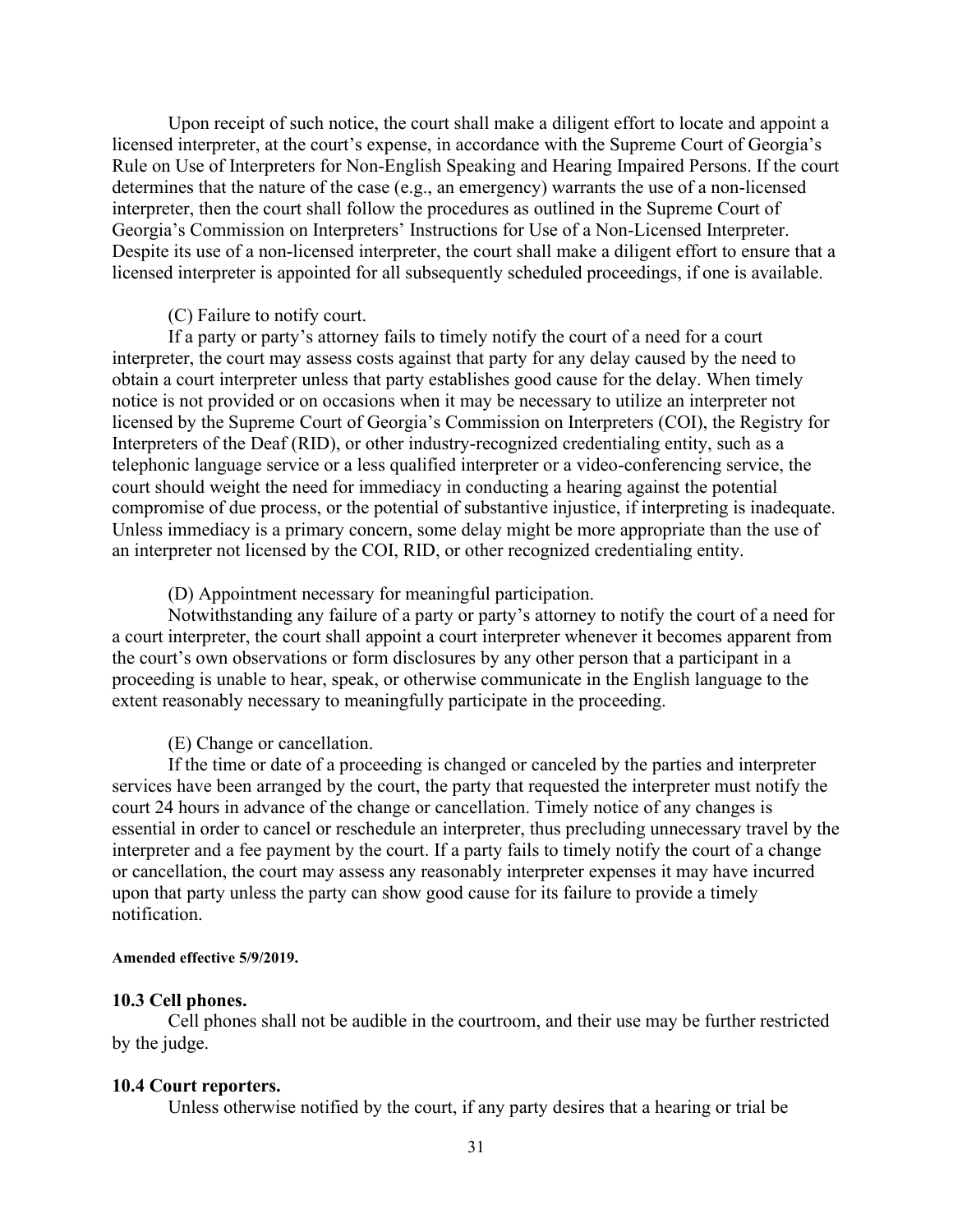Upon receipt of such notice, the court shall make a diligent effort to locate and appoint a licensed interpreter, at the court's expense, in accordance with the Supreme Court of Georgia's Rule on Use of Interpreters for Non-English Speaking and Hearing Impaired Persons. If the court determines that the nature of the case (e.g., an emergency) warrants the use of a non-licensed interpreter, then the court shall follow the procedures as outlined in the Supreme Court of Georgia's Commission on Interpreters' Instructions for Use of a Non-Licensed Interpreter. Despite its use of a non-licensed interpreter, the court shall make a diligent effort to ensure that a licensed interpreter is appointed for all subsequently scheduled proceedings, if one is available.

### (C) Failure to notify court.

If a party or party's attorney fails to timely notify the court of a need for a court interpreter, the court may assess costs against that party for any delay caused by the need to obtain a court interpreter unless that party establishes good cause for the delay. When timely notice is not provided or on occasions when it may be necessary to utilize an interpreter not licensed by the Supreme Court of Georgia's Commission on Interpreters (COI), the Registry for Interpreters of the Deaf (RID), or other industry-recognized credentialing entity, such as a telephonic language service or a less qualified interpreter or a video-conferencing service, the court should weight the need for immediacy in conducting a hearing against the potential compromise of due process, or the potential of substantive injustice, if interpreting is inadequate. Unless immediacy is a primary concern, some delay might be more appropriate than the use of an interpreter not licensed by the COI, RID, or other recognized credentialing entity.

### (D) Appointment necessary for meaningful participation.

Notwithstanding any failure of a party or party's attorney to notify the court of a need for a court interpreter, the court shall appoint a court interpreter whenever it becomes apparent from the court's own observations or form disclosures by any other person that a participant in a proceeding is unable to hear, speak, or otherwise communicate in the English language to the extent reasonably necessary to meaningfully participate in the proceeding.

## (E) Change or cancellation.

If the time or date of a proceeding is changed or canceled by the parties and interpreter services have been arranged by the court, the party that requested the interpreter must notify the court 24 hours in advance of the change or cancellation. Timely notice of any changes is essential in order to cancel or reschedule an interpreter, thus precluding unnecessary travel by the interpreter and a fee payment by the court. If a party fails to timely notify the court of a change or cancellation, the court may assess any reasonably interpreter expenses it may have incurred upon that party unless the party can show good cause for its failure to provide a timely notification.

#### **Amended effective 5/9/2019.**

### **10.3 Cell phones.**

Cell phones shall not be audible in the courtroom, and their use may be further restricted by the judge.

### **10.4 Court reporters.**

Unless otherwise notified by the court, if any party desires that a hearing or trial be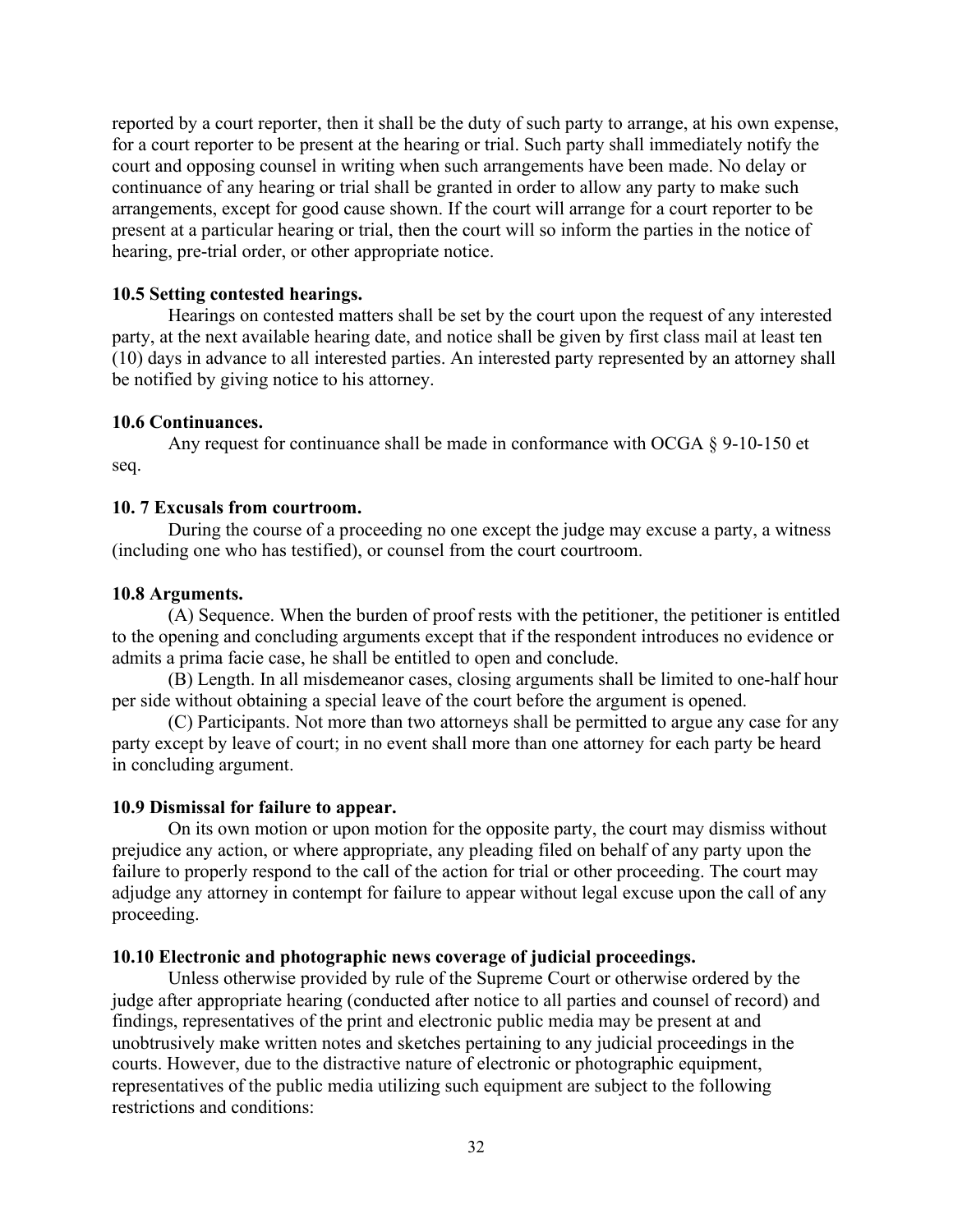reported by a court reporter, then it shall be the duty of such party to arrange, at his own expense, for a court reporter to be present at the hearing or trial. Such party shall immediately notify the court and opposing counsel in writing when such arrangements have been made. No delay or continuance of any hearing or trial shall be granted in order to allow any party to make such arrangements, except for good cause shown. If the court will arrange for a court reporter to be present at a particular hearing or trial, then the court will so inform the parties in the notice of hearing, pre-trial order, or other appropriate notice.

# **10.5 Setting contested hearings.**

Hearings on contested matters shall be set by the court upon the request of any interested party, at the next available hearing date, and notice shall be given by first class mail at least ten (10) days in advance to all interested parties. An interested party represented by an attorney shall be notified by giving notice to his attorney.

### **10.6 Continuances.**

Any request for continuance shall be made in conformance with OCGA § 9-10-150 et seq.

### **10. 7 Excusals from courtroom.**

During the course of a proceeding no one except the judge may excuse a party, a witness (including one who has testified), or counsel from the court courtroom.

### **10.8 Arguments.**

(A) Sequence. When the burden of proof rests with the petitioner, the petitioner is entitled to the opening and concluding arguments except that if the respondent introduces no evidence or admits a prima facie case, he shall be entitled to open and conclude.

(B) Length. In all misdemeanor cases, closing arguments shall be limited to one-half hour per side without obtaining a special leave of the court before the argument is opened.

(C) Participants. Not more than two attorneys shall be permitted to argue any case for any party except by leave of court; in no event shall more than one attorney for each party be heard in concluding argument.

# **10.9 Dismissal for failure to appear.**

On its own motion or upon motion for the opposite party, the court may dismiss without prejudice any action, or where appropriate, any pleading filed on behalf of any party upon the failure to properly respond to the call of the action for trial or other proceeding. The court may adjudge any attorney in contempt for failure to appear without legal excuse upon the call of any proceeding.

### **10.10 Electronic and photographic news coverage of judicial proceedings.**

Unless otherwise provided by rule of the Supreme Court or otherwise ordered by the judge after appropriate hearing (conducted after notice to all parties and counsel of record) and findings, representatives of the print and electronic public media may be present at and unobtrusively make written notes and sketches pertaining to any judicial proceedings in the courts. However, due to the distractive nature of electronic or photographic equipment, representatives of the public media utilizing such equipment are subject to the following restrictions and conditions: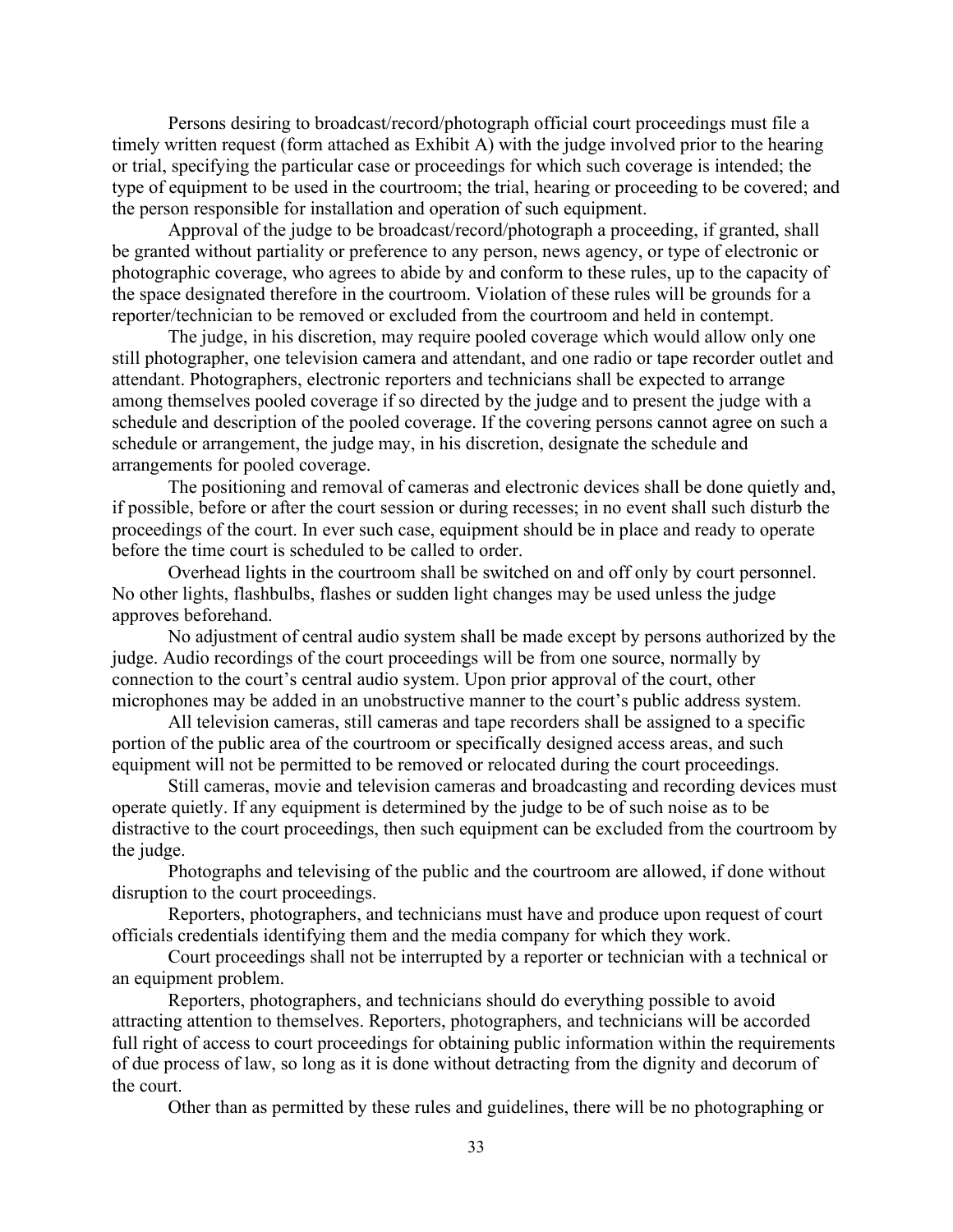Persons desiring to broadcast/record/photograph official court proceedings must file a timely written request (form attached as Exhibit A) with the judge involved prior to the hearing or trial, specifying the particular case or proceedings for which such coverage is intended; the type of equipment to be used in the courtroom; the trial, hearing or proceeding to be covered; and the person responsible for installation and operation of such equipment.

Approval of the judge to be broadcast/record/photograph a proceeding, if granted, shall be granted without partiality or preference to any person, news agency, or type of electronic or photographic coverage, who agrees to abide by and conform to these rules, up to the capacity of the space designated therefore in the courtroom. Violation of these rules will be grounds for a reporter/technician to be removed or excluded from the courtroom and held in contempt.

The judge, in his discretion, may require pooled coverage which would allow only one still photographer, one television camera and attendant, and one radio or tape recorder outlet and attendant. Photographers, electronic reporters and technicians shall be expected to arrange among themselves pooled coverage if so directed by the judge and to present the judge with a schedule and description of the pooled coverage. If the covering persons cannot agree on such a schedule or arrangement, the judge may, in his discretion, designate the schedule and arrangements for pooled coverage.

The positioning and removal of cameras and electronic devices shall be done quietly and, if possible, before or after the court session or during recesses; in no event shall such disturb the proceedings of the court. In ever such case, equipment should be in place and ready to operate before the time court is scheduled to be called to order.

Overhead lights in the courtroom shall be switched on and off only by court personnel. No other lights, flashbulbs, flashes or sudden light changes may be used unless the judge approves beforehand.

No adjustment of central audio system shall be made except by persons authorized by the judge. Audio recordings of the court proceedings will be from one source, normally by connection to the court's central audio system. Upon prior approval of the court, other microphones may be added in an unobstructive manner to the court's public address system.

All television cameras, still cameras and tape recorders shall be assigned to a specific portion of the public area of the courtroom or specifically designed access areas, and such equipment will not be permitted to be removed or relocated during the court proceedings.

Still cameras, movie and television cameras and broadcasting and recording devices must operate quietly. If any equipment is determined by the judge to be of such noise as to be distractive to the court proceedings, then such equipment can be excluded from the courtroom by the judge.

Photographs and televising of the public and the courtroom are allowed, if done without disruption to the court proceedings.

Reporters, photographers, and technicians must have and produce upon request of court officials credentials identifying them and the media company for which they work.

Court proceedings shall not be interrupted by a reporter or technician with a technical or an equipment problem.

Reporters, photographers, and technicians should do everything possible to avoid attracting attention to themselves. Reporters, photographers, and technicians will be accorded full right of access to court proceedings for obtaining public information within the requirements of due process of law, so long as it is done without detracting from the dignity and decorum of the court.

Other than as permitted by these rules and guidelines, there will be no photographing or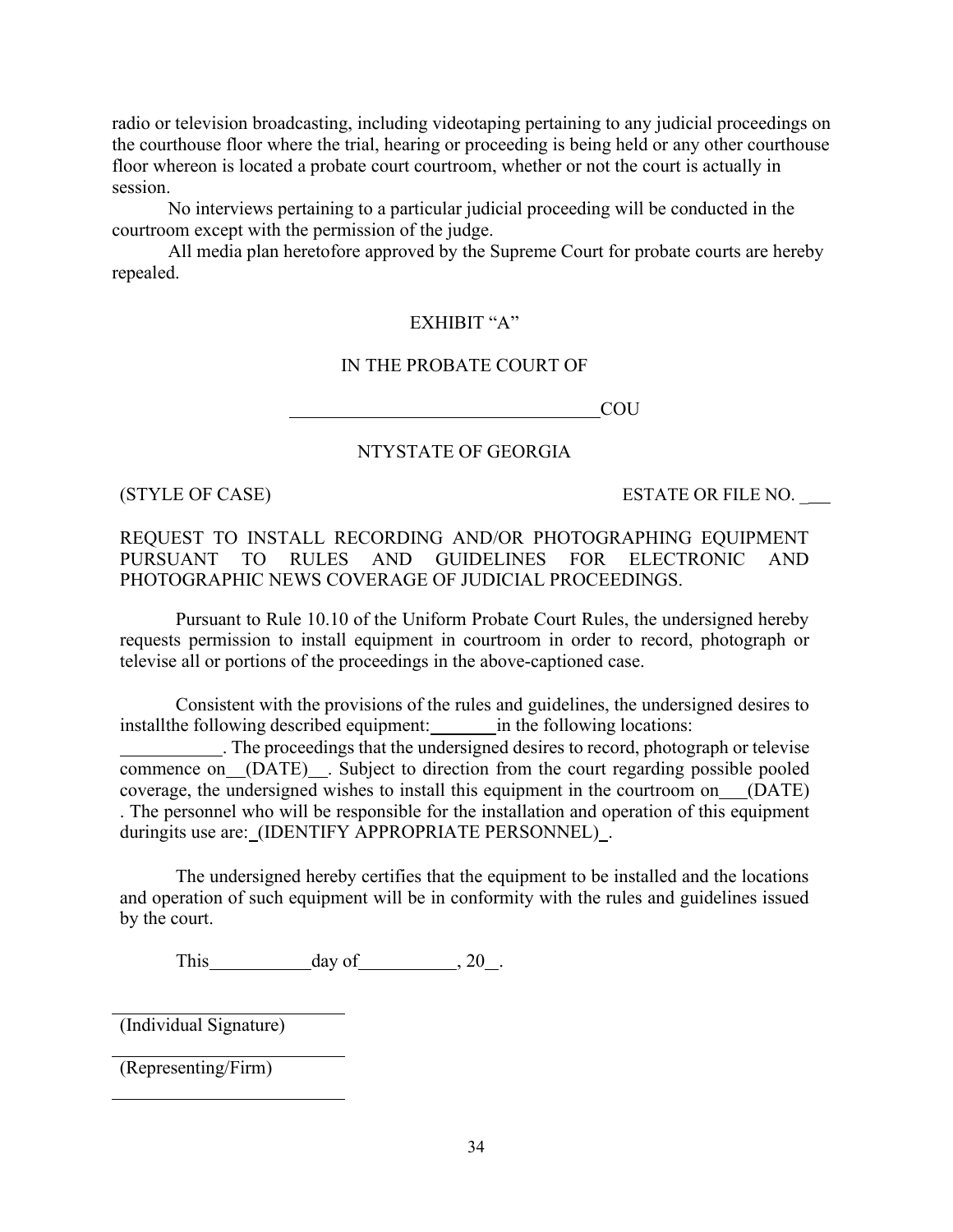radio or television broadcasting, including videotaping pertaining to any judicial proceedings on the courthouse floor where the trial, hearing or proceeding is being held or any other courthouse floor whereon is located a probate court courtroom, whether or not the court is actually in session.

No interviews pertaining to a particular judicial proceeding will be conducted in the courtroom except with the permission of the judge.

All media plan heretofore approved by the Supreme Court for probate courts are hereby repealed.

# EXHIBIT "A"

# IN THE PROBATE COURT OF

**COU** 

# NTYSTATE OF GEORGIA

(STYLE OF CASE) ESTATE OR FILE NO.

# REQUEST TO INSTALL RECORDING AND/OR PHOTOGRAPHING EQUIPMENT PURSUANT TO RULES AND GUIDELINES FOR ELECTRONIC AND PHOTOGRAPHIC NEWS COVERAGE OF JUDICIAL PROCEEDINGS.

Pursuant to Rule 10.10 of the Uniform Probate Court Rules, the undersigned hereby requests permission to install equipment in courtroom in order to record, photograph or televise all or portions of the proceedings in the above-captioned case.

Consistent with the provisions of the rules and guidelines, the undersigned desires to installthe following described equipment: in the following locations:

. The proceedings that the undersigned desires to record, photograph or televise commence on (DATE) . Subject to direction from the court regarding possible pooled coverage, the undersigned wishes to install this equipment in the courtroom on (DATE) . The personnel who will be responsible for the installation and operation of this equipment duringits use are: (IDENTIFY APPROPRIATE PERSONNEL) .

The undersigned hereby certifies that the equipment to be installed and the locations and operation of such equipment will be in conformity with the rules and guidelines issued by the court.

This day of  $\frac{1}{20}$ , 20.

(Individual Signature)

(Representing/Firm)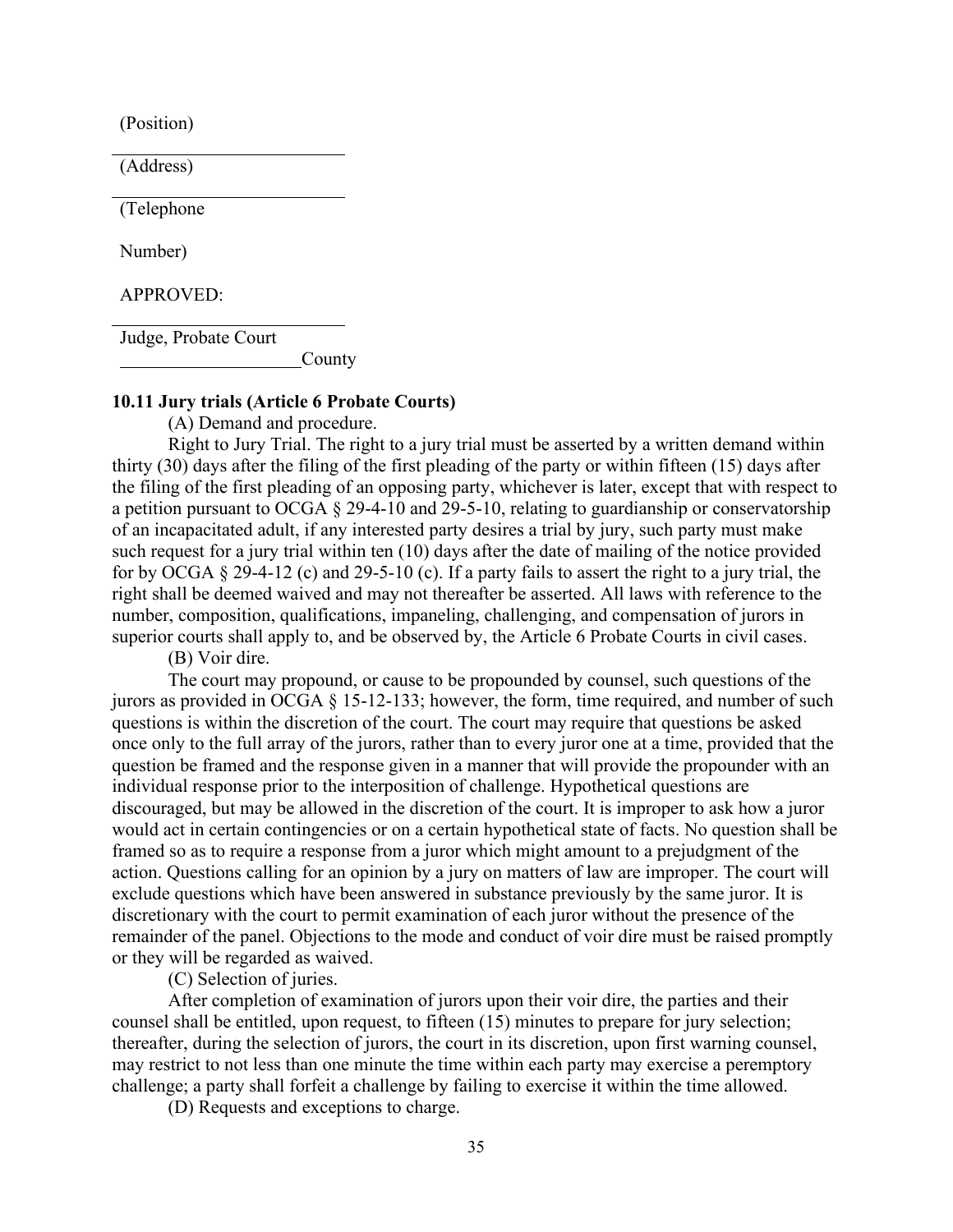(Position)

(Address)

(Telephone

Number)

APPROVED:

Judge, Probate Court

County

### **10.11 Jury trials (Article 6 Probate Courts)**

(A) Demand and procedure.

Right to Jury Trial. The right to a jury trial must be asserted by a written demand within thirty (30) days after the filing of the first pleading of the party or within fifteen (15) days after the filing of the first pleading of an opposing party, whichever is later, except that with respect to a petition pursuant to OCGA § 29-4-10 and 29-5-10, relating to guardianship or conservatorship of an incapacitated adult, if any interested party desires a trial by jury, such party must make such request for a jury trial within ten (10) days after the date of mailing of the notice provided for by OCGA  $\S$  29-4-12 (c) and 29-5-10 (c). If a party fails to assert the right to a jury trial, the right shall be deemed waived and may not thereafter be asserted. All laws with reference to the number, composition, qualifications, impaneling, challenging, and compensation of jurors in superior courts shall apply to, and be observed by, the Article 6 Probate Courts in civil cases.

(B) Voir dire.

The court may propound, or cause to be propounded by counsel, such questions of the jurors as provided in OCGA  $\S$  15-12-133; however, the form, time required, and number of such questions is within the discretion of the court. The court may require that questions be asked once only to the full array of the jurors, rather than to every juror one at a time, provided that the question be framed and the response given in a manner that will provide the propounder with an individual response prior to the interposition of challenge. Hypothetical questions are discouraged, but may be allowed in the discretion of the court. It is improper to ask how a juror would act in certain contingencies or on a certain hypothetical state of facts. No question shall be framed so as to require a response from a juror which might amount to a prejudgment of the action. Questions calling for an opinion by a jury on matters of law are improper. The court will exclude questions which have been answered in substance previously by the same juror. It is discretionary with the court to permit examination of each juror without the presence of the remainder of the panel. Objections to the mode and conduct of voir dire must be raised promptly or they will be regarded as waived.

(C) Selection of juries.

After completion of examination of jurors upon their voir dire, the parties and their counsel shall be entitled, upon request, to fifteen (15) minutes to prepare for jury selection; thereafter, during the selection of jurors, the court in its discretion, upon first warning counsel, may restrict to not less than one minute the time within each party may exercise a peremptory challenge; a party shall forfeit a challenge by failing to exercise it within the time allowed.

(D) Requests and exceptions to charge.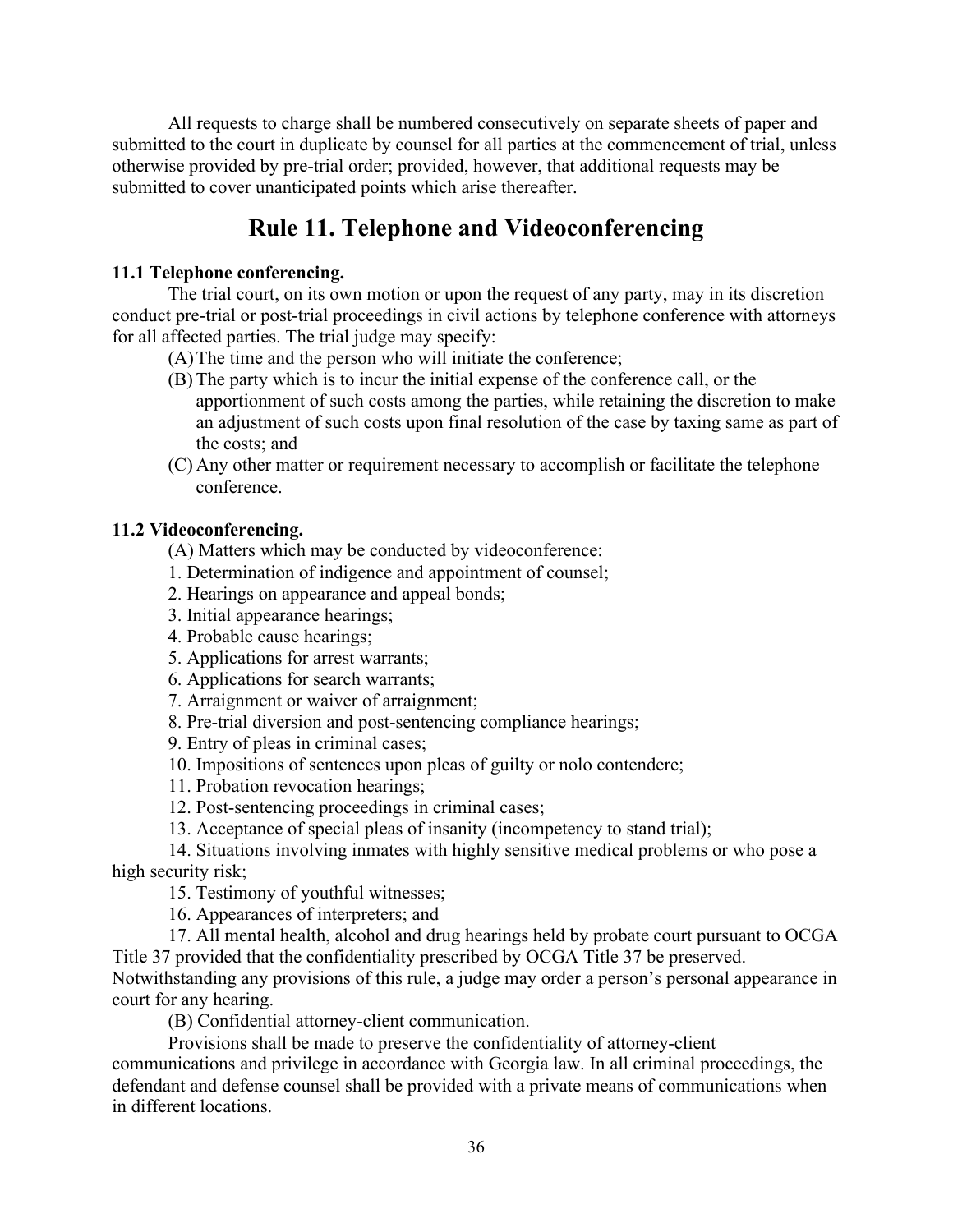All requests to charge shall be numbered consecutively on separate sheets of paper and submitted to the court in duplicate by counsel for all parties at the commencement of trial, unless otherwise provided by pre-trial order; provided, however, that additional requests may be submitted to cover unanticipated points which arise thereafter.

# **Rule 11. Telephone and Videoconferencing**

# **11.1 Telephone conferencing.**

The trial court, on its own motion or upon the request of any party, may in its discretion conduct pre-trial or post-trial proceedings in civil actions by telephone conference with attorneys for all affected parties. The trial judge may specify:

- (A)The time and the person who will initiate the conference;
- (B) The party which is to incur the initial expense of the conference call, or the apportionment of such costs among the parties, while retaining the discretion to make an adjustment of such costs upon final resolution of the case by taxing same as part of the costs; and
- (C) Any other matter or requirement necessary to accomplish or facilitate the telephone conference.

# **11.2 Videoconferencing.**

(A) Matters which may be conducted by videoconference:

- 1. Determination of indigence and appointment of counsel;
- 2. Hearings on appearance and appeal bonds;
- 3. Initial appearance hearings;
- 4. Probable cause hearings;
- 5. Applications for arrest warrants;
- 6. Applications for search warrants;
- 7. Arraignment or waiver of arraignment;
- 8. Pre-trial diversion and post-sentencing compliance hearings;

9. Entry of pleas in criminal cases;

- 10. Impositions of sentences upon pleas of guilty or nolo contendere;
- 11. Probation revocation hearings;
- 12. Post-sentencing proceedings in criminal cases;
- 13. Acceptance of special pleas of insanity (incompetency to stand trial);

14. Situations involving inmates with highly sensitive medical problems or who pose a high security risk;

15. Testimony of youthful witnesses;

16. Appearances of interpreters; and

17. All mental health, alcohol and drug hearings held by probate court pursuant to OCGA Title 37 provided that the confidentiality prescribed by OCGA Title 37 be preserved.

Notwithstanding any provisions of this rule, a judge may order a person's personal appearance in court for any hearing.

(B) Confidential attorney-client communication.

Provisions shall be made to preserve the confidentiality of attorney-client

communications and privilege in accordance with Georgia law. In all criminal proceedings, the defendant and defense counsel shall be provided with a private means of communications when in different locations.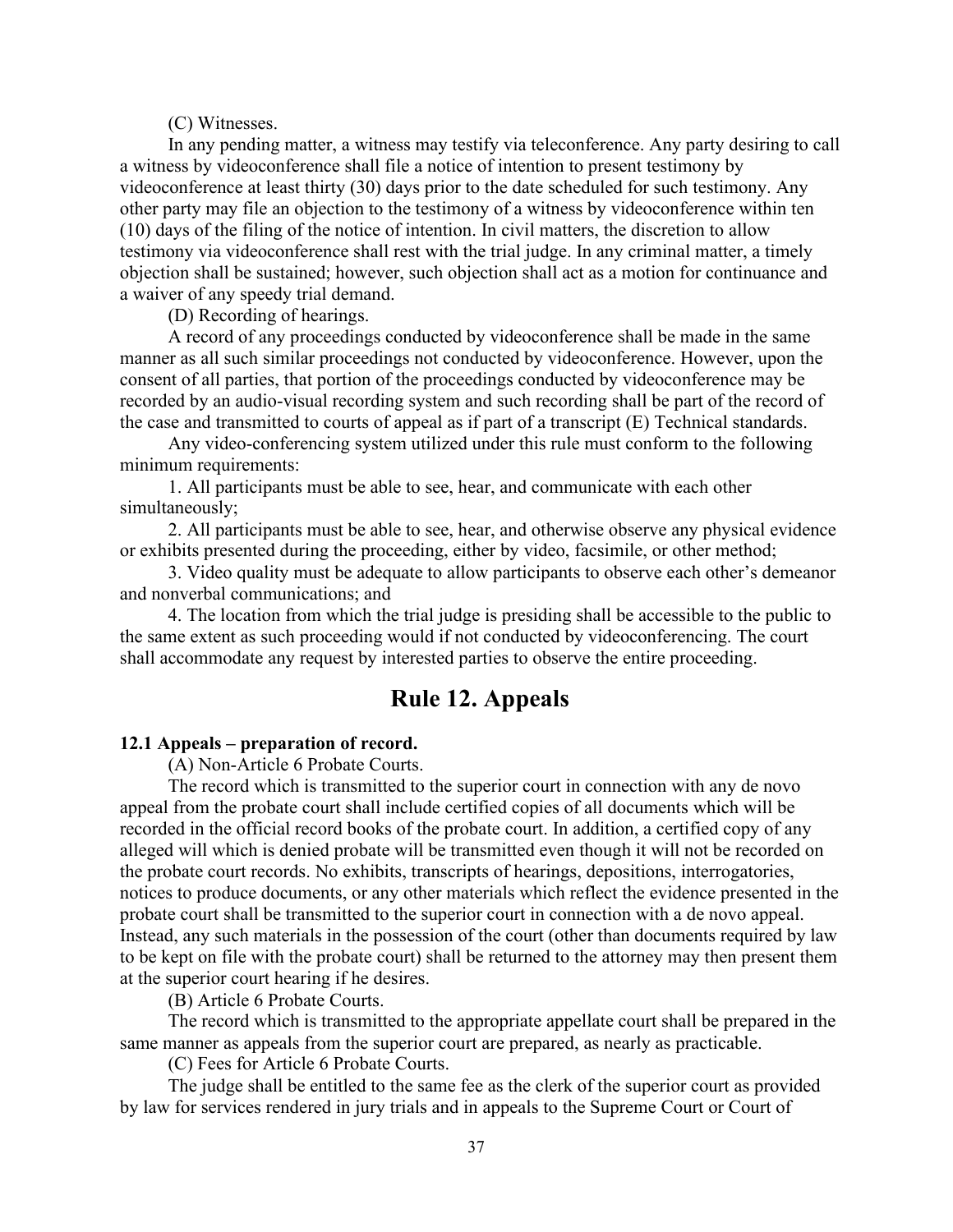### (C) Witnesses.

In any pending matter, a witness may testify via teleconference. Any party desiring to call a witness by videoconference shall file a notice of intention to present testimony by videoconference at least thirty (30) days prior to the date scheduled for such testimony. Any other party may file an objection to the testimony of a witness by videoconference within ten (10) days of the filing of the notice of intention. In civil matters, the discretion to allow testimony via videoconference shall rest with the trial judge. In any criminal matter, a timely objection shall be sustained; however, such objection shall act as a motion for continuance and a waiver of any speedy trial demand.

(D) Recording of hearings.

A record of any proceedings conducted by videoconference shall be made in the same manner as all such similar proceedings not conducted by videoconference. However, upon the consent of all parties, that portion of the proceedings conducted by videoconference may be recorded by an audio-visual recording system and such recording shall be part of the record of the case and transmitted to courts of appeal as if part of a transcript (E) Technical standards.

Any video-conferencing system utilized under this rule must conform to the following minimum requirements:

1. All participants must be able to see, hear, and communicate with each other simultaneously;

2. All participants must be able to see, hear, and otherwise observe any physical evidence or exhibits presented during the proceeding, either by video, facsimile, or other method;

3. Video quality must be adequate to allow participants to observe each other's demeanor and nonverbal communications; and

4. The location from which the trial judge is presiding shall be accessible to the public to the same extent as such proceeding would if not conducted by videoconferencing. The court shall accommodate any request by interested parties to observe the entire proceeding.

# **Rule 12. Appeals**

### **12.1 Appeals – preparation of record.**

(A) Non-Article 6 Probate Courts.

The record which is transmitted to the superior court in connection with any de novo appeal from the probate court shall include certified copies of all documents which will be recorded in the official record books of the probate court. In addition, a certified copy of any alleged will which is denied probate will be transmitted even though it will not be recorded on the probate court records. No exhibits, transcripts of hearings, depositions, interrogatories, notices to produce documents, or any other materials which reflect the evidence presented in the probate court shall be transmitted to the superior court in connection with a de novo appeal. Instead, any such materials in the possession of the court (other than documents required by law to be kept on file with the probate court) shall be returned to the attorney may then present them at the superior court hearing if he desires.

(B) Article 6 Probate Courts.

The record which is transmitted to the appropriate appellate court shall be prepared in the same manner as appeals from the superior court are prepared, as nearly as practicable.

(C) Fees for Article 6 Probate Courts.

The judge shall be entitled to the same fee as the clerk of the superior court as provided by law for services rendered in jury trials and in appeals to the Supreme Court or Court of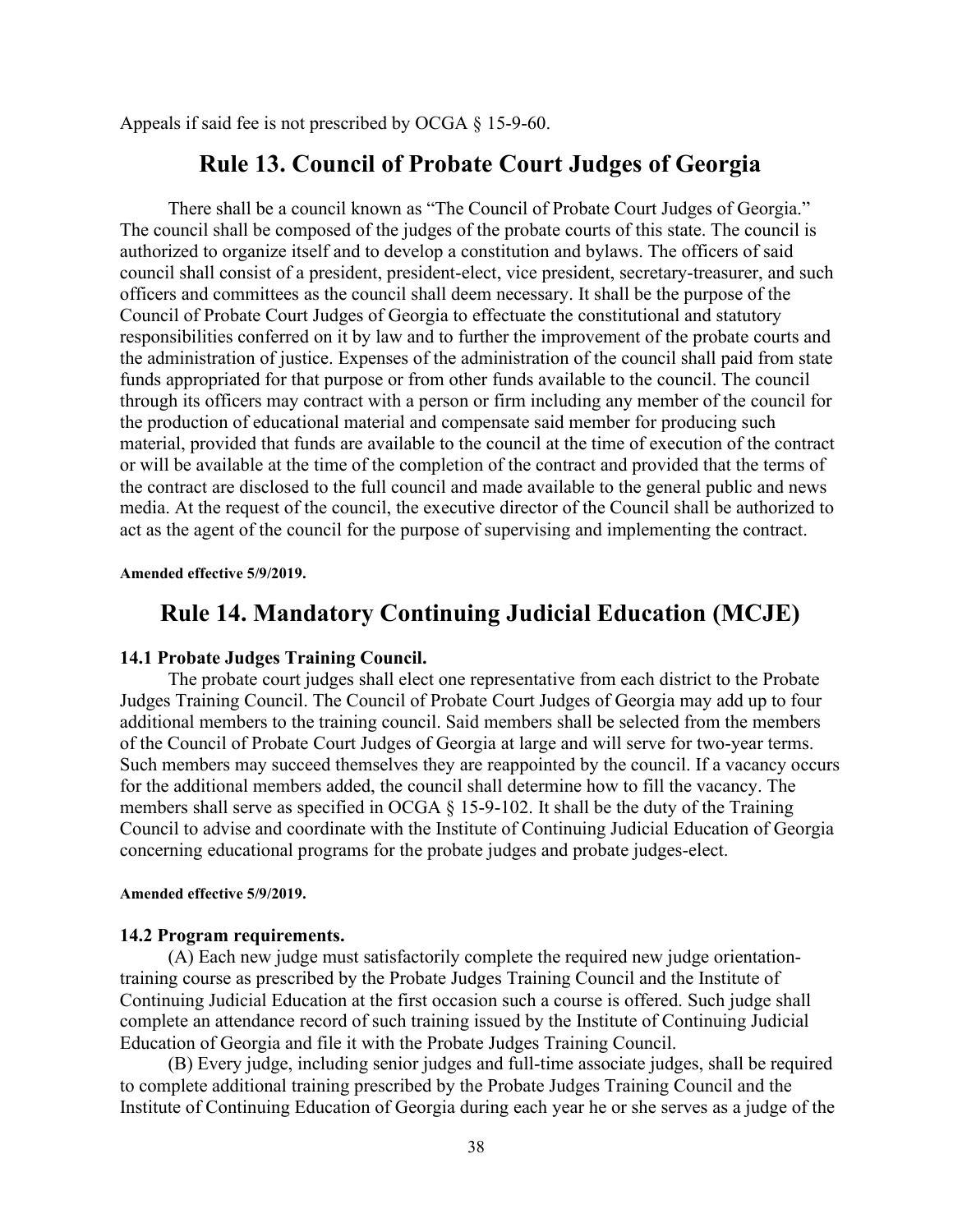Appeals if said fee is not prescribed by OCGA § 15-9-60.

# **Rule 13. Council of Probate Court Judges of Georgia**

There shall be a council known as "The Council of Probate Court Judges of Georgia." The council shall be composed of the judges of the probate courts of this state. The council is authorized to organize itself and to develop a constitution and bylaws. The officers of said council shall consist of a president, president-elect, vice president, secretary-treasurer, and such officers and committees as the council shall deem necessary. It shall be the purpose of the Council of Probate Court Judges of Georgia to effectuate the constitutional and statutory responsibilities conferred on it by law and to further the improvement of the probate courts and the administration of justice. Expenses of the administration of the council shall paid from state funds appropriated for that purpose or from other funds available to the council. The council through its officers may contract with a person or firm including any member of the council for the production of educational material and compensate said member for producing such material, provided that funds are available to the council at the time of execution of the contract or will be available at the time of the completion of the contract and provided that the terms of the contract are disclosed to the full council and made available to the general public and news media. At the request of the council, the executive director of the Council shall be authorized to act as the agent of the council for the purpose of supervising and implementing the contract.

**Amended effective 5/9/2019.**

# **Rule 14. Mandatory Continuing Judicial Education (MCJE)**

### **14.1 Probate Judges Training Council.**

The probate court judges shall elect one representative from each district to the Probate Judges Training Council. The Council of Probate Court Judges of Georgia may add up to four additional members to the training council. Said members shall be selected from the members of the Council of Probate Court Judges of Georgia at large and will serve for two-year terms. Such members may succeed themselves they are reappointed by the council. If a vacancy occurs for the additional members added, the council shall determine how to fill the vacancy. The members shall serve as specified in OCGA  $\S$  15-9-102. It shall be the duty of the Training Council to advise and coordinate with the Institute of Continuing Judicial Education of Georgia concerning educational programs for the probate judges and probate judges-elect.

#### **Amended effective 5/9/2019.**

#### **14.2 Program requirements.**

(A) Each new judge must satisfactorily complete the required new judge orientationtraining course as prescribed by the Probate Judges Training Council and the Institute of Continuing Judicial Education at the first occasion such a course is offered. Such judge shall complete an attendance record of such training issued by the Institute of Continuing Judicial Education of Georgia and file it with the Probate Judges Training Council.

(B) Every judge, including senior judges and full-time associate judges, shall be required to complete additional training prescribed by the Probate Judges Training Council and the Institute of Continuing Education of Georgia during each year he or she serves as a judge of the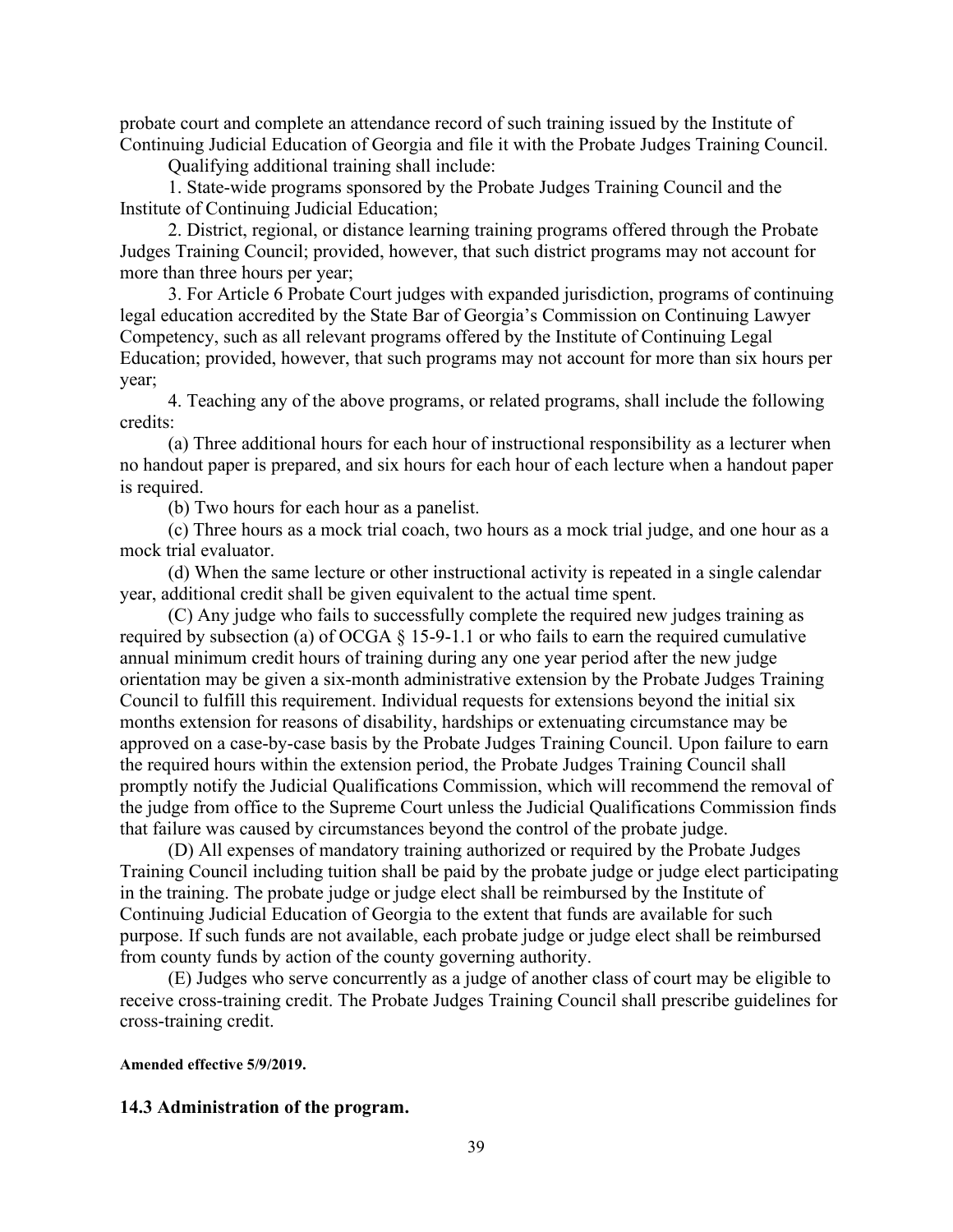probate court and complete an attendance record of such training issued by the Institute of Continuing Judicial Education of Georgia and file it with the Probate Judges Training Council.

Qualifying additional training shall include:

1. State-wide programs sponsored by the Probate Judges Training Council and the Institute of Continuing Judicial Education;

2. District, regional, or distance learning training programs offered through the Probate Judges Training Council; provided, however, that such district programs may not account for more than three hours per year;

3. For Article 6 Probate Court judges with expanded jurisdiction, programs of continuing legal education accredited by the State Bar of Georgia's Commission on Continuing Lawyer Competency, such as all relevant programs offered by the Institute of Continuing Legal Education; provided, however, that such programs may not account for more than six hours per year;

4. Teaching any of the above programs, or related programs, shall include the following credits:

(a) Three additional hours for each hour of instructional responsibility as a lecturer when no handout paper is prepared, and six hours for each hour of each lecture when a handout paper is required.

(b) Two hours for each hour as a panelist.

(c) Three hours as a mock trial coach, two hours as a mock trial judge, and one hour as a mock trial evaluator.

(d) When the same lecture or other instructional activity is repeated in a single calendar year, additional credit shall be given equivalent to the actual time spent.

(C) Any judge who fails to successfully complete the required new judges training as required by subsection (a) of OCGA  $\S$  15-9-1.1 or who fails to earn the required cumulative annual minimum credit hours of training during any one year period after the new judge orientation may be given a six-month administrative extension by the Probate Judges Training Council to fulfill this requirement. Individual requests for extensions beyond the initial six months extension for reasons of disability, hardships or extenuating circumstance may be approved on a case-by-case basis by the Probate Judges Training Council. Upon failure to earn the required hours within the extension period, the Probate Judges Training Council shall promptly notify the Judicial Qualifications Commission, which will recommend the removal of the judge from office to the Supreme Court unless the Judicial Qualifications Commission finds that failure was caused by circumstances beyond the control of the probate judge.

(D) All expenses of mandatory training authorized or required by the Probate Judges Training Council including tuition shall be paid by the probate judge or judge elect participating in the training. The probate judge or judge elect shall be reimbursed by the Institute of Continuing Judicial Education of Georgia to the extent that funds are available for such purpose. If such funds are not available, each probate judge or judge elect shall be reimbursed from county funds by action of the county governing authority.

(E) Judges who serve concurrently as a judge of another class of court may be eligible to receive cross-training credit. The Probate Judges Training Council shall prescribe guidelines for cross-training credit.

#### **Amended effective 5/9/2019.**

### **14.3 Administration of the program.**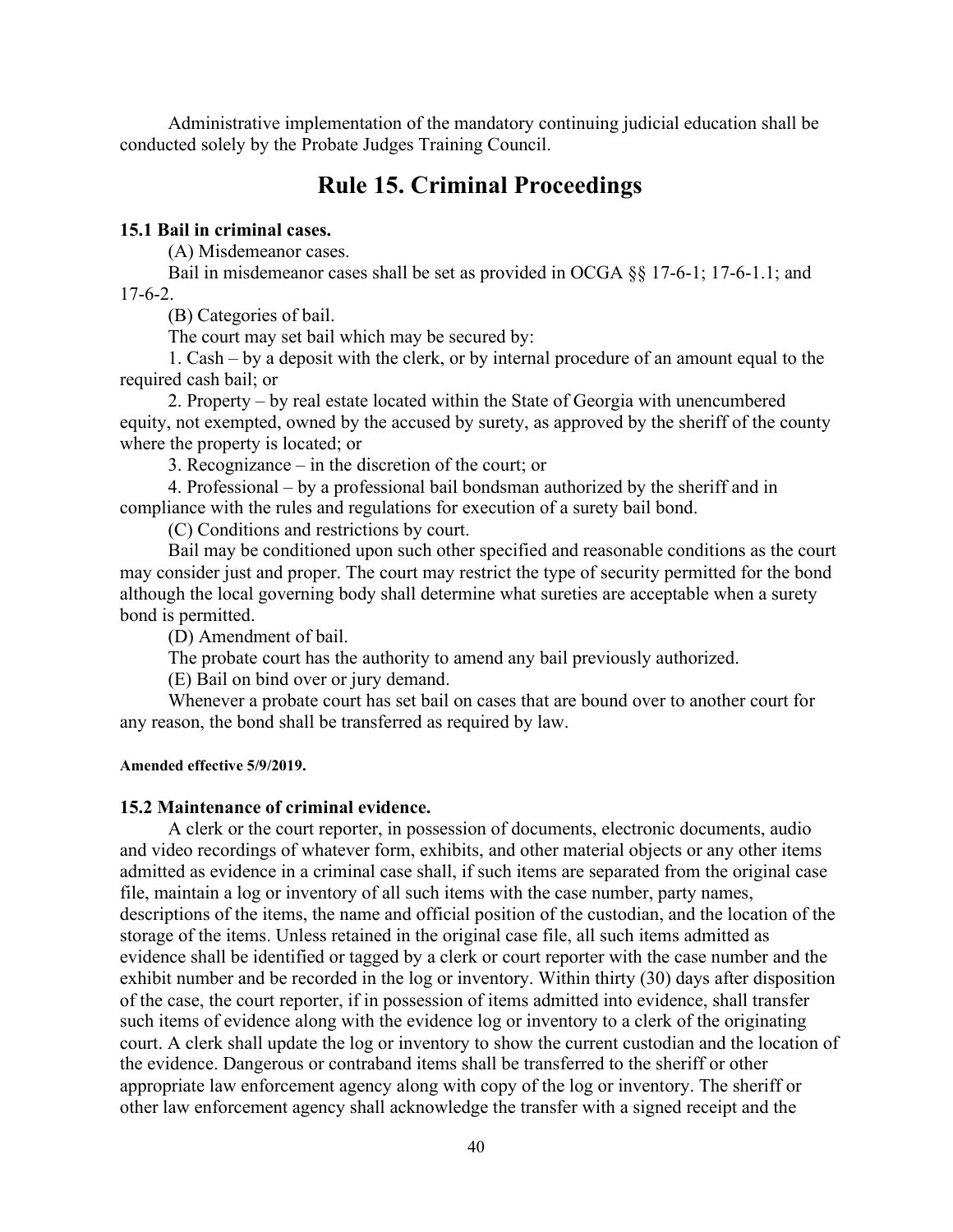Administrative implementation of the mandatory continuing judicial education shall be conducted solely by the Probate Judges Training Council.

# **Rule 15. Criminal Proceedings**

# **15.1 Bail in criminal cases.**

(A) Misdemeanor cases.

Bail in misdemeanor cases shall be set as provided in OCGA §§ 17-6-1; 17-6-1.1; and  $17-6-2.$ 

(B) Categories of bail.

The court may set bail which may be secured by:

1. Cash – by a deposit with the clerk, or by internal procedure of an amount equal to the required cash bail; or

2. Property – by real estate located within the State of Georgia with unencumbered equity, not exempted, owned by the accused by surety, as approved by the sheriff of the county where the property is located; or

3. Recognizance – in the discretion of the court; or

4. Professional – by a professional bail bondsman authorized by the sheriff and in compliance with the rules and regulations for execution of a surety bail bond.

(C) Conditions and restrictions by court.

Bail may be conditioned upon such other specified and reasonable conditions as the court may consider just and proper. The court may restrict the type of security permitted for the bond although the local governing body shall determine what sureties are acceptable when a surety bond is permitted.

(D) Amendment of bail.

The probate court has the authority to amend any bail previously authorized.

(E) Bail on bind over or jury demand.

Whenever a probate court has set bail on cases that are bound over to another court for any reason, the bond shall be transferred as required by law.

**Amended effective 5/9/2019.**

### **15.2 Maintenance of criminal evidence.**

A clerk or the court reporter, in possession of documents, electronic documents, audio and video recordings of whatever form, exhibits, and other material objects or any other items admitted as evidence in a criminal case shall, if such items are separated from the original case file, maintain a log or inventory of all such items with the case number, party names, descriptions of the items, the name and official position of the custodian, and the location of the storage of the items. Unless retained in the original case file, all such items admitted as evidence shall be identified or tagged by a clerk or court reporter with the case number and the exhibit number and be recorded in the log or inventory. Within thirty (30) days after disposition of the case, the court reporter, if in possession of items admitted into evidence, shall transfer such items of evidence along with the evidence log or inventory to a clerk of the originating court. A clerk shall update the log or inventory to show the current custodian and the location of the evidence. Dangerous or contraband items shall be transferred to the sheriff or other appropriate law enforcement agency along with copy of the log or inventory. The sheriff or other law enforcement agency shall acknowledge the transfer with a signed receipt and the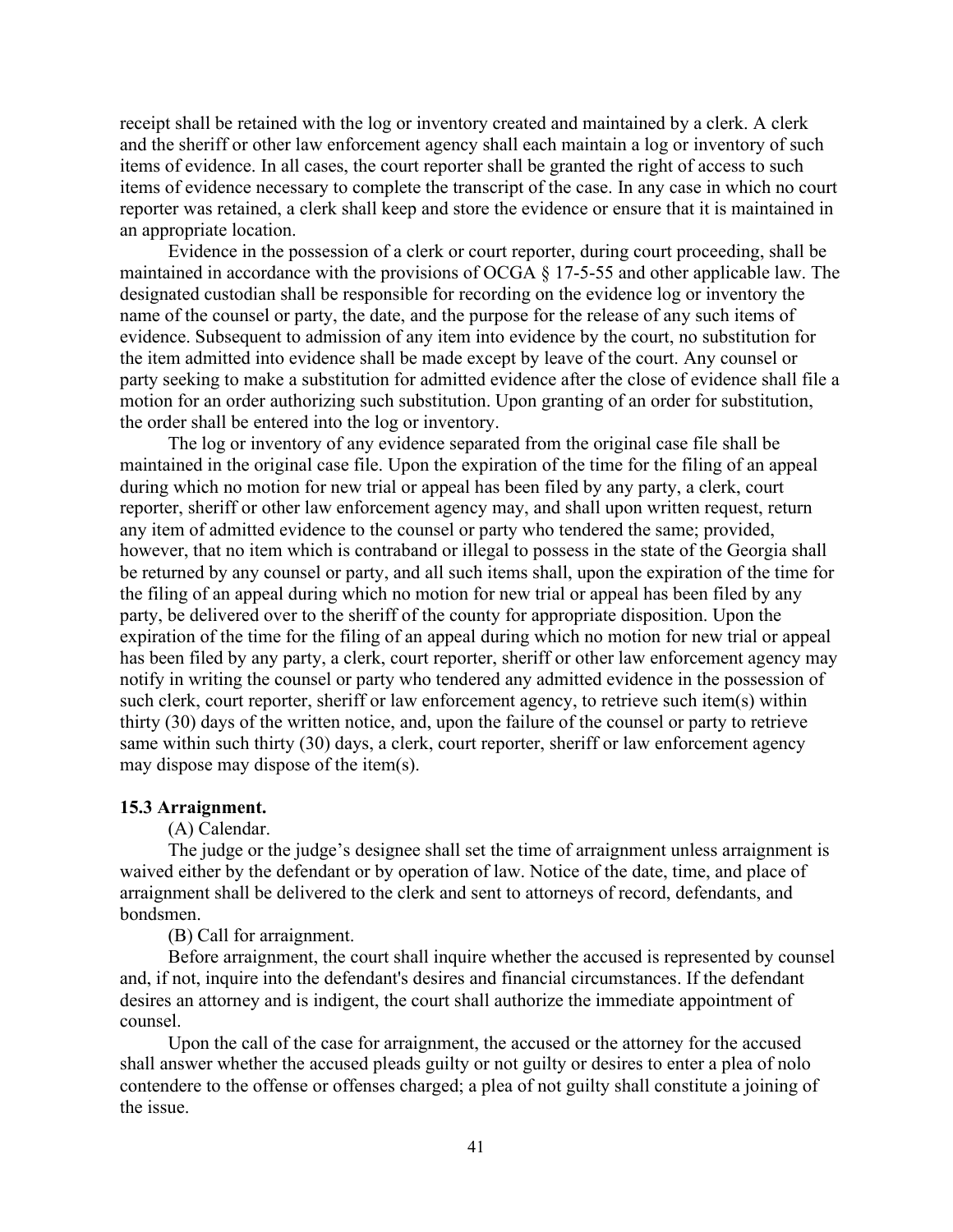receipt shall be retained with the log or inventory created and maintained by a clerk. A clerk and the sheriff or other law enforcement agency shall each maintain a log or inventory of such items of evidence. In all cases, the court reporter shall be granted the right of access to such items of evidence necessary to complete the transcript of the case. In any case in which no court reporter was retained, a clerk shall keep and store the evidence or ensure that it is maintained in an appropriate location.

Evidence in the possession of a clerk or court reporter, during court proceeding, shall be maintained in accordance with the provisions of OCGA § 17-5-55 and other applicable law. The designated custodian shall be responsible for recording on the evidence log or inventory the name of the counsel or party, the date, and the purpose for the release of any such items of evidence. Subsequent to admission of any item into evidence by the court, no substitution for the item admitted into evidence shall be made except by leave of the court. Any counsel or party seeking to make a substitution for admitted evidence after the close of evidence shall file a motion for an order authorizing such substitution. Upon granting of an order for substitution, the order shall be entered into the log or inventory.

The log or inventory of any evidence separated from the original case file shall be maintained in the original case file. Upon the expiration of the time for the filing of an appeal during which no motion for new trial or appeal has been filed by any party, a clerk, court reporter, sheriff or other law enforcement agency may, and shall upon written request, return any item of admitted evidence to the counsel or party who tendered the same; provided, however, that no item which is contraband or illegal to possess in the state of the Georgia shall be returned by any counsel or party, and all such items shall, upon the expiration of the time for the filing of an appeal during which no motion for new trial or appeal has been filed by any party, be delivered over to the sheriff of the county for appropriate disposition. Upon the expiration of the time for the filing of an appeal during which no motion for new trial or appeal has been filed by any party, a clerk, court reporter, sheriff or other law enforcement agency may notify in writing the counsel or party who tendered any admitted evidence in the possession of such clerk, court reporter, sheriff or law enforcement agency, to retrieve such item(s) within thirty (30) days of the written notice, and, upon the failure of the counsel or party to retrieve same within such thirty (30) days, a clerk, court reporter, sheriff or law enforcement agency may dispose may dispose of the item(s).

### **15.3 Arraignment.**

(A) Calendar.

The judge or the judge's designee shall set the time of arraignment unless arraignment is waived either by the defendant or by operation of law. Notice of the date, time, and place of arraignment shall be delivered to the clerk and sent to attorneys of record, defendants, and bondsmen.

(B) Call for arraignment.

Before arraignment, the court shall inquire whether the accused is represented by counsel and, if not, inquire into the defendant's desires and financial circumstances. If the defendant desires an attorney and is indigent, the court shall authorize the immediate appointment of counsel.

Upon the call of the case for arraignment, the accused or the attorney for the accused shall answer whether the accused pleads guilty or not guilty or desires to enter a plea of nolo contendere to the offense or offenses charged; a plea of not guilty shall constitute a joining of the issue.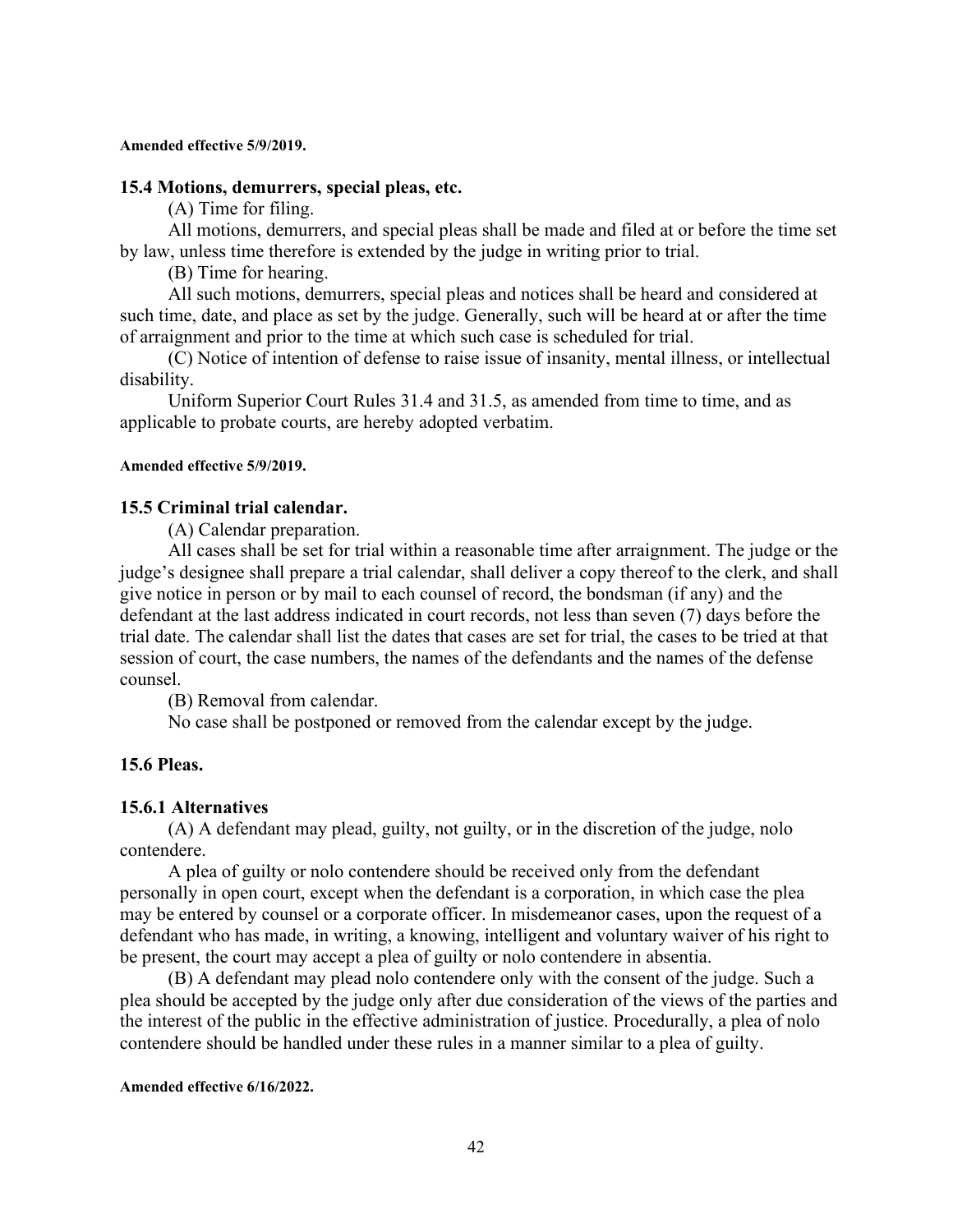#### **Amended effective 5/9/2019.**

### **15.4 Motions, demurrers, special pleas, etc.**

(A) Time for filing.

All motions, demurrers, and special pleas shall be made and filed at or before the time set by law, unless time therefore is extended by the judge in writing prior to trial.

(B) Time for hearing.

All such motions, demurrers, special pleas and notices shall be heard and considered at such time, date, and place as set by the judge. Generally, such will be heard at or after the time of arraignment and prior to the time at which such case is scheduled for trial.

(C) Notice of intention of defense to raise issue of insanity, mental illness, or intellectual disability.

Uniform Superior Court Rules 31.4 and 31.5, as amended from time to time, and as applicable to probate courts, are hereby adopted verbatim.

### **Amended effective 5/9/2019.**

# **15.5 Criminal trial calendar.**

(A) Calendar preparation.

All cases shall be set for trial within a reasonable time after arraignment. The judge or the judge's designee shall prepare a trial calendar, shall deliver a copy thereof to the clerk, and shall give notice in person or by mail to each counsel of record, the bondsman (if any) and the defendant at the last address indicated in court records, not less than seven (7) days before the trial date. The calendar shall list the dates that cases are set for trial, the cases to be tried at that session of court, the case numbers, the names of the defendants and the names of the defense counsel.

(B) Removal from calendar.

No case shall be postponed or removed from the calendar except by the judge.

# **15.6 Pleas.**

### **15.6.1 Alternatives**

(A) A defendant may plead, guilty, not guilty, or in the discretion of the judge, nolo contendere.

A plea of guilty or nolo contendere should be received only from the defendant personally in open court, except when the defendant is a corporation, in which case the plea may be entered by counsel or a corporate officer. In misdemeanor cases, upon the request of a defendant who has made, in writing, a knowing, intelligent and voluntary waiver of his right to be present, the court may accept a plea of guilty or nolo contendere in absentia.

(B) A defendant may plead nolo contendere only with the consent of the judge. Such a plea should be accepted by the judge only after due consideration of the views of the parties and the interest of the public in the effective administration of justice. Procedurally, a plea of nolo contendere should be handled under these rules in a manner similar to a plea of guilty.

### **Amended effective 6/16/2022.**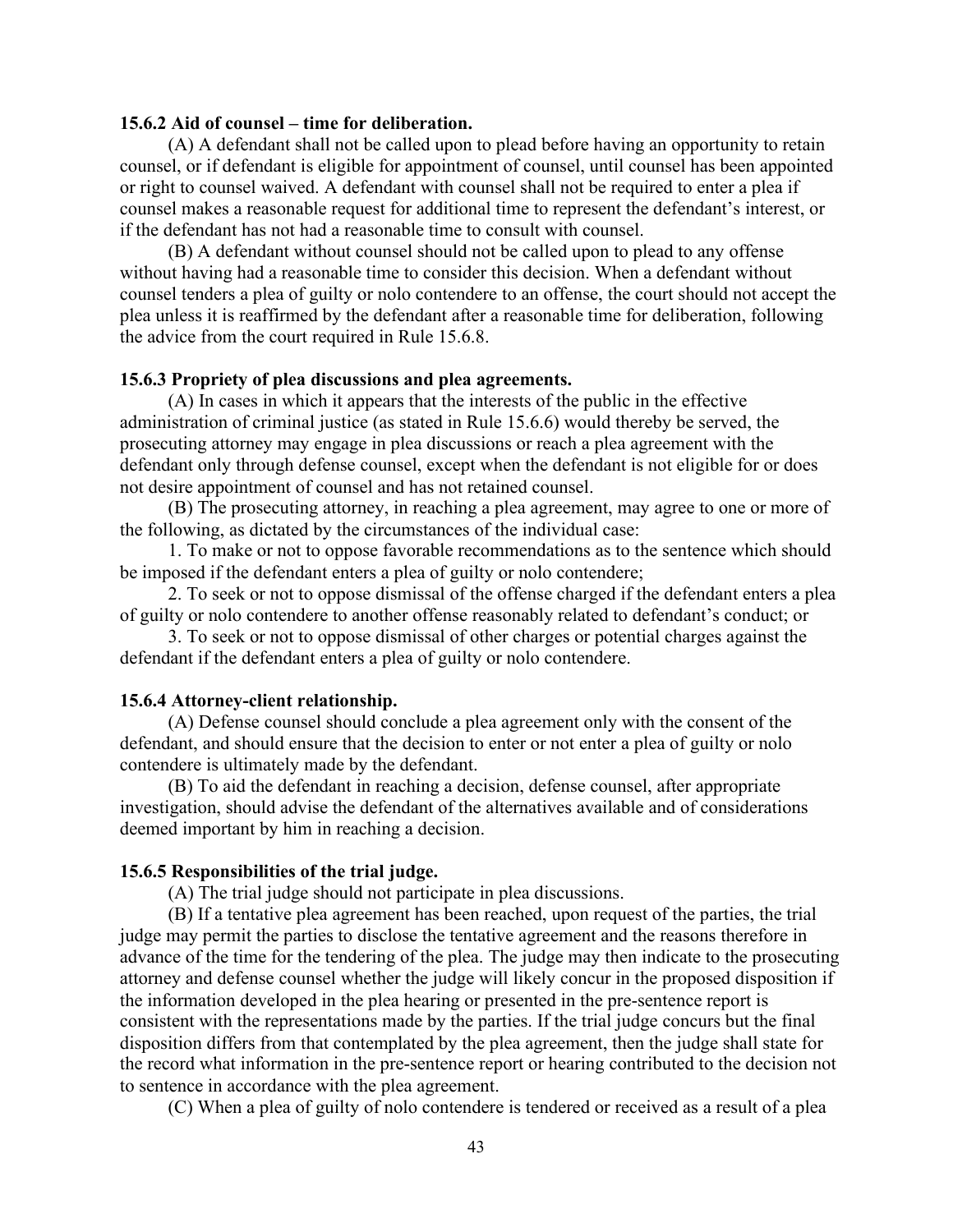### **15.6.2 Aid of counsel – time for deliberation.**

(A) A defendant shall not be called upon to plead before having an opportunity to retain counsel, or if defendant is eligible for appointment of counsel, until counsel has been appointed or right to counsel waived. A defendant with counsel shall not be required to enter a plea if counsel makes a reasonable request for additional time to represent the defendant's interest, or if the defendant has not had a reasonable time to consult with counsel.

(B) A defendant without counsel should not be called upon to plead to any offense without having had a reasonable time to consider this decision. When a defendant without counsel tenders a plea of guilty or nolo contendere to an offense, the court should not accept the plea unless it is reaffirmed by the defendant after a reasonable time for deliberation, following the advice from the court required in Rule 15.6.8.

### **15.6.3 Propriety of plea discussions and plea agreements.**

(A) In cases in which it appears that the interests of the public in the effective administration of criminal justice (as stated in Rule 15.6.6) would thereby be served, the prosecuting attorney may engage in plea discussions or reach a plea agreement with the defendant only through defense counsel, except when the defendant is not eligible for or does not desire appointment of counsel and has not retained counsel.

(B) The prosecuting attorney, in reaching a plea agreement, may agree to one or more of the following, as dictated by the circumstances of the individual case:

1. To make or not to oppose favorable recommendations as to the sentence which should be imposed if the defendant enters a plea of guilty or nolo contendere;

2. To seek or not to oppose dismissal of the offense charged if the defendant enters a plea of guilty or nolo contendere to another offense reasonably related to defendant's conduct; or

3. To seek or not to oppose dismissal of other charges or potential charges against the defendant if the defendant enters a plea of guilty or nolo contendere.

### **15.6.4 Attorney-client relationship.**

(A) Defense counsel should conclude a plea agreement only with the consent of the defendant, and should ensure that the decision to enter or not enter a plea of guilty or nolo contendere is ultimately made by the defendant.

(B) To aid the defendant in reaching a decision, defense counsel, after appropriate investigation, should advise the defendant of the alternatives available and of considerations deemed important by him in reaching a decision.

### **15.6.5 Responsibilities of the trial judge.**

(A) The trial judge should not participate in plea discussions.

(B) If a tentative plea agreement has been reached, upon request of the parties, the trial judge may permit the parties to disclose the tentative agreement and the reasons therefore in advance of the time for the tendering of the plea. The judge may then indicate to the prosecuting attorney and defense counsel whether the judge will likely concur in the proposed disposition if the information developed in the plea hearing or presented in the pre-sentence report is consistent with the representations made by the parties. If the trial judge concurs but the final disposition differs from that contemplated by the plea agreement, then the judge shall state for the record what information in the pre-sentence report or hearing contributed to the decision not to sentence in accordance with the plea agreement.

(C) When a plea of guilty of nolo contendere is tendered or received as a result of a plea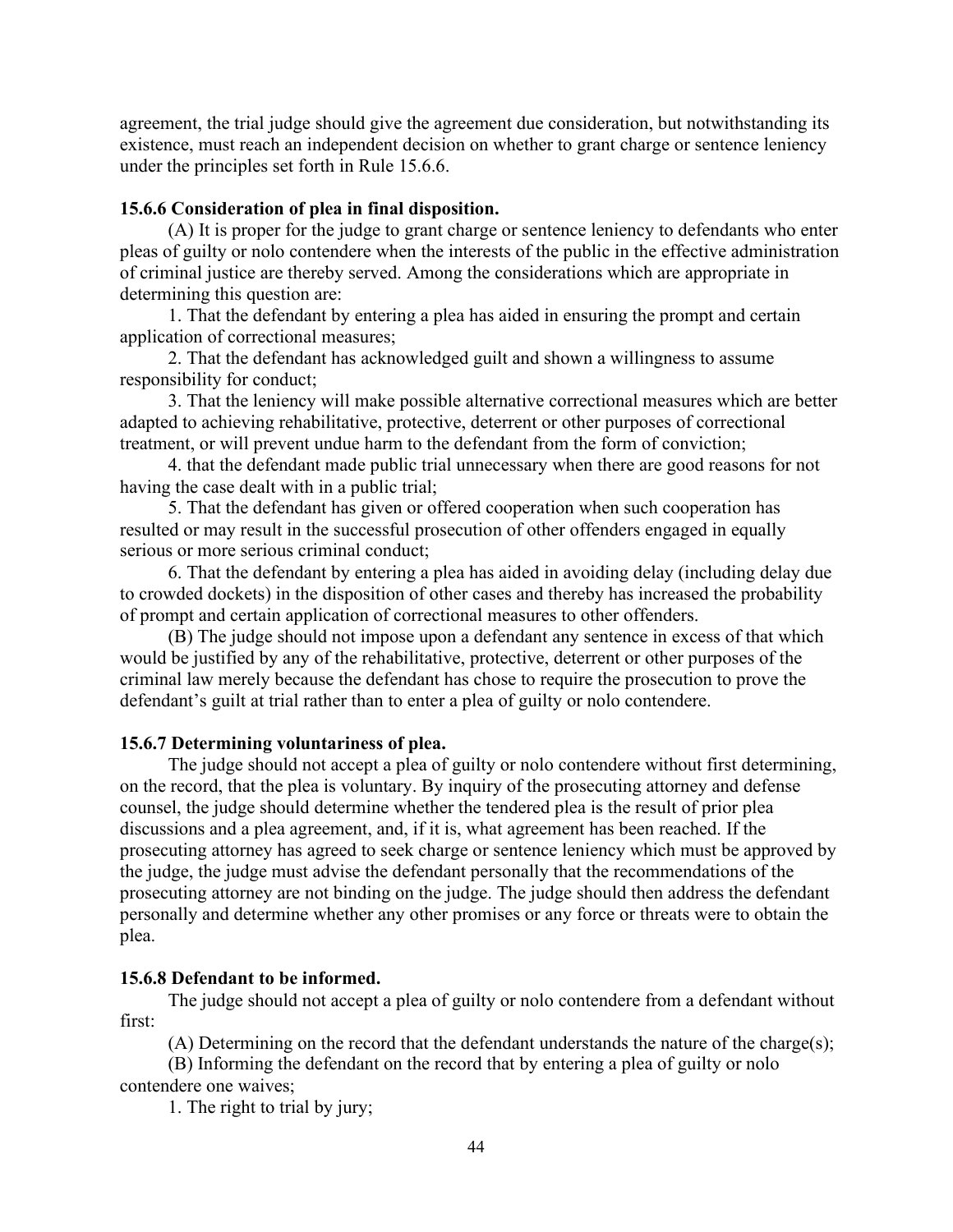agreement, the trial judge should give the agreement due consideration, but notwithstanding its existence, must reach an independent decision on whether to grant charge or sentence leniency under the principles set forth in Rule 15.6.6.

### **15.6.6 Consideration of plea in final disposition.**

(A) It is proper for the judge to grant charge or sentence leniency to defendants who enter pleas of guilty or nolo contendere when the interests of the public in the effective administration of criminal justice are thereby served. Among the considerations which are appropriate in determining this question are:

1. That the defendant by entering a plea has aided in ensuring the prompt and certain application of correctional measures;

2. That the defendant has acknowledged guilt and shown a willingness to assume responsibility for conduct;

3. That the leniency will make possible alternative correctional measures which are better adapted to achieving rehabilitative, protective, deterrent or other purposes of correctional treatment, or will prevent undue harm to the defendant from the form of conviction;

4. that the defendant made public trial unnecessary when there are good reasons for not having the case dealt with in a public trial;

5. That the defendant has given or offered cooperation when such cooperation has resulted or may result in the successful prosecution of other offenders engaged in equally serious or more serious criminal conduct;

6. That the defendant by entering a plea has aided in avoiding delay (including delay due to crowded dockets) in the disposition of other cases and thereby has increased the probability of prompt and certain application of correctional measures to other offenders.

(B) The judge should not impose upon a defendant any sentence in excess of that which would be justified by any of the rehabilitative, protective, deterrent or other purposes of the criminal law merely because the defendant has chose to require the prosecution to prove the defendant's guilt at trial rather than to enter a plea of guilty or nolo contendere.

## **15.6.7 Determining voluntariness of plea.**

The judge should not accept a plea of guilty or nolo contendere without first determining, on the record, that the plea is voluntary. By inquiry of the prosecuting attorney and defense counsel, the judge should determine whether the tendered plea is the result of prior plea discussions and a plea agreement, and, if it is, what agreement has been reached. If the prosecuting attorney has agreed to seek charge or sentence leniency which must be approved by the judge, the judge must advise the defendant personally that the recommendations of the prosecuting attorney are not binding on the judge. The judge should then address the defendant personally and determine whether any other promises or any force or threats were to obtain the plea.

# **15.6.8 Defendant to be informed.**

The judge should not accept a plea of guilty or nolo contendere from a defendant without first:

(A) Determining on the record that the defendant understands the nature of the charge(s);

(B) Informing the defendant on the record that by entering a plea of guilty or nolo contendere one waives;

1. The right to trial by jury;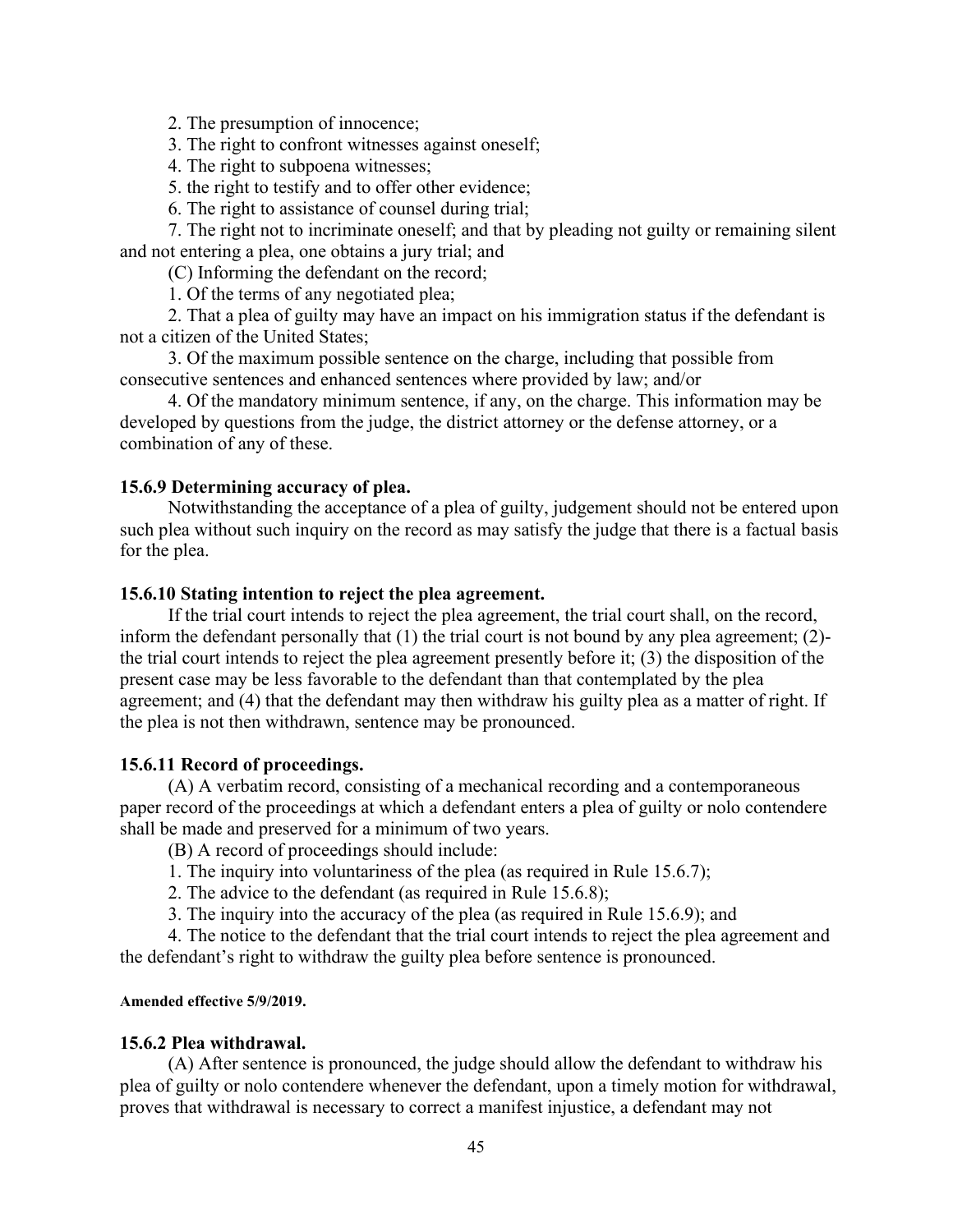2. The presumption of innocence;

3. The right to confront witnesses against oneself;

4. The right to subpoena witnesses;

5. the right to testify and to offer other evidence;

6. The right to assistance of counsel during trial;

7. The right not to incriminate oneself; and that by pleading not guilty or remaining silent and not entering a plea, one obtains a jury trial; and

(C) Informing the defendant on the record;

1. Of the terms of any negotiated plea;

2. That a plea of guilty may have an impact on his immigration status if the defendant is not a citizen of the United States;

3. Of the maximum possible sentence on the charge, including that possible from consecutive sentences and enhanced sentences where provided by law; and/or

4. Of the mandatory minimum sentence, if any, on the charge. This information may be developed by questions from the judge, the district attorney or the defense attorney, or a combination of any of these.

# **15.6.9 Determining accuracy of plea.**

Notwithstanding the acceptance of a plea of guilty, judgement should not be entered upon such plea without such inquiry on the record as may satisfy the judge that there is a factual basis for the plea.

# **15.6.10 Stating intention to reject the plea agreement.**

If the trial court intends to reject the plea agreement, the trial court shall, on the record, inform the defendant personally that (1) the trial court is not bound by any plea agreement; (2) the trial court intends to reject the plea agreement presently before it; (3) the disposition of the present case may be less favorable to the defendant than that contemplated by the plea agreement; and (4) that the defendant may then withdraw his guilty plea as a matter of right. If the plea is not then withdrawn, sentence may be pronounced.

# **15.6.11 Record of proceedings.**

(A) A verbatim record, consisting of a mechanical recording and a contemporaneous paper record of the proceedings at which a defendant enters a plea of guilty or nolo contendere shall be made and preserved for a minimum of two years.

(B) A record of proceedings should include:

1. The inquiry into voluntariness of the plea (as required in Rule 15.6.7);

2. The advice to the defendant (as required in Rule 15.6.8);

3. The inquiry into the accuracy of the plea (as required in Rule 15.6.9); and

4. The notice to the defendant that the trial court intends to reject the plea agreement and the defendant's right to withdraw the guilty plea before sentence is pronounced.

# **Amended effective 5/9/2019.**

# **15.6.2 Plea withdrawal.**

(A) After sentence is pronounced, the judge should allow the defendant to withdraw his plea of guilty or nolo contendere whenever the defendant, upon a timely motion for withdrawal, proves that withdrawal is necessary to correct a manifest injustice, a defendant may not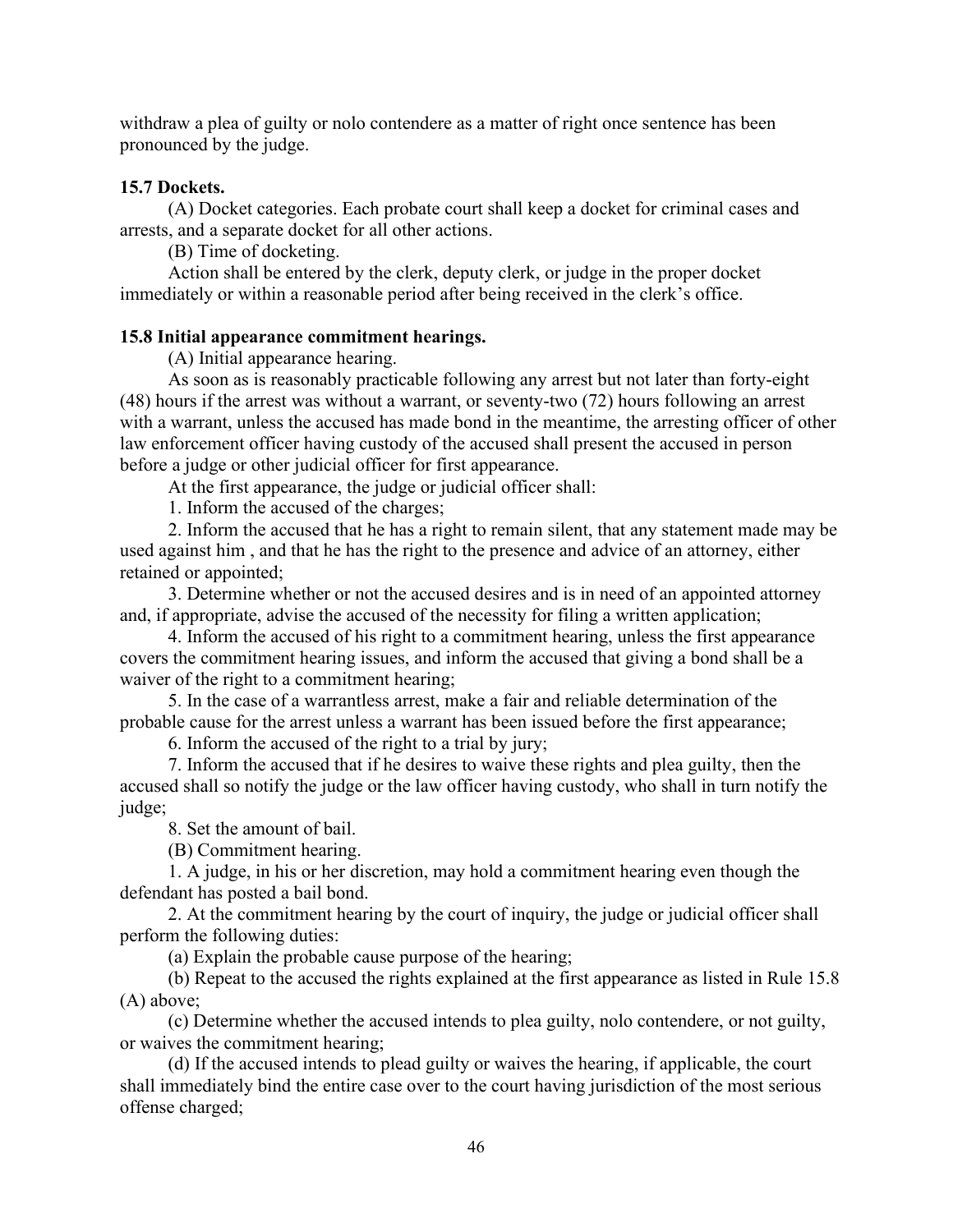withdraw a plea of guilty or nolo contendere as a matter of right once sentence has been pronounced by the judge.

# **15.7 Dockets.**

(A) Docket categories. Each probate court shall keep a docket for criminal cases and arrests, and a separate docket for all other actions.

(B) Time of docketing.

Action shall be entered by the clerk, deputy clerk, or judge in the proper docket immediately or within a reasonable period after being received in the clerk's office.

# **15.8 Initial appearance commitment hearings.**

(A) Initial appearance hearing.

As soon as is reasonably practicable following any arrest but not later than forty-eight (48) hours if the arrest was without a warrant, or seventy-two (72) hours following an arrest with a warrant, unless the accused has made bond in the meantime, the arresting officer of other law enforcement officer having custody of the accused shall present the accused in person before a judge or other judicial officer for first appearance.

At the first appearance, the judge or judicial officer shall:

1. Inform the accused of the charges;

2. Inform the accused that he has a right to remain silent, that any statement made may be used against him , and that he has the right to the presence and advice of an attorney, either retained or appointed;

3. Determine whether or not the accused desires and is in need of an appointed attorney and, if appropriate, advise the accused of the necessity for filing a written application;

4. Inform the accused of his right to a commitment hearing, unless the first appearance covers the commitment hearing issues, and inform the accused that giving a bond shall be a waiver of the right to a commitment hearing;

5. In the case of a warrantless arrest, make a fair and reliable determination of the probable cause for the arrest unless a warrant has been issued before the first appearance;

6. Inform the accused of the right to a trial by jury;

7. Inform the accused that if he desires to waive these rights and plea guilty, then the accused shall so notify the judge or the law officer having custody, who shall in turn notify the judge;

8. Set the amount of bail.

(B) Commitment hearing.

1. A judge, in his or her discretion, may hold a commitment hearing even though the defendant has posted a bail bond.

2. At the commitment hearing by the court of inquiry, the judge or judicial officer shall perform the following duties:

(a) Explain the probable cause purpose of the hearing;

(b) Repeat to the accused the rights explained at the first appearance as listed in Rule 15.8 (A) above;

(c) Determine whether the accused intends to plea guilty, nolo contendere, or not guilty, or waives the commitment hearing;

(d) If the accused intends to plead guilty or waives the hearing, if applicable, the court shall immediately bind the entire case over to the court having jurisdiction of the most serious offense charged;